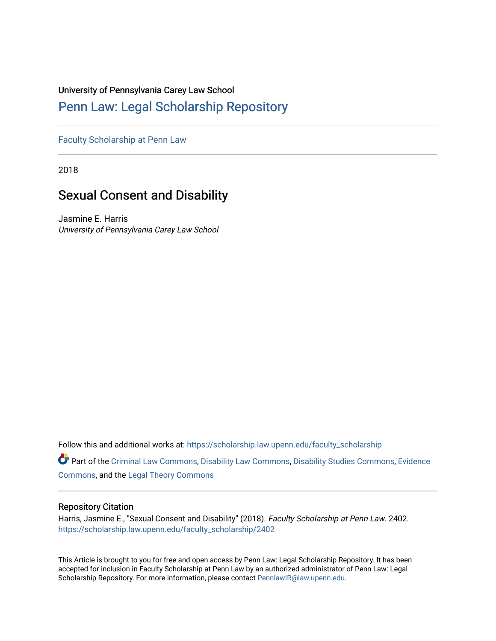## University of Pennsylvania Carey Law School

# [Penn Law: Legal Scholarship Repository](https://scholarship.law.upenn.edu/)

[Faculty Scholarship at Penn Law](https://scholarship.law.upenn.edu/faculty_scholarship)

2018

# Sexual Consent and Disability

Jasmine E. Harris University of Pennsylvania Carey Law School

Follow this and additional works at: [https://scholarship.law.upenn.edu/faculty\\_scholarship](https://scholarship.law.upenn.edu/faculty_scholarship?utm_source=scholarship.law.upenn.edu%2Ffaculty_scholarship%2F2402&utm_medium=PDF&utm_campaign=PDFCoverPages) 

Part of the [Criminal Law Commons,](http://network.bepress.com/hgg/discipline/912?utm_source=scholarship.law.upenn.edu%2Ffaculty_scholarship%2F2402&utm_medium=PDF&utm_campaign=PDFCoverPages) [Disability Law Commons,](http://network.bepress.com/hgg/discipline/1074?utm_source=scholarship.law.upenn.edu%2Ffaculty_scholarship%2F2402&utm_medium=PDF&utm_campaign=PDFCoverPages) [Disability Studies Commons](http://network.bepress.com/hgg/discipline/1417?utm_source=scholarship.law.upenn.edu%2Ffaculty_scholarship%2F2402&utm_medium=PDF&utm_campaign=PDFCoverPages), [Evidence](http://network.bepress.com/hgg/discipline/601?utm_source=scholarship.law.upenn.edu%2Ffaculty_scholarship%2F2402&utm_medium=PDF&utm_campaign=PDFCoverPages) [Commons](http://network.bepress.com/hgg/discipline/601?utm_source=scholarship.law.upenn.edu%2Ffaculty_scholarship%2F2402&utm_medium=PDF&utm_campaign=PDFCoverPages), and the [Legal Theory Commons](http://network.bepress.com/hgg/discipline/369?utm_source=scholarship.law.upenn.edu%2Ffaculty_scholarship%2F2402&utm_medium=PDF&utm_campaign=PDFCoverPages)

## Repository Citation

Harris, Jasmine E., "Sexual Consent and Disability" (2018). Faculty Scholarship at Penn Law. 2402. [https://scholarship.law.upenn.edu/faculty\\_scholarship/2402](https://scholarship.law.upenn.edu/faculty_scholarship/2402?utm_source=scholarship.law.upenn.edu%2Ffaculty_scholarship%2F2402&utm_medium=PDF&utm_campaign=PDFCoverPages)

This Article is brought to you for free and open access by Penn Law: Legal Scholarship Repository. It has been accepted for inclusion in Faculty Scholarship at Penn Law by an authorized administrator of Penn Law: Legal Scholarship Repository. For more information, please contact [PennlawIR@law.upenn.edu.](mailto:PennlawIR@law.upenn.edu)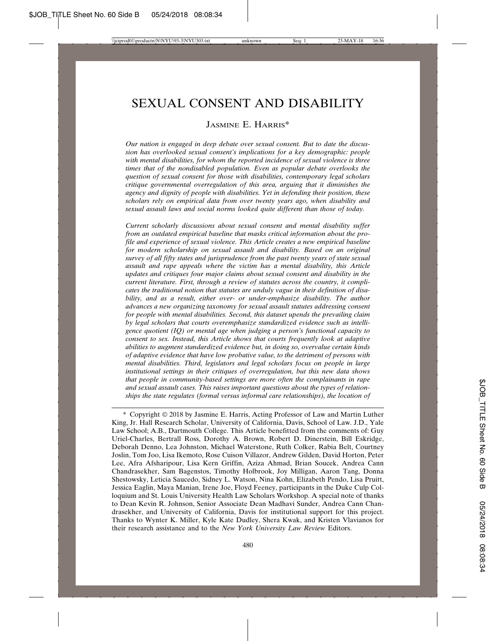# SEXUAL CONSENT AND DISABILITY

### JASMINE E. HARRIS\*

*Our nation is engaged in deep debate over sexual consent. But to date the discussion has overlooked sexual consent's implications for a key demographic: people with mental disabilities, for whom the reported incidence of sexual violence is three times that of the nondisabled population. Even as popular debate overlooks the question of sexual consent for those with disabilities, contemporary legal scholars critique governmental overregulation of this area, arguing that it diminishes the agency and dignity of people with disabilities. Yet in defending their position, these scholars rely on empirical data from over twenty years ago, when disability and sexual assault laws and social norms looked quite different than those of today.*

*Current scholarly discussions about sexual consent and mental disability suffer from an outdated empirical baseline that masks critical information about the profile and experience of sexual violence. This Article creates a new empirical baseline for modern scholarship on sexual assault and disability. Based on an original survey of all fifty states and jurisprudence from the past twenty years of state sexual assault and rape appeals where the victim has a mental disability, this Article updates and critiques four major claims about sexual consent and disability in the current literature. First, through a review of statutes across the country, it complicates the traditional notion that statutes are unduly vague in their definition of disability, and as a result, either over- or under-emphasize disability. The author advances a new organizing taxonomy for sexual assault statutes addressing consent for people with mental disabilities. Second, this dataset upends the prevailing claim by legal scholars that courts overemphasize standardized evidence such as intelligence quotient (IQ) or mental age when judging a person's functional capacity to consent to sex. Instead, this Article shows that courts frequently look at adaptive abilities to augment standardized evidence but, in doing so, overvalue certain kinds of adaptive evidence that have low probative value, to the detriment of persons with mental disabilities. Third, legislators and legal scholars focus on people in large institutional settings in their critiques of overregulation, but this new data shows that people in community-based settings are more often the complainants in rape and sexual assault cases. This raises important questions about the types of relationships the state regulates (formal versus informal care relationships), the location of*

<sup>\*</sup> Copyright © 2018 by Jasmine E. Harris, Acting Professor of Law and Martin Luther King, Jr. Hall Research Scholar, University of California, Davis, School of Law. J.D., Yale Law School; A.B., Dartmouth College. This Article benefitted from the comments of: Guy Uriel-Charles, Bertrall Ross, Dorothy A. Brown, Robert D. Dinerstein, Bill Eskridge, Deborah Denno, Lea Johnston, Michael Waterstone, Ruth Colker, Rabia Belt, Courtney Joslin, Tom Joo, Lisa Ikemoto, Rose Cuison Villazor, Andrew Gilden, David Horton, Peter Lee, Afra Afsharipour, Lisa Kern Griffin, Aziza Ahmad, Brian Soucek, Andrea Cann Chandrasekher, Sam Bagenstos, Timothy Holbrook, Joy Milligan, Aaron Tang, Donna Shestowsky, Leticia Saucedo, Sidney L. Watson, Nina Kohn, Elizabeth Pendo, Lisa Pruitt, Jessica Eaglin, Maya Manian, Irene Joe, Floyd Feeney, participants in the Duke Culp Colloquium and St. Louis University Health Law Scholars Workshop. A special note of thanks to Dean Kevin R. Johnson, Senior Associate Dean Madhavi Sunder, Andrea Cann Chandrasekher, and University of California, Davis for institutional support for this project. Thanks to Wynter K. Miller, Kyle Kate Dudley, Shera Kwak, and Kristen Vlavianos for their research assistance and to the *New York University Law Review* Editors.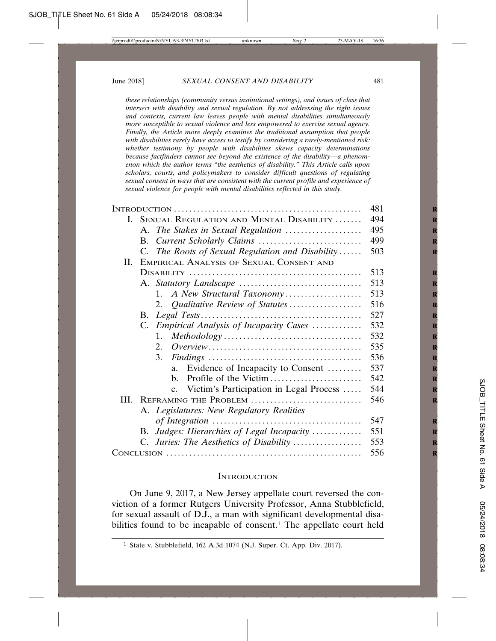*these relationships (community versus institutional settings), and issues of class that intersect with disability and sexual regulation. By not addressing the right issues and contexts, current law leaves people with mental disabilities simultaneously more susceptible to sexual violence and less empowered to exercise sexual agency. Finally, the Article more deeply examines the traditional assumption that people with disabilities rarely have access to testify by considering a rarely-mentioned risk: whether testimony by people with disabilities skews capacity determinations because factfinders cannot see beyond the existence of the disability—a phenomenon which the author terms "the aesthetics of disability." This Article calls upon scholars, courts, and policymakers to consider difficult questions of regulating sexual consent in ways that are consistent with the current profile and experience of sexual violence for people with mental disabilities reflected in this study.*

|    | 481                                              |     |
|----|--------------------------------------------------|-----|
|    | I. SEXUAL REGULATION AND MENTAL DISABILITY       | 494 |
|    |                                                  | 495 |
|    |                                                  | 499 |
|    | C. The Roots of Sexual Regulation and Disability | 503 |
| П. | EMPIRICAL ANALYSIS OF SEXUAL CONSENT AND         |     |
|    |                                                  | 513 |
|    |                                                  | 513 |
|    | 1. A New Structural Taxonomy                     | 513 |
|    | 2. Qualitative Review of Statutes                | 516 |
|    | В.                                               | 527 |
|    | C. Empirical Analysis of Incapacity Cases        | 532 |
|    | $\mathbf{1}$ .                                   | 532 |
|    |                                                  | 535 |
|    | 3.                                               | 536 |
|    | Evidence of Incapacity to Consent<br>a.          | 537 |
|    | $h_{\cdot}$                                      | 542 |
|    | c. Victim's Participation in Legal Process       | 544 |
|    | III. REFRAMING THE PROBLEM                       | 546 |
|    | A. Legislatures: New Regulatory Realities        |     |
|    |                                                  | 547 |
|    | B. Judges: Hierarchies of Legal Incapacity       | 551 |
|    | C. Juries: The Aesthetics of Disability          | 553 |
|    |                                                  | 556 |

#### **INTRODUCTION**

On June 9, 2017, a New Jersey appellate court reversed the conviction of a former Rutgers University Professor, Anna Stubblefield, for sexual assault of D.J., a man with significant developmental disabilities found to be incapable of consent.<sup>1</sup> The appellate court held

<sup>1</sup> State v. Stubblefield, 162 A.3d 1074 (N.J. Super. Ct. App. Div. 2017).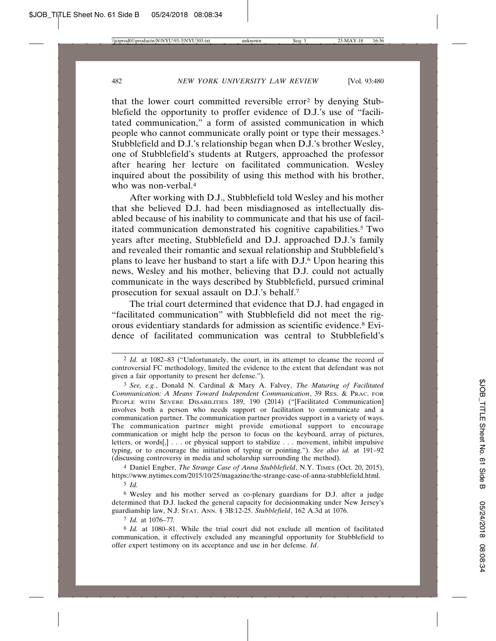that the lower court committed reversible error2 by denying Stubblefield the opportunity to proffer evidence of D.J.'s use of "facilitated communication," a form of assisted communication in which people who cannot communicate orally point or type their messages.3 Stubblefield and D.J.'s relationship began when D.J.'s brother Wesley, one of Stubblefield's students at Rutgers, approached the professor after hearing her lecture on facilitated communication. Wesley inquired about the possibility of using this method with his brother, who was non-verbal.<sup>4</sup>

After working with D.J., Stubblefield told Wesley and his mother that she believed D.J. had been misdiagnosed as intellectually disabled because of his inability to communicate and that his use of facilitated communication demonstrated his cognitive capabilities.<sup>5</sup> Two years after meeting, Stubblefield and D.J. approached D.J.'s family and revealed their romantic and sexual relationship and Stubblefield's plans to leave her husband to start a life with D.J.6 Upon hearing this news, Wesley and his mother, believing that D.J. could not actually communicate in the ways described by Stubblefield, pursued criminal prosecution for sexual assault on D.J.'s behalf.7

The trial court determined that evidence that D.J. had engaged in "facilitated communication" with Stubblefield did not meet the rigorous evidentiary standards for admission as scientific evidence.8 Evidence of facilitated communication was central to Stubblefield's

4 Daniel Engber, *The Strange Case of Anna Stubblefield*, N.Y. TIMES (Oct. 20, 2015), https://www.nytimes.com/2015/10/25/magazine/the-strange-case-of-anna-stubblefield.html.

5 *Id.*

6 Wesley and his mother served as co-plenary guardians for D.J. after a judge determined that D.J. lacked the general capacity for decisionmaking under New Jersey's guardianship law, N.J. STAT. ANN. § 3B:12-25. *Stubblefield*, 162 A.3d at 1076.

7 *Id.* at 1076–77*.*

<sup>2</sup> *Id.* at 1082–83 ("Unfortunately, the court, in its attempt to cleanse the record of controversial FC methodology, limited the evidence to the extent that defendant was not given a fair opportunity to present her defense.").

<sup>3</sup> *See, e.g.*, Donald N. Cardinal & Mary A. Falvey, *The Maturing of Facilitated Communication: A Means Toward Independent Communication*, 39 RES. & PRAC. FOR PEOPLE WITH SEVERE DISABILITIES 189, 190 (2014) ("[Facilitated Communication] involves both a person who needs support or facilitation to communicate and a communication partner. The communication partner provides support in a variety of ways. The communication partner might provide emotional support to encourage communication or might help the person to focus on the keyboard, array of pictures, letters, or words[,] . . . or physical support to stabilize . . . movement, inhibit impulsive typing, or to encourage the initiation of typing or pointing."). *See also id.* at 191–92 (discussing controversy in media and scholarship surrounding the method).

<sup>8</sup> *Id.* at 1080–81. While the trial court did not exclude all mention of facilitated communication, it effectively excluded any meaningful opportunity for Stubblefield to offer expert testimony on its acceptance and use in her defense. *Id*.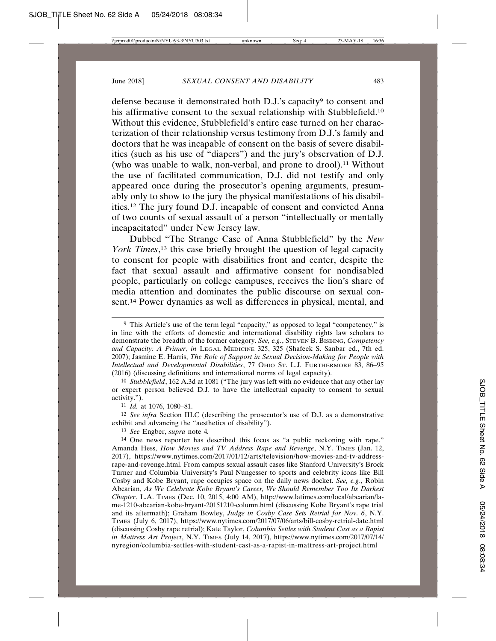defense because it demonstrated both D.J.'s capacity<sup>9</sup> to consent and his affirmative consent to the sexual relationship with Stubblefield.<sup>10</sup> Without this evidence, Stubblefield's entire case turned on her characterization of their relationship versus testimony from D.J.'s family and doctors that he was incapable of consent on the basis of severe disabilities (such as his use of "diapers") and the jury's observation of D.J. (who was unable to walk, non-verbal, and prone to drool).11 Without the use of facilitated communication, D.J. did not testify and only appeared once during the prosecutor's opening arguments, presumably only to show to the jury the physical manifestations of his disabilities.12 The jury found D.J. incapable of consent and convicted Anna of two counts of sexual assault of a person "intellectually or mentally incapacitated" under New Jersey law.

Dubbed "The Strange Case of Anna Stubblefield" by the *New York Times*, 13 this case briefly brought the question of legal capacity to consent for people with disabilities front and center, despite the fact that sexual assault and affirmative consent for nondisabled people, particularly on college campuses, receives the lion's share of media attention and dominates the public discourse on sexual consent.14 Power dynamics as well as differences in physical, mental, and

10 *Stubblefield*, 162 A.3d at 1081 ("The jury was left with no evidence that any other lay or expert person believed D.J. to have the intellectual capacity to consent to sexual activity.").

11 *Id.* at 1076, 1080–81.

12 *See infra* Section III.C (describing the prosecutor's use of D.J. as a demonstrative exhibit and advancing the "aesthetics of disability").

13 *See* Engber, *supra* note 4*.*

<sup>9</sup> This Article's use of the term legal "capacity," as opposed to legal "competency," is in line with the efforts of domestic and international disability rights law scholars to demonstrate the breadth of the former category. *See, e.g.*, STEVEN B. BISBING, *Competency and Capacity: A Primer*, *in* LEGAL MEDICINE 325, 325 (Shafeek S. Sanbar ed., 7th ed. 2007); Jasmine E. Harris, *The Role of Support in Sexual Decision-Making for People with Intellectual and Developmental Disabilities*, 77 OHIO ST. L.J. FURTHERMORE 83, 86–95 (2016) (discussing definitions and international norms of legal capacity).

<sup>14</sup> One news reporter has described this focus as "a public reckoning with rape." Amanda Hess, *How Movies and TV Address Rape and Revenge*, N.Y. TIMES (Jan. 12, 2017), https://www.nytimes.com/2017/01/12/arts/television/how-movies-and-tv-addressrape-and-revenge.html. From campus sexual assault cases like Stanford University's Brock Turner and Columbia University's Paul Nungesser to sports and celebrity icons like Bill Cosby and Kobe Bryant, rape occupies space on the daily news docket. *See, e.g.*, Robin Abcarian, *As We Celebrate Kobe Bryant's Career, We Should Remember Too Its Darkest Chapter*, L.A. TIMES (Dec. 10, 2015, 4:00 AM), http://www.latimes.com/local/abcarian/lame-1210-abcarian-kobe-bryant-20151210-column.html (discussing Kobe Bryant's rape trial and its aftermath); Graham Bowley, *Judge in Cosby Case Sets Retrial for Nov. 6*, N.Y. TIMES (July 6, 2017), https://www.nytimes.com/2017/07/06/arts/bill-cosby-retrial-date.html (discussing Cosby rape retrial); Kate Taylor, *Columbia Settles with Student Cast as a Rapist in Mattress Art Project*, N.Y. TIMES (July 14, 2017), https://www.nytimes.com/2017/07/14/ nyregion/columbia-settles-with-student-cast-as-a-rapist-in-mattress-art-project.html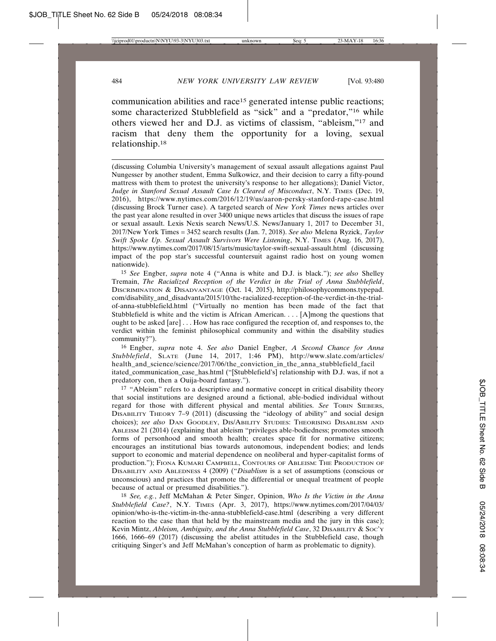communication abilities and race15 generated intense public reactions; some characterized Stubblefield as "sick" and a "predator,"<sup>16</sup> while others viewed her and D.J. as victims of classism, "ableism,"17 and racism that deny them the opportunity for a loving, sexual relationship.18

(discussing Columbia University's management of sexual assault allegations against Paul Nungesser by another student, Emma Sulkowicz, and their decision to carry a fifty-pound mattress with them to protest the university's response to her allegations); Daniel Victor, *Judge in Stanford Sexual Assault Case Is Cleared of Misconduct*, N.Y. TIMES (Dec. 19, 2016), https://www.nytimes.com/2016/12/19/us/aaron-persky-stanford-rape-case.html (discussing Brock Turner case). A targeted search of *New York Times* news articles over the past year alone resulted in over 3400 unique news articles that discuss the issues of rape or sexual assault. Lexis Nexis search News/U.S. News/January 1, 2017 to December 31, 2017/New York Times = 3452 search results (Jan. 7, 2018). *See also* Melena Ryzick, *Taylor Swift Spoke Up. Sexual Assault Survivors Were Listening*, N.Y. TIMES (Aug. 16, 2017), https://www.nytimes.com/2017/08/15/arts/music/taylor-swift-sexual-assault.html (discussing impact of the pop star's successful countersuit against radio host on young women nationwide).

15 *See* Engber, *supra* note 4 ("Anna is white and D.J. is black."); *see also* Shelley Tremain, *The Racialized Reception of the Verdict in the Trial of Anna Stubblefield*, DISCRIMINATION & DISADVANTAGE (Oct. 14, 2015), http://philosophycommons.typepad. com/disability\_and\_disadvanta/2015/10/the-racialized-reception-of-the-verdict-in-the-trialof-anna-stubblefield.html ("Virtually no mention has been made of the fact that Stubblefield is white and the victim is African American. . . . [A]mong the questions that ought to be asked [are] . . . How has race configured the reception of, and responses to, the verdict within the feminist philosophical community and within the disability studies community?").

16 Engber, *supra* note 4. *See also* Daniel Engber, *A Second Chance for Anna Stubblefield*, SLATE (June 14, 2017, 1:46 PM), http://www.slate.com/articles/ health\_and\_science/science/2017/06/the\_conviction\_in\_the\_anna\_stubblefield\_facil itated\_communication\_case\_has.html ("[Stubblefield's] relationship with D.J. was, if not a predatory con, then a Ouija-board fantasy.").

<sup>17</sup> "Ableism" refers to a descriptive and normative concept in critical disability theory that social institutions are designed around a fictional, able-bodied individual without regard for those with different physical and mental abilities. *See* TOBIN SIEBERS, DISABILITY THEORY 7–9 (2011) (discussing the "ideology of ability" and social design choices); *see also* DAN GOODLEY, DIS/ABILITY STUDIES: THEORISING DISABLISM AND ABLEISM 21 (2014) (explaining that ableism "privileges able-bodiedness; promotes smooth forms of personhood and smooth health; creates space fit for normative citizens; encourages an institutional bias towards autonomous, independent bodies; and lends support to economic and material dependence on neoliberal and hyper-capitalist forms of production."); FIONA KUMARI CAMPBELL, CONTOURS OF ABLEISM: THE PRODUCTION OF DISABILITY AND ABLEDNESS 4 (2009) ("*Disablism* is a set of assumptions (conscious or unconscious) and practices that promote the differential or unequal treatment of people because of actual or presumed disabilities.").

18 *See, e.g.*, Jeff McMahan & Peter Singer, Opinion, *Who Is the Victim in the Anna Stubblefield Case?*, N.Y. TIMES (Apr. 3, 2017), https://www.nytimes.com/2017/04/03/ opinion/who-is-the-victim-in-the-anna-stubblefield-case.html (describing a very different reaction to the case than that held by the mainstream media and the jury in this case); Kevin Mintz, *Ableism, Ambiguity, and the Anna Stubblefield Case*, 32 DISABILITY & SOC'Y 1666, 1666–69 (2017) (discussing the abelist attitudes in the Stubblefield case, though critiquing Singer's and Jeff McMahan's conception of harm as problematic to dignity).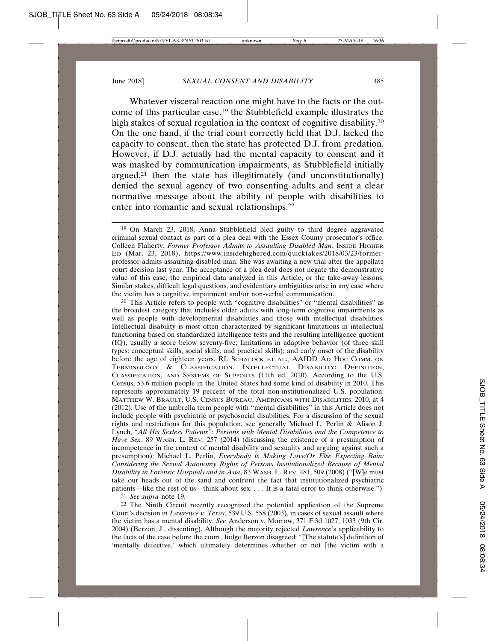Whatever visceral reaction one might have to the facts or the outcome of this particular case,19 the Stubblefield example illustrates the high stakes of sexual regulation in the context of cognitive disability.<sup>20</sup> On the one hand, if the trial court correctly held that D.J. lacked the capacity to consent, then the state has protected D.J. from predation. However, if D.J. actually had the mental capacity to consent and it was masked by communication impairments, as Stubblefield initially argued, $21$  then the state has illegitimately (and unconstitutionally) denied the sexual agency of two consenting adults and sent a clear normative message about the ability of people with disabilities to enter into romantic and sexual relationships.22

 $20$  This Article refers to people with "cognitive disabilities" or "mental disabilities" as the broadest category that includes older adults with long-term cognitive impairments as well as people with developmental disabilities and those with intellectual disabilities. Intellectual disability is most often characterized by significant limitations in intellectual functioning based on standardized intelligence tests and the resulting intelligence quotient (IQ), usually a score below seventy-five; limitations in adaptive behavior (of three skill types: conceptual skills, social skills, and practical skills); and early onset of the disability before the age of eighteen years. RL SCHALOCK ET AL., AAIDD AD HOC COMM. ON TERMINOLOGY & CLASSIFICATION, INTELLECTUAL DISABILITY: DEFINITION, CLASSIFICATION, AND SYSTEMS OF SUPPORTS (11th ed. 2010). According to the U.S. Census, 53.6 million people in the United States had some kind of disability in 2010. This represents approximately 19 percent of the total non-institutionalized U.S. population. MATTHEW W. BRAULT, U.S. CENSUS BUREAU, AMERICANS WITH DISABILITIES: 2010, at 4 (2012). Use of the umbrella term people with "mental disabilities" in this Article does not include people with psychiatric or psychosocial disabilities. For a discussion of the sexual rights and restrictions for this population, see generally Michael L. Perlin  $\&$  Alison J. Lynch, *"All His Sexless Patients": Persons with Mental Disabilities and the Competence to Have Sex*, 89 WASH. L. REV. 257 (2014) (discussing the existence of a presumption of incompetence in the context of mental disability and sexuality and arguing against such a presumption); Michael L. Perlin, *Everybody is Making Love/Or Else Expecting Rain: Considering the Sexual Autonomy Rights of Persons Institutionalized Because of Mental Disability in Forensic Hospitals and in Asia*, 83 WASH. L. REV. 481, 509 (2008) ("[W]e must take our heads out of the sand and confront the fact that institutionalized psychiatric patients—like the rest of us—think about sex. . . . It is a fatal error to think otherwise.").

21 *See supra* note 19.

22 The Ninth Circuit recently recognized the potential application of the Supreme Court's decision in *Lawrence v. Texas*, 539 U.S. 558 (2003), in cases of sexual assault where the victim has a mental disability. *See* Anderson v. Morrow, 371 F.3d 1027, 1033 (9th Cir. 2004) (Berzon, J., dissenting). Although the majority rejected *Lawrence*'s applicability to the facts of the case before the court, Judge Berzon disagreed: "[The statute's] definition of 'mentally defective,' which ultimately determines whether or not [the victim with a

<sup>19</sup> On March 23, 2018, Anna Stubblefield pled guilty to third degree aggravated criminal sexual contact as part of a plea deal with the Essex County prosecutor's office. Colleen Flaherty, *Former Professor Admits to Assaulting Disabled Man*, INSIDE HIGHER ED (Mar. 23, 2018), https://www.insidehighered.com/quicktakes/2018/03/23/formerprofessor-admits-assaulting-disabled-man. She was awaiting a new trial after the appellate court decision last year. The acceptance of a plea deal does not negate the demonstrative value of this case, the empirical data analyzed in this Article, or the take-away lessons. Similar stakes, difficult legal questions, and evidentiary ambiguities arise in any case where the victim has a cognitive impairment and/or non-verbal communication.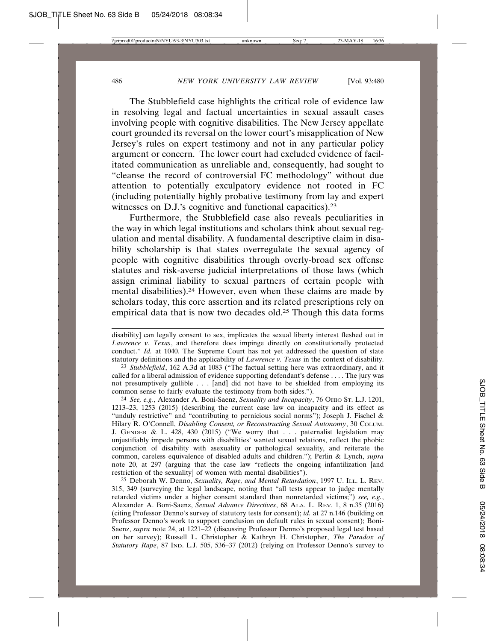The Stubblefield case highlights the critical role of evidence law in resolving legal and factual uncertainties in sexual assault cases involving people with cognitive disabilities. The New Jersey appellate court grounded its reversal on the lower court's misapplication of New Jersey's rules on expert testimony and not in any particular policy argument or concern. The lower court had excluded evidence of facilitated communication as unreliable and, consequently, had sought to "cleanse the record of controversial FC methodology" without due attention to potentially exculpatory evidence not rooted in FC (including potentially highly probative testimony from lay and expert witnesses on D.J.'s cognitive and functional capacities).<sup>23</sup>

Furthermore, the Stubblefield case also reveals peculiarities in the way in which legal institutions and scholars think about sexual regulation and mental disability. A fundamental descriptive claim in disability scholarship is that states overregulate the sexual agency of people with cognitive disabilities through overly-broad sex offense statutes and risk-averse judicial interpretations of those laws (which assign criminal liability to sexual partners of certain people with mental disabilities).24 However, even when these claims are made by scholars today, this core assertion and its related prescriptions rely on empirical data that is now two decades old.<sup>25</sup> Though this data forms

23 *Stubblefield*, 162 A.3d at 1083 ("The factual setting here was extraordinary, and it called for a liberal admission of evidence supporting defendant's defense . . . . The jury was not presumptively gullible . . . [and] did not have to be shielded from employing its common sense to fairly evaluate the testimony from both sides.").

24 *See, e.g.*, Alexander A. Boni-Saenz, *Sexuality and Incapacity*, 76 OHIO ST. L.J. 1201, 1213–23, 1253 (2015) (describing the current case law on incapacity and its effect as "unduly restrictive" and "contributing to pernicious social norms"); Joseph J. Fischel & Hilary R. O'Connell, *Disabling Consent, or Reconstructing Sexual Autonomy*, 30 COLUM. J. GENDER & L. 428, 430 (2015) ("We worry that . . . paternalist legislation may unjustifiably impede persons with disabilities' wanted sexual relations, reflect the phobic conjunction of disability with asexuality or pathological sexuality, and reiterate the common, careless equivalence of disabled adults and children."); Perlin & Lynch, *supra* note 20, at 297 (arguing that the case law "reflects the ongoing infantilization [and restriction of the sexuality] of women with mental disabilities").

25 Deborah W. Denno, *Sexuality, Rape, and Mental Retardation*, 1997 U. ILL. L. REV. 315, 349 (surveying the legal landscape, noting that "all tests appear to judge mentally retarded victims under a higher consent standard than nonretarded victims;") *see, e.g.*, Alexander A. Boni-Saenz, *Sexual Advance Directives*, 68 ALA. L. REV. 1, 8 n.35 (2016) (citing Professor Denno's survey of statutory tests for consent); *id.* at 27 n.146 (building on Professor Denno's work to support conclusion on default rules in sexual consent); Boni-Saenz, *supra* note 24, at 1221–22 (discussing Professor Denno's proposed legal test based on her survey); Russell L. Christopher & Kathryn H. Christopher, *The Paradox of Statutory Rape*, 87 IND. L.J. 505, 536–37 (2012) (relying on Professor Denno's survey to

disability] can legally consent to sex, implicates the sexual liberty interest fleshed out in *Lawrence v. Texas*, and therefore does impinge directly on constitutionally protected conduct." *Id.* at 1040. The Supreme Court has not yet addressed the question of state statutory definitions and the applicability of *Lawrence v. Texas* in the context of disability.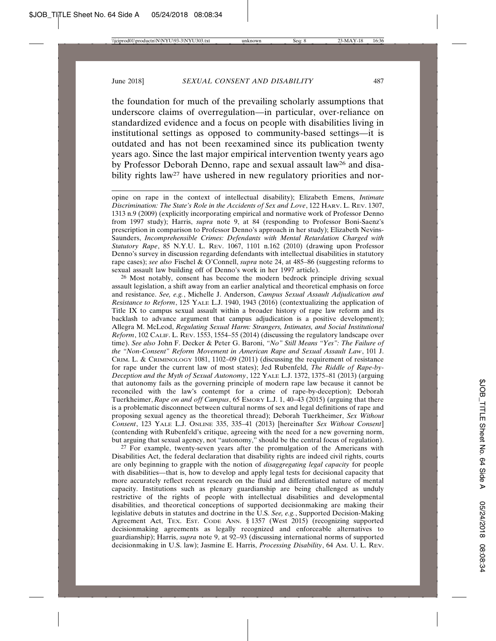the foundation for much of the prevailing scholarly assumptions that underscore claims of overregulation—in particular, over-reliance on standardized evidence and a focus on people with disabilities living in institutional settings as opposed to community-based settings—it is outdated and has not been reexamined since its publication twenty years ago. Since the last major empirical intervention twenty years ago by Professor Deborah Denno, rape and sexual assault law26 and disability rights law<sup>27</sup> have ushered in new regulatory priorities and nor-

opine on rape in the context of intellectual disability); Elizabeth Emens, *Intimate Discrimination: The State's Role in the Accidents of Sex and Love*, 122 HARV. L. REV. 1307, 1313 n.9 (2009) (explicitly incorporating empirical and normative work of Professor Denno from 1997 study); Harris, *supra* note 9, at 84 (responding to Professor Boni-Saenz's prescription in comparison to Professor Denno's approach in her study); Elizabeth Nevins-Saunders, *Incomprehensible Crimes: Defendants with Mental Retardation Charged with Statutory Rape*, 85 N.Y.U. L. REV. 1067, 1101 n.162 (2010) (drawing upon Professor Denno's survey in discussion regarding defendants with intellectual disabilities in statutory rape cases); *see also* Fischel & O'Connell, *supra* note 24, at 485–86 (suggesting reforms to sexual assault law building off of Denno's work in her 1997 article).

26 Most notably, consent has become the modern bedrock principle driving sexual assault legislation, a shift away from an earlier analytical and theoretical emphasis on force and resistance. *See, e.g.*, Michelle J. Anderson, *Campus Sexual Assault Adjudication and Resistance to Reform*, 125 YALE L.J. 1940, 1943 (2016) (contextualizing the application of Title IX to campus sexual assault within a broader history of rape law reform and its backlash to advance argument that campus adjudication is a positive development); Allegra M. McLeod, *Regulating Sexual Harm: Strangers, Intimates, and Social Institutional Reform*, 102 CALIF. L. REV. 1553, 1554–55 (2014) (discussing the regulatory landscape over time). *See also* John F. Decker & Peter G. Baroni, *"No" Still Means "Yes": The Failure of the "Non-Consent" Reform Movement in American Rape and Sexual Assault Law*, 101 J. CRIM. L. & CRIMINOLOGY 1081, 1102–09 (2011) (discussing the requirement of resistance for rape under the current law of most states); Jed Rubenfeld, *The Riddle of Rape-by-Deception and the Myth of Sexual Autonomy*, 122 YALE L.J. 1372, 1375–81 (2013) (arguing that autonomy fails as the governing principle of modern rape law because it cannot be reconciled with the law's contempt for a crime of rape-by-deception); Deborah Tuerkheimer, *Rape on and off Campus*, 65 EMORY L.J. 1, 40–43 (2015) (arguing that there is a problematic disconnect between cultural norms of sex and legal definitions of rape and proposing sexual agency as the theoretical thread); Deborah Tuerkheimer, *Sex Without Consent*, 123 YALE L.J. ONLINE 335, 335–41 (2013) [hereinafter *Sex Without Consent*] (contending with Rubenfeld's critique, agreeing with the need for a new governing norm, but arguing that sexual agency, not "autonomy," should be the central focus of regulation).

<sup>27</sup> For example, twenty-seven years after the promulgation of the Americans with Disabilities Act, the federal declaration that disability rights are indeed civil rights, courts are only beginning to grapple with the notion of *disaggregating legal capacity* for people with disabilities—that is, how to develop and apply legal tests for decisional capacity that more accurately reflect recent research on the fluid and differentiated nature of mental capacity. Institutions such as plenary guardianship are being challenged as unduly restrictive of the rights of people with intellectual disabilities and developmental disabilities, and theoretical conceptions of supported decisionmaking are making their legislative debuts in statutes and doctrine in the U.S. *See, e.g.*, Supported Decision-Making Agreement Act, TEX. Est. CODE ANN. § 1357 (West 2015) (recognizing supported decisionmaking agreements as legally recognized and enforceable alternatives to guardianship); Harris, *supra* note 9, at 92–93 (discussing international norms of supported decisionmaking in U.S. law); Jasmine E. Harris, *Processing Disability*, 64 AM. U. L. REV.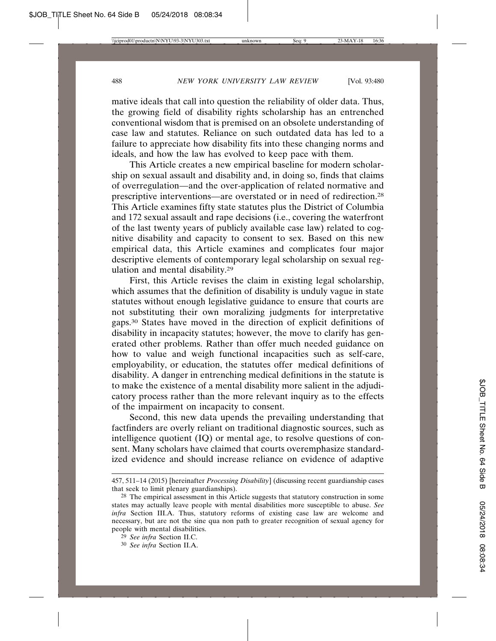mative ideals that call into question the reliability of older data. Thus, the growing field of disability rights scholarship has an entrenched conventional wisdom that is premised on an obsolete understanding of case law and statutes. Reliance on such outdated data has led to a failure to appreciate how disability fits into these changing norms and ideals, and how the law has evolved to keep pace with them.

This Article creates a new empirical baseline for modern scholarship on sexual assault and disability and, in doing so, finds that claims of overregulation—and the over-application of related normative and prescriptive interventions—are overstated or in need of redirection.28 This Article examines fifty state statutes plus the District of Columbia and 172 sexual assault and rape decisions (i.e., covering the waterfront of the last twenty years of publicly available case law) related to cognitive disability and capacity to consent to sex. Based on this new empirical data, this Article examines and complicates four major descriptive elements of contemporary legal scholarship on sexual regulation and mental disability.29

First, this Article revises the claim in existing legal scholarship, which assumes that the definition of disability is unduly vague in state statutes without enough legislative guidance to ensure that courts are not substituting their own moralizing judgments for interpretative gaps.30 States have moved in the direction of explicit definitions of disability in incapacity statutes; however, the move to clarify has generated other problems. Rather than offer much needed guidance on how to value and weigh functional incapacities such as self-care, employability, or education, the statutes offer medical definitions of disability. A danger in entrenching medical definitions in the statute is to make the existence of a mental disability more salient in the adjudicatory process rather than the more relevant inquiry as to the effects of the impairment on incapacity to consent.

Second, this new data upends the prevailing understanding that factfinders are overly reliant on traditional diagnostic sources, such as intelligence quotient (IQ) or mental age, to resolve questions of consent. Many scholars have claimed that courts overemphasize standardized evidence and should increase reliance on evidence of adaptive

<sup>457, 511–14 (2015) [</sup>hereinafter *Processing Disability*] (discussing recent guardianship cases that seek to limit plenary guardianships).

 $28$  The empirical assessment in this Article suggests that statutory construction in some states may actually leave people with mental disabilities more susceptible to abuse. *See infra* Section III.A. Thus, statutory reforms of existing case law are welcome and necessary, but are not the sine qua non path to greater recognition of sexual agency for people with mental disabilities.

<sup>29</sup> *See infra* Section II.C.

<sup>30</sup> *See infra* Section II.A.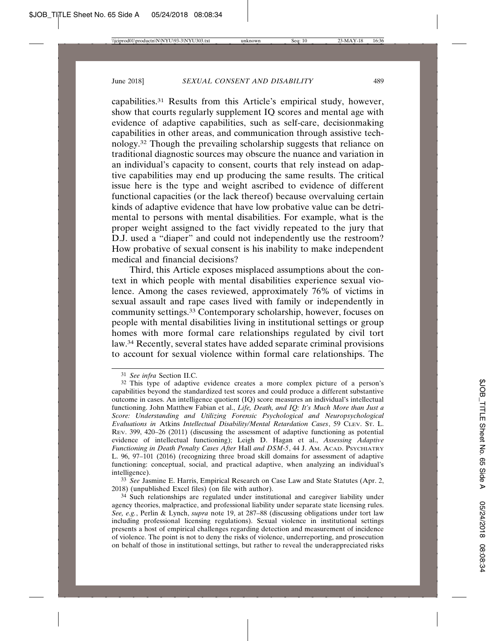capabilities.31 Results from this Article's empirical study, however, show that courts regularly supplement IQ scores and mental age with evidence of adaptive capabilities, such as self-care, decisionmaking capabilities in other areas, and communication through assistive technology.32 Though the prevailing scholarship suggests that reliance on traditional diagnostic sources may obscure the nuance and variation in an individual's capacity to consent, courts that rely instead on adaptive capabilities may end up producing the same results. The critical issue here is the type and weight ascribed to evidence of different functional capacities (or the lack thereof) because overvaluing certain kinds of adaptive evidence that have low probative value can be detrimental to persons with mental disabilities. For example, what is the proper weight assigned to the fact vividly repeated to the jury that D.J. used a "diaper" and could not independently use the restroom? How probative of sexual consent is his inability to make independent medical and financial decisions?

Third, this Article exposes misplaced assumptions about the context in which people with mental disabilities experience sexual violence. Among the cases reviewed, approximately 76% of victims in sexual assault and rape cases lived with family or independently in community settings.33 Contemporary scholarship, however, focuses on people with mental disabilities living in institutional settings or group homes with more formal care relationships regulated by civil tort law.34 Recently, several states have added separate criminal provisions to account for sexual violence within formal care relationships. The

33 *See* Jasmine E. Harris, Empirical Research on Case Law and State Statutes (Apr. 2, 2018) (unpublished Excel files) (on file with author).

<sup>31</sup> *See infra* Section II.C.

<sup>32</sup> This type of adaptive evidence creates a more complex picture of a person's capabilities beyond the standardized test scores and could produce a different substantive outcome in cases. An intelligence quotient (IQ) score measures an individual's intellectual functioning. John Matthew Fabian et al., *Life, Death, and IQ: It's Much More than Just a Score: Understanding and Utilizing Forensic Psychological and Neuropsychological Evaluations in* Atkins *Intellectual Disability/Mental Retardation Cases*, 59 CLEV. ST. L. REV. 399, 420–26 (2011) (discussing the assessment of adaptive functioning as potential evidence of intellectual functioning); Leigh D. Hagan et al., *Assessing Adaptive Functioning in Death Penalty Cases After* Hall *and DSM-5*, 44 J. AM. ACAD. PSYCHIATRY L. 96, 97–101 (2016) (recognizing three broad skill domains for assessment of adaptive functioning: conceptual, social, and practical adaptive, when analyzing an individual's intelligence).

<sup>34</sup> Such relationships are regulated under institutional and caregiver liability under agency theories, malpractice, and professional liability under separate state licensing rules. *See, e.g.*, Perlin & Lynch, *supra* note 19, at 287–88 (discussing obligations under tort law including professional licensing regulations). Sexual violence in institutional settings presents a host of empirical challenges regarding detection and measurement of incidence of violence. The point is not to deny the risks of violence, underreporting, and prosecution on behalf of those in institutional settings, but rather to reveal the underappreciated risks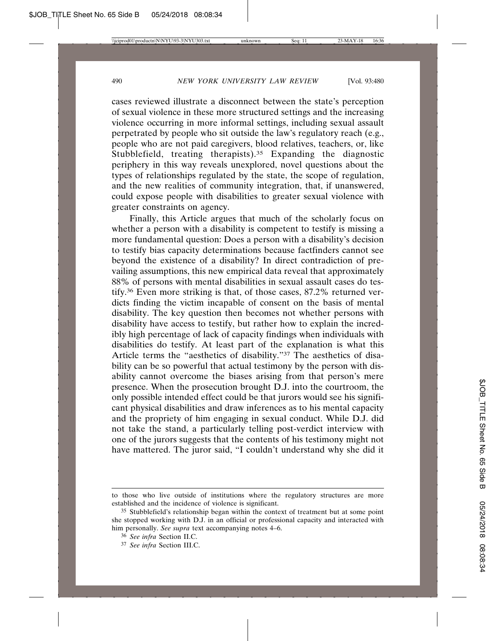cases reviewed illustrate a disconnect between the state's perception of sexual violence in these more structured settings and the increasing violence occurring in more informal settings, including sexual assault perpetrated by people who sit outside the law's regulatory reach (e.g., people who are not paid caregivers, blood relatives, teachers, or, like Stubblefield, treating therapists).<sup>35</sup> Expanding the diagnostic periphery in this way reveals unexplored, novel questions about the types of relationships regulated by the state, the scope of regulation, and the new realities of community integration, that, if unanswered, could expose people with disabilities to greater sexual violence with greater constraints on agency.

Finally, this Article argues that much of the scholarly focus on whether a person with a disability is competent to testify is missing a more fundamental question: Does a person with a disability's decision to testify bias capacity determinations because factfinders cannot see beyond the existence of a disability? In direct contradiction of prevailing assumptions, this new empirical data reveal that approximately 88% of persons with mental disabilities in sexual assault cases do testify.36 Even more striking is that, of those cases, 87.2% returned verdicts finding the victim incapable of consent on the basis of mental disability. The key question then becomes not whether persons with disability have access to testify, but rather how to explain the incredibly high percentage of lack of capacity findings when individuals with disabilities do testify. At least part of the explanation is what this Article terms the "aesthetics of disability."37 The aesthetics of disability can be so powerful that actual testimony by the person with disability cannot overcome the biases arising from that person's mere presence. When the prosecution brought D.J. into the courtroom, the only possible intended effect could be that jurors would see his significant physical disabilities and draw inferences as to his mental capacity and the propriety of him engaging in sexual conduct. While D.J. did not take the stand, a particularly telling post-verdict interview with one of the jurors suggests that the contents of his testimony might not have mattered. The juror said, "I couldn't understand why she did it

to those who live outside of institutions where the regulatory structures are more established and the incidence of violence is significant.

<sup>35</sup> Stubblefield's relationship began within the context of treatment but at some point she stopped working with D.J. in an official or professional capacity and interacted with him personally. *See supra* text accompanying notes 4–6.

<sup>36</sup> *See infra* Section II.C.

<sup>37</sup> *See infra* Section III.C.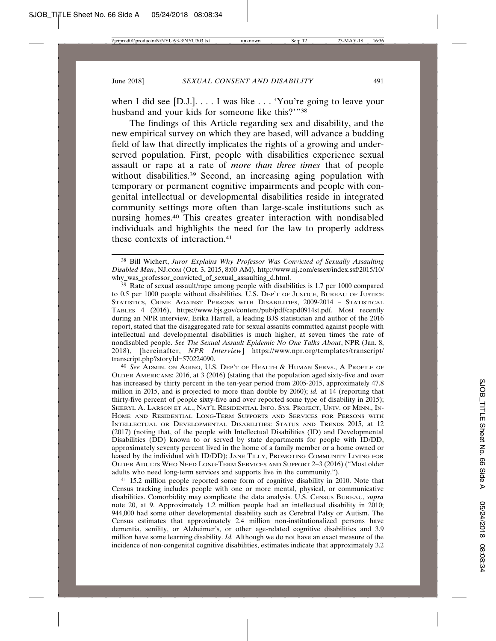when I did see [D.J.]. . . . I was like . . . 'You're going to leave your husband and your kids for someone like this?'"38

The findings of this Article regarding sex and disability, and the new empirical survey on which they are based, will advance a budding field of law that directly implicates the rights of a growing and underserved population. First, people with disabilities experience sexual assault or rape at a rate of *more than three times* that of people without disabilities.<sup>39</sup> Second, an increasing aging population with temporary or permanent cognitive impairments and people with congenital intellectual or developmental disabilities reside in integrated community settings more often than large-scale institutions such as nursing homes.40 This creates greater interaction with nondisabled individuals and highlights the need for the law to properly address these contexts of interaction.41

40 *See* ADMIN. ON AGING, U.S. DEP'T OF HEALTH & HUMAN SERVS., A PROFILE OF OLDER AMERICANS: 2016, at 3 (2016) (stating that the population aged sixty-five and over has increased by thirty percent in the ten-year period from 2005-2015, approximately 47.8 million in 2015, and is projected to more than double by 2060); *id.* at 14 (reporting that thirty-five percent of people sixty-five and over reported some type of disability in 2015); SHERYL A. LARSON ET AL., NAT'L RESIDENTIAL INFO. SYS. PROJECT, UNIV. OF MINN., IN-HOME AND RESIDENTIAL LONG-TERM SUPPORTS AND SERVICES FOR PERSONS WITH INTELLECTUAL OR DEVELOPMENTAL DISABILITIES: STATUS AND TRENDS 2015, at 12 (2017) (noting that, of the people with Intellectual Disabilities (ID) and Developmental Disabilities (DD) known to or served by state departments for people with ID/DD, approximately seventy percent lived in the home of a family member or a home owned or leased by the individual with ID/DD); JANE TILLY, PROMOTING COMMUNITY LIVING FOR OLDER ADULTS WHO NEED LONG-TERM SERVICES AND SUPPORT 2–3 (2016) ("Most older adults who need long-term services and supports live in the community.").

41 15.2 million people reported some form of cognitive disability in 2010. Note that Census tracking includes people with one or more mental, physical, or communicative disabilities. Comorbidity may complicate the data analysis. U.S. CENSUS BUREAU, *supra* note 20, at 9. Approximately 1.2 million people had an intellectual disability in 2010; 944,000 had some other developmental disability such as Cerebral Palsy or Autism. The Census estimates that approximately 2.4 million non-institutionalized persons have dementia, senility, or Alzheimer's, or other age-related cognitive disabilities and 3.9 million have some learning disability. *Id.* Although we do not have an exact measure of the incidence of non-congenital cognitive disabilities, estimates indicate that approximately 3.2

<sup>38</sup> Bill Wichert, *Juror Explains Why Professor Was Convicted of Sexually Assaulting Disabled Man*, NJ.COM (Oct. 3, 2015, 8:00 AM), http://www.nj.com/essex/index.ssf/2015/10/ why\_was\_professor\_convicted\_of\_sexual\_assaulting\_d.html.

<sup>39</sup> Rate of sexual assault/rape among people with disabilities is 1.7 per 1000 compared to 0.5 per 1000 people without disabilities. U.S. DEP'T OF JUSTICE, BUREAU OF JUSTICE STATISTICS, CRIME AGAINST PERSONS WITH DISABILITIES, 2009-2014 – STATISTICAL TABLES 4 (2016), https://www.bjs.gov/content/pub/pdf/capd0914st.pdf. Most recently during an NPR interview, Erika Harrell, a leading BJS statistician and author of the 2016 report, stated that the disaggregated rate for sexual assaults committed against people with intellectual and developmental disabilities is much higher, at seven times the rate of nondisabled people. *See The Sexual Assault Epidemic No One Talks About*, NPR (Jan. 8, 2018), [hereinafter, *NPR Interview*] https://www.npr.org/templates/transcript/ transcript.php?storyId=570224090.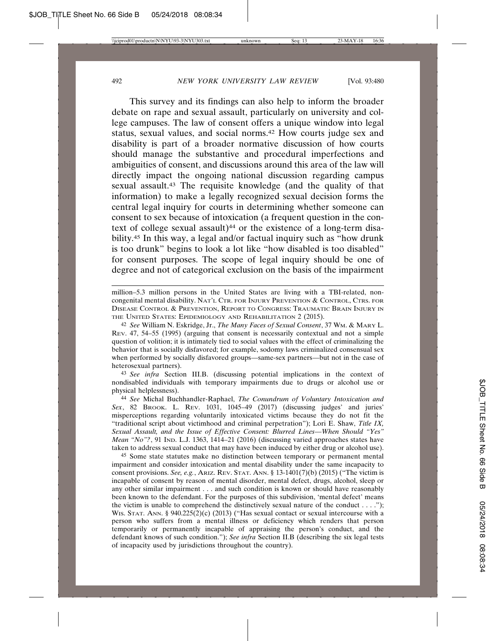This survey and its findings can also help to inform the broader debate on rape and sexual assault, particularly on university and college campuses. The law of consent offers a unique window into legal status, sexual values, and social norms.42 How courts judge sex and disability is part of a broader normative discussion of how courts should manage the substantive and procedural imperfections and ambiguities of consent, and discussions around this area of the law will directly impact the ongoing national discussion regarding campus sexual assault.<sup>43</sup> The requisite knowledge (and the quality of that information) to make a legally recognized sexual decision forms the central legal inquiry for courts in determining whether someone can consent to sex because of intoxication (a frequent question in the context of college sexual assault)<sup>44</sup> or the existence of a long-term disability.45 In this way, a legal and/or factual inquiry such as "how drunk is too drunk" begins to look a lot like "how disabled is too disabled" for consent purposes. The scope of legal inquiry should be one of degree and not of categorical exclusion on the basis of the impairment

million–5.3 million persons in the United States are living with a TBI-related, noncongenital mental disability. NAT'L CTR. FOR INJURY PREVENTION & CONTROL, CTRS. FOR DISEASE CONTROL & PREVENTION, REPORT TO CONGRESS: TRAUMATIC BRAIN INJURY IN THE UNITED STATES: EPIDEMIOLOGY AND REHABILITATION 2 (2015).

42 *See* William N. Eskridge, Jr., *The Many Faces of Sexual Consent*, 37 WM. & MARY L. REV. 47, 54–55 (1995) (arguing that consent is necessarily contextual and not a simple question of volition; it is intimately tied to social values with the effect of criminalizing the behavior that is socially disfavored; for example, sodomy laws criminalized consensual sex when performed by socially disfavored groups—same-sex partners—but not in the case of heterosexual partners).

43 *See infra* Section III.B. (discussing potential implications in the context of nondisabled individuals with temporary impairments due to drugs or alcohol use or physical helplessness).

44 *See* Michal Buchhandler-Raphael, *The Conundrum of Voluntary Intoxication and Sex*, 82 BROOK. L. REV. 1031, 1045–49 (2017) (discussing judges' and juries' misperceptions regarding voluntarily intoxicated victims because they do not fit the "traditional script about victimhood and criminal perpetration"); Lori E. Shaw, *Title IX, Sexual Assault, and the Issue of Effective Consent: Blurred Lines—When Should "Yes" Mean* "No"?, 91 IND. L.J. 1363, 1414–21 (2016) (discussing varied approaches states have taken to address sexual conduct that may have been induced by either drug or alcohol use).

45 Some state statutes make no distinction between temporary or permanent mental impairment and consider intoxication and mental disability under the same incapacity to consent provisions. *See, e.g.*, ARIZ. REV. STAT. ANN. § 13-1401(7)(b) (2015) ("The victim is incapable of consent by reason of mental disorder, mental defect, drugs, alcohol, sleep or any other similar impairment . . . and such condition is known or should have reasonably been known to the defendant. For the purposes of this subdivision, 'mental defect' means the victim is unable to comprehend the distinctively sexual nature of the conduct  $\dots$ ."); WIS. STAT. ANN. § 940.225(2)(c) (2013) ("Has sexual contact or sexual intercourse with a person who suffers from a mental illness or deficiency which renders that person temporarily or permanently incapable of appraising the person's conduct, and the defendant knows of such condition."); *See infra* Section II.B (describing the six legal tests of incapacity used by jurisdictions throughout the country).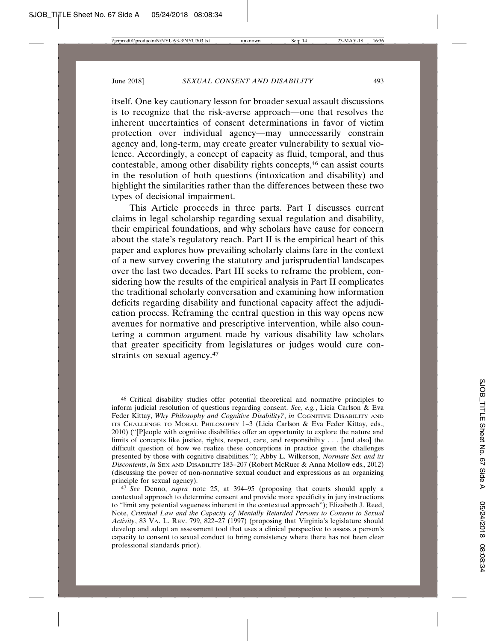itself. One key cautionary lesson for broader sexual assault discussions is to recognize that the risk-averse approach—one that resolves the inherent uncertainties of consent determinations in favor of victim protection over individual agency—may unnecessarily constrain agency and, long-term, may create greater vulnerability to sexual violence. Accordingly, a concept of capacity as fluid, temporal, and thus contestable, among other disability rights concepts,46 can assist courts in the resolution of both questions (intoxication and disability) and highlight the similarities rather than the differences between these two types of decisional impairment.

This Article proceeds in three parts. Part I discusses current claims in legal scholarship regarding sexual regulation and disability, their empirical foundations, and why scholars have cause for concern about the state's regulatory reach. Part II is the empirical heart of this paper and explores how prevailing scholarly claims fare in the context of a new survey covering the statutory and jurisprudential landscapes over the last two decades. Part III seeks to reframe the problem, considering how the results of the empirical analysis in Part II complicates the traditional scholarly conversation and examining how information deficits regarding disability and functional capacity affect the adjudication process. Reframing the central question in this way opens new avenues for normative and prescriptive intervention, while also countering a common argument made by various disability law scholars that greater specificity from legislatures or judges would cure constraints on sexual agency.<sup>47</sup>

<sup>46</sup> Critical disability studies offer potential theoretical and normative principles to inform judicial resolution of questions regarding consent. *See, e.g.*, Licia Carlson & Eva Feder Kittay, *Why Philosophy and Cognitive Disability?*, *in* COGNITIVE DISABILITY AND ITS CHALLENGE TO MORAL PHILOSOPHY 1–3 (Licia Carlson & Eva Feder Kittay, eds., 2010) ("[P]eople with cognitive disabilities offer an opportunity to explore the nature and limits of concepts like justice, rights, respect, care, and responsibility . . . [and also] the difficult question of how we realize these conceptions in practice given the challenges presented by those with cognitive disabilities."); Abby L. Wilkerson, *Normate Sex and its Discontents*, *in* SEX AND DISABILITY 183–207 (Robert McRuer & Anna Mollow eds., 2012) (discussing the power of non-normative sexual conduct and expressions as an organizing principle for sexual agency).

<sup>47</sup> *See* Denno, *supra* note 25, at 394–95 (proposing that courts should apply a contextual approach to determine consent and provide more specificity in jury instructions to "limit any potential vagueness inherent in the contextual approach"); Elizabeth J. Reed, Note, *Criminal Law and the Capacity of Mentally Retarded Persons to Consent to Sexual Activity*, 83 VA. L. REV. 799, 822–27 (1997) (proposing that Virginia's legislature should develop and adopt an assessment tool that uses a clinical perspective to assess a person's capacity to consent to sexual conduct to bring consistency where there has not been clear professional standards prior).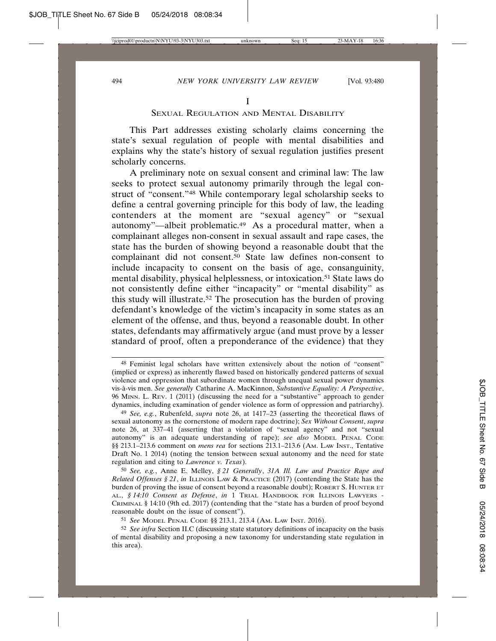#### SEXUAL REGULATION AND MENTAL DISABILITY

This Part addresses existing scholarly claims concerning the state's sexual regulation of people with mental disabilities and explains why the state's history of sexual regulation justifies present scholarly concerns.

A preliminary note on sexual consent and criminal law: The law seeks to protect sexual autonomy primarily through the legal construct of "consent."48 While contemporary legal scholarship seeks to define a central governing principle for this body of law, the leading contenders at the moment are "sexual agency" or "sexual autonomy"—albeit problematic.<sup>49</sup> As a procedural matter, when a complainant alleges non-consent in sexual assault and rape cases, the state has the burden of showing beyond a reasonable doubt that the complainant did not consent.50 State law defines non-consent to include incapacity to consent on the basis of age, consanguinity, mental disability, physical helplessness, or intoxication.51 State laws do not consistently define either "incapacity" or "mental disability" as this study will illustrate.52 The prosecution has the burden of proving defendant's knowledge of the victim's incapacity in some states as an element of the offense, and thus, beyond a reasonable doubt. In other states, defendants may affirmatively argue (and must prove by a lesser standard of proof, often a preponderance of the evidence) that they

<sup>48</sup> Feminist legal scholars have written extensively about the notion of "consent" (implied or express) as inherently flawed based on historically gendered patterns of sexual violence and oppression that subordinate women through unequal sexual power dynamics vis- `a-vis men. *See generally* Catharine A. MacKinnon, *Substantive Equality: A Perspective*, 96 MINN. L. REV. 1 (2011) (discussing the need for a "substantive" approach to gender dynamics, including examination of gender violence as form of oppression and patriarchy).

<sup>49</sup> *See, e.g.*, Rubenfeld, *supra* note 26, at 1417–23 (asserting the theoretical flaws of sexual autonomy as the cornerstone of modern rape doctrine); *Sex Without Consent*, *supra* note 26, at 337–41 (asserting that a violation of "sexual agency" and not "sexual autonomy" is an adequate understanding of rape); *see also* MODEL PENAL CODE §§ 213.1–213.6 comment on *mens rea* for sections 213.1–213.6 (AM. LAW INST., Tentative Draft No. 1 2014) (noting the tension between sexual autonomy and the need for state regulation and citing to *Lawrence v. Texas*).

<sup>50</sup> *See, e.g.*, Anne E. Melley, *§ 21 Generally*, *31A Ill. Law and Practice Rape and Related Offenses § 21*, *in* ILLINOIS LAW & PRACTICE (2017) (contending the State has the burden of proving the issue of consent beyond a reasonable doubt); ROBERT S. HUNTER ET AL., *§ 14:10 Consent as Defense*, *in* 1 TRIAL HANDBOOK FOR ILLINOIS LAWYERS - CRIMINAL § 14:10 (9th ed. 2017) (contending that the "state has a burden of proof beyond reasonable doubt on the issue of consent").

<sup>51</sup> *See* MODEL PENAL CODE §§ 213.1, 213.4 (AM. LAW INST. 2016).

<sup>52</sup> *See infra* Section II.C (discussing state statutory definitions of incapacity on the basis of mental disability and proposing a new taxonomy for understanding state regulation in this area).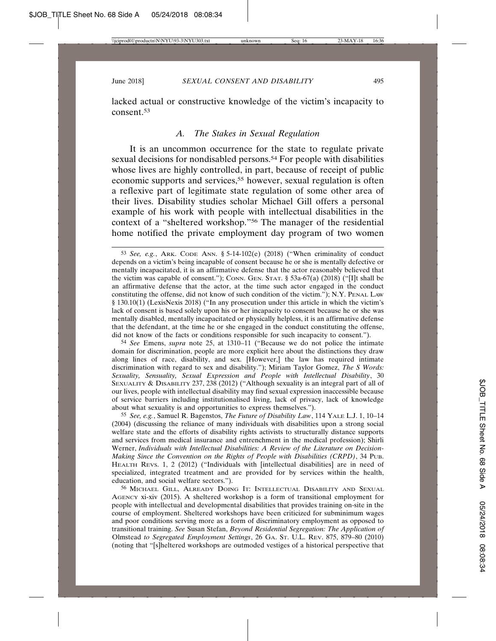lacked actual or constructive knowledge of the victim's incapacity to consent.53

### *A. The Stakes in Sexual Regulation*

It is an uncommon occurrence for the state to regulate private sexual decisions for nondisabled persons.<sup>54</sup> For people with disabilities whose lives are highly controlled, in part, because of receipt of public economic supports and services,<sup>55</sup> however, sexual regulation is often a reflexive part of legitimate state regulation of some other area of their lives. Disability studies scholar Michael Gill offers a personal example of his work with people with intellectual disabilities in the context of a "sheltered workshop."56 The manager of the residential home notified the private employment day program of two women

54 *See* Emens, *supra* note 25, at 1310–11 ("Because we do not police the intimate domain for discrimination, people are more explicit here about the distinctions they draw along lines of race, disability, and sex. [However,] the law has required intimate discrimination with regard to sex and disability."); Miriam Taylor Gomez, *The S Words: Sexuality, Sensuality, Sexual Expression and People with Intellectual Disability*, 30 SEXUALITY & DISABILITY 237, 238 (2012) ("Although sexuality is an integral part of all of our lives, people with intellectual disability may find sexual expression inaccessible because of service barriers including institutionalised living, lack of privacy, lack of knowledge about what sexuality is and opportunities to express themselves.").

55 *See, e.g.*, Samuel R. Bagenstos, *The Future of Disability Law*, 114 YALE L.J. 1, 10–14 (2004) (discussing the reliance of many individuals with disabilities upon a strong social welfare state and the efforts of disability rights activists to structurally distance supports and services from medical insurance and entrenchment in the medical profession); Shirli Werner, *Individuals with Intellectual Disabilities: A Review of the Literature on Decision-Making Since the Convention on the Rights of People with Disabilities (CRPD)*, 34 PUB. HEALTH REVS. 1, 2 (2012) ("Individuals with [intellectual disabilities] are in need of specialized, integrated treatment and are provided for by services within the health, education, and social welfare sectors.").

56 MICHAEL GILL, ALREADY DOING IT: INTELLECTUAL DISABILITY AND SEXUAL AGENCY xi-xiv (2015). A sheltered workshop is a form of transitional employment for people with intellectual and developmental disabilities that provides training on-site in the course of employment. Sheltered workshops have been criticized for subminimum wages and poor conditions serving more as a form of discriminatory employment as opposed to transitional training. *See* Susan Stefan, *Beyond Residential Segregation: The Application of* Olmstead *to Segregated Employment Settings*, 26 GA. ST. U.L. REV. 875, 879–80 (2010) (noting that "[s]heltered workshops are outmoded vestiges of a historical perspective that

<sup>53</sup> *See, e.g.*, ARK. CODE ANN. § 5-14-102(e) (2018) ("When criminality of conduct depends on a victim's being incapable of consent because he or she is mentally defective or mentally incapacitated, it is an affirmative defense that the actor reasonably believed that the victim was capable of consent."); CONN. GEN. STAT. § 53a-67(a) (2018) ("[I]t shall be an affirmative defense that the actor, at the time such actor engaged in the conduct constituting the offense, did not know of such condition of the victim."); N.Y. PENAL LAW § 130.10(1) (LexisNexis 2018) ("In any prosecution under this article in which the victim's lack of consent is based solely upon his or her incapacity to consent because he or she was mentally disabled, mentally incapacitated or physically helpless, it is an affirmative defense that the defendant, at the time he or she engaged in the conduct constituting the offense, did not know of the facts or conditions responsible for such incapacity to consent.").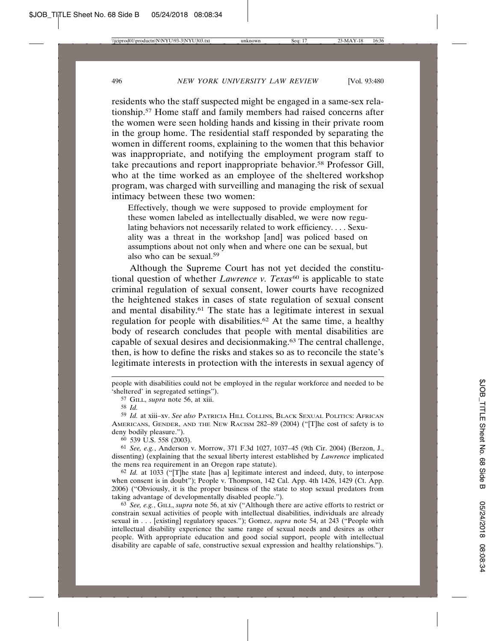residents who the staff suspected might be engaged in a same-sex relationship.57 Home staff and family members had raised concerns after the women were seen holding hands and kissing in their private room in the group home. The residential staff responded by separating the women in different rooms, explaining to the women that this behavior was inappropriate, and notifying the employment program staff to take precautions and report inappropriate behavior.<sup>58</sup> Professor Gill, who at the time worked as an employee of the sheltered workshop program, was charged with surveilling and managing the risk of sexual intimacy between these two women:

Effectively, though we were supposed to provide employment for these women labeled as intellectually disabled, we were now regulating behaviors not necessarily related to work efficiency. . . . Sexuality was a threat in the workshop [and] was policed based on assumptions about not only when and where one can be sexual, but also who can be sexual.59

Although the Supreme Court has not yet decided the constitutional question of whether *Lawrence v. Texas<sup>60</sup>* is applicable to state criminal regulation of sexual consent, lower courts have recognized the heightened stakes in cases of state regulation of sexual consent and mental disability.61 The state has a legitimate interest in sexual regulation for people with disabilities.<sup>62</sup> At the same time, a healthy body of research concludes that people with mental disabilities are capable of sexual desires and decisionmaking.63 The central challenge, then, is how to define the risks and stakes so as to reconcile the state's legitimate interests in protection with the interests in sexual agency of

people with disabilities could not be employed in the regular workforce and needed to be 'sheltered' in segregated settings").

59 *Id.* at xiii–xv. *See also* PATRICIA HILL COLLINS, BLACK SEXUAL POLITICS: AFRICAN AMERICANS, GENDER, AND THE NEW RACISM 282–89 (2004) ("[T]he cost of safety is to deny bodily pleasure.").

60 539 U.S. 558 (2003).

61 *See, e.g.*, Anderson v. Morrow, 371 F.3d 1027, 1037–45 (9th Cir. 2004) (Berzon, J., dissenting) (explaining that the sexual liberty interest established by *Lawrence* implicated the mens rea requirement in an Oregon rape statute).

62 *Id.* at 1033 ("[T]he state [has a] legitimate interest and indeed, duty, to interpose when consent is in doubt"); People v. Thompson, 142 Cal. App. 4th 1426, 1429 (Ct. App. 2006) ("Obviously, it is the proper business of the state to stop sexual predators from taking advantage of developmentally disabled people.").

63 *See, e.g.*, GILL, *supra* note 56, at xiv ("Although there are active efforts to restrict or constrain sexual activities of people with intellectual disabilities, individuals are already sexual in . . . [existing] regulatory spaces."); Gomez, *supra* note 54, at 243 ("People with intellectual disability experience the same range of sexual needs and desires as other people. With appropriate education and good social support, people with intellectual disability are capable of safe, constructive sexual expression and healthy relationships.").

<sup>57</sup> GILL, *supra* note 56, at xiii.

<sup>58</sup> *Id.*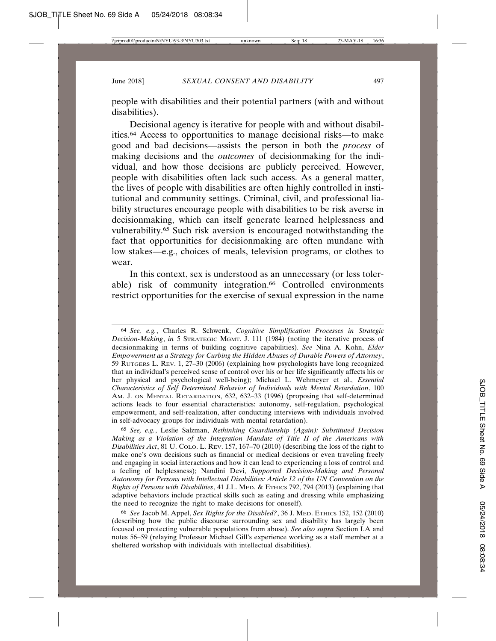people with disabilities and their potential partners (with and without disabilities).

Decisional agency is iterative for people with and without disabilities.64 Access to opportunities to manage decisional risks—to make good and bad decisions—assists the person in both the *process* of making decisions and the *outcomes* of decisionmaking for the individual, and how those decisions are publicly perceived. However, people with disabilities often lack such access. As a general matter, the lives of people with disabilities are often highly controlled in institutional and community settings. Criminal, civil, and professional liability structures encourage people with disabilities to be risk averse in decisionmaking, which can itself generate learned helplessness and vulnerability.65 Such risk aversion is encouraged notwithstanding the fact that opportunities for decisionmaking are often mundane with low stakes—e.g., choices of meals, television programs, or clothes to wear.

In this context, sex is understood as an unnecessary (or less tolerable) risk of community integration.<sup>66</sup> Controlled environments restrict opportunities for the exercise of sexual expression in the name

65 *See, e.g.*, Leslie Salzman, *Rethinking Guardianship (Again): Substituted Decision Making as a Violation of the Integration Mandate of Title II of the Americans with Disabilities Act*, 81 U. COLO. L. REV. 157, 167–70 (2010) (describing the loss of the right to make one's own decisions such as financial or medical decisions or even traveling freely and engaging in social interactions and how it can lead to experiencing a loss of control and a feeling of helplessness); Nandini Devi, *Supported Decision-Making and Personal Autonomy for Persons with Intellectual Disabilities: Article 12 of the UN Convention on the Rights of Persons with Disabilities*, 41 J.L. MED. & ETHICS 792, 794 (2013) (explaining that adaptive behaviors include practical skills such as eating and dressing while emphasizing the need to recognize the right to make decisions for oneself).

66 *See* Jacob M. Appel, *Sex Rights for the Disabled?*, 36 J. MED. ETHICS 152, 152 (2010) (describing how the public discourse surrounding sex and disability has largely been focused on protecting vulnerable populations from abuse). *See also supra* Section I.A and notes 56–59 (relaying Professor Michael Gill's experience working as a staff member at a sheltered workshop with individuals with intellectual disabilities).

<sup>64</sup> *See, e.g.*, Charles R. Schwenk, *Cognitive Simplification Processes in Strategic Decision-Making*, *in* 5 STRATEGIC MGMT. J. 111 (1984) (noting the iterative process of decisionmaking in terms of building cognitive capabilities). *See* Nina A. Kohn, *Elder Empowerment as a Strategy for Curbing the Hidden Abuses of Durable Powers of Attorney*, 59 RUTGERS L. REV. 1, 27–30 (2006) (explaining how psychologists have long recognized that an individual's perceived sense of control over his or her life significantly affects his or her physical and psychological well-being); Michael L. Wehmeyer et al., *Essential Characteristics of Self Determined Behavior of Individuals with Mental Retardation*, 100 AM. J. ON MENTAL RETARDATION, 632, 632–33 (1996) (proposing that self-determined actions leads to four essential characteristics: autonomy, self-regulation, psychological empowerment, and self-realization, after conducting interviews with individuals involved in self-advocacy groups for individuals with mental retardation).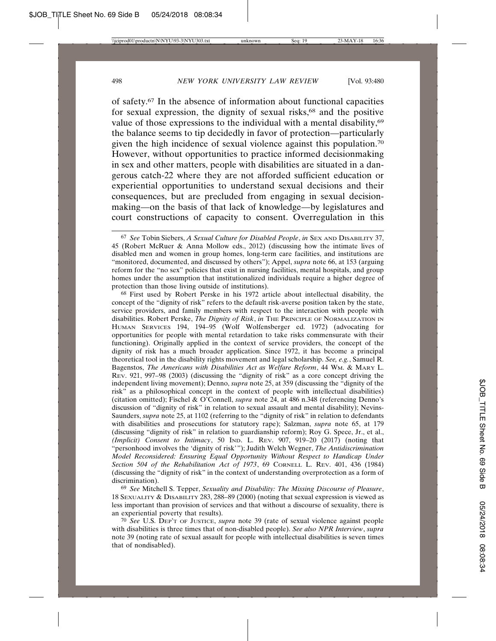of safety.67 In the absence of information about functional capacities for sexual expression, the dignity of sexual risks,<sup>68</sup> and the positive value of those expressions to the individual with a mental disability,<sup>69</sup> the balance seems to tip decidedly in favor of protection—particularly given the high incidence of sexual violence against this population.70 However, without opportunities to practice informed decisionmaking in sex and other matters, people with disabilities are situated in a dangerous catch-22 where they are not afforded sufficient education or experiential opportunities to understand sexual decisions and their consequences, but are precluded from engaging in sexual decisionmaking—on the basis of that lack of knowledge—by legislatures and court constructions of capacity to consent. Overregulation in this

68 First used by Robert Perske in his 1972 article about intellectual disability, the concept of the "dignity of risk" refers to the default risk-averse position taken by the state, service providers, and family members with respect to the interaction with people with disabilities. Robert Perske, *The Dignity of Risk*, *in* THE PRINCIPLE OF NORMALIZATION IN HUMAN SERVICES 194, 194–95 (Wolf Wolfensberger ed. 1972) (advocating for opportunities for people with mental retardation to take risks commensurate with their functioning). Originally applied in the context of service providers, the concept of the dignity of risk has a much broader application. Since 1972, it has become a principal theoretical tool in the disability rights movement and legal scholarship. *See, e.g.*, Samuel R. Bagenstos, *The Americans with Disabilities Act as Welfare Reform*, 44 WM. & MARY L. REV. 921, 997–98 (2003) (discussing the "dignity of risk" as a core concept driving the independent living movement); Denno, *supra* note 25, at 359 (discussing the "dignity of the risk" as a philosophical concept in the context of people with intellectual disabilities) (citation omitted); Fischel & O'Connell, *supra* note 24, at 486 n.348 (referencing Denno's discussion of "dignity of risk" in relation to sexual assault and mental disability); Nevins-Saunders, *supra* note 25, at 1102 (referring to the "dignity of risk" in relation to defendants with disabilities and prosecutions for statutory rape); Salzman, *supra* note 65, at 179 (discussing "dignity of risk" in relation to guardianship reform); Roy G. Spece, Jr., et al., *(Implicit) Consent to Intimacy*, 50 IND. L. REV. 907, 919–20 (2017) (noting that "personhood involves the 'dignity of risk'"); Judith Welch Wegner, *The Antidiscrimination Model Reconsidered: Ensuring Equal Opportunity Without Respect to Handicap Under Section 504 of the Rehabilitation Act of 1973*, 69 CORNELL L. REV. 401, 436 (1984) (discussing the "dignity of risk" in the context of understanding overprotection as a form of discrimination).

69 *See* Mitchell S. Tepper, *Sexuality and Disability: The Missing Discourse of Pleasure*, 18 SEXUALITY & DISABILITY 283, 288–89 (2000) (noting that sexual expression is viewed as less important than provision of services and that without a discourse of sexuality, there is an experiential poverty that results).

70 *See* U.S. DEP'T OF JUSTICE, *supra* note 39 (rate of sexual violence against people with disabilities is three times that of non-disabled people). *See also NPR Interview*, *supra* note 39 (noting rate of sexual assault for people with intellectual disabilities is seven times that of nondisabled).

<sup>67</sup> *See* Tobin Siebers, *A Sexual Culture for Disabled People*, *in* SEX AND DISABILITY 37, 45 (Robert McRuer & Anna Mollow eds., 2012) (discussing how the intimate lives of disabled men and women in group homes, long-term care facilities, and institutions are "monitored, documented, and discussed by others"); Appel, *supra* note 66, at 153 (arguing reform for the "no sex" policies that exist in nursing facilities, mental hospitals, and group homes under the assumption that institutionalized individuals require a higher degree of protection than those living outside of institutions).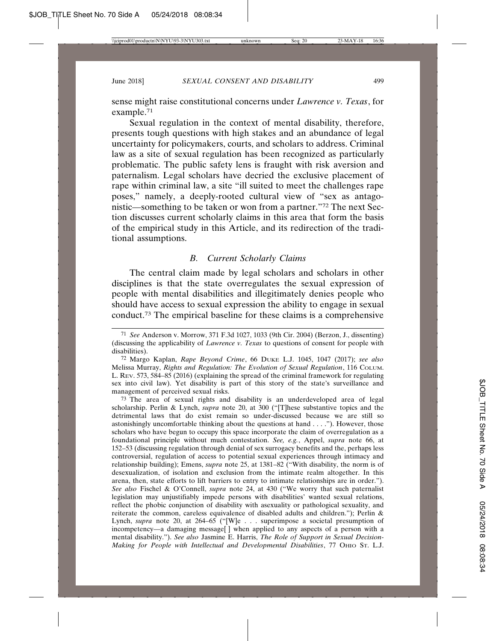sense might raise constitutional concerns under *Lawrence v. Texas*, for example.71

Sexual regulation in the context of mental disability, therefore, presents tough questions with high stakes and an abundance of legal uncertainty for policymakers, courts, and scholars to address. Criminal law as a site of sexual regulation has been recognized as particularly problematic. The public safety lens is fraught with risk aversion and paternalism. Legal scholars have decried the exclusive placement of rape within criminal law, a site "ill suited to meet the challenges rape poses," namely, a deeply-rooted cultural view of "sex as antagonistic—something to be taken or won from a partner."72 The next Section discusses current scholarly claims in this area that form the basis of the empirical study in this Article, and its redirection of the traditional assumptions.

## *B. Current Scholarly Claims*

The central claim made by legal scholars and scholars in other disciplines is that the state overregulates the sexual expression of people with mental disabilities and illegitimately denies people who should have access to sexual expression the ability to engage in sexual conduct.73 The empirical baseline for these claims is a comprehensive

73 The area of sexual rights and disability is an underdeveloped area of legal scholarship. Perlin & Lynch, *supra* note 20, at 300 ("[T]hese substantive topics and the detrimental laws that do exist remain so under-discussed because we are still so astonishingly uncomfortable thinking about the questions at hand . . . ."). However, those scholars who have begun to occupy this space incorporate the claim of overregulation as a foundational principle without much contestation. *See, e.g.*, Appel, *supra* note 66, at 152–53 (discussing regulation through denial of sex surrogacy benefits and the, perhaps less controversial, regulation of access to potential sexual experiences through intimacy and relationship building); Emens, *supra* note 25, at 1381–82 ("With disability, the norm is of desexualization, of isolation and exclusion from the intimate realm altogether. In this arena, then, state efforts to lift barriers to entry to intimate relationships are in order."). *See also* Fischel & O'Connell, *supra* note 24, at 430 ("We worry that such paternalist legislation may unjustifiably impede persons with disabilities' wanted sexual relations, reflect the phobic conjunction of disability with asexuality or pathological sexuality, and reiterate the common, careless equivalence of disabled adults and children."); Perlin & Lynch, *supra* note 20, at 264–65 ("[W]e . . . superimpose a societal presumption of incompetency—a damaging message[ ] when applied to any aspects of a person with a mental disability."). *See also* Jasmine E. Harris, *The Role of Support in Sexual Decision-Making for People with Intellectual and Developmental Disabilities*, 77 OHIO ST. L.J.

<sup>71</sup> *See* Anderson v. Morrow, 371 F.3d 1027, 1033 (9th Cir. 2004) (Berzon, J., dissenting) (discussing the applicability of *Lawrence v. Texas* to questions of consent for people with disabilities).

<sup>72</sup> Margo Kaplan, *Rape Beyond Crime*, 66 DUKE L.J. 1045, 1047 (2017); *see also* Melissa Murray, *Rights and Regulation: The Evolution of Sexual Regulation*, 116 COLUM. L. REV. 573, 584–85 (2016) (explaining the spread of the criminal framework for regulating sex into civil law). Yet disability is part of this story of the state's surveillance and management of perceived sexual risks.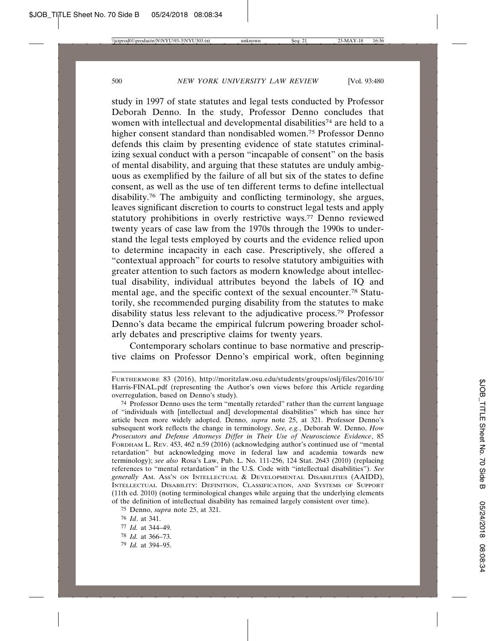study in 1997 of state statutes and legal tests conducted by Professor Deborah Denno. In the study, Professor Denno concludes that women with intellectual and developmental disabilities<sup>74</sup> are held to a higher consent standard than nondisabled women.75 Professor Denno defends this claim by presenting evidence of state statutes criminalizing sexual conduct with a person "incapable of consent" on the basis of mental disability, and arguing that these statutes are unduly ambiguous as exemplified by the failure of all but six of the states to define consent, as well as the use of ten different terms to define intellectual disability.76 The ambiguity and conflicting terminology, she argues, leaves significant discretion to courts to construct legal tests and apply statutory prohibitions in overly restrictive ways.77 Denno reviewed twenty years of case law from the 1970s through the 1990s to understand the legal tests employed by courts and the evidence relied upon to determine incapacity in each case. Prescriptively, she offered a "contextual approach" for courts to resolve statutory ambiguities with greater attention to such factors as modern knowledge about intellectual disability, individual attributes beyond the labels of IQ and mental age, and the specific context of the sexual encounter.78 Statutorily, she recommended purging disability from the statutes to make disability status less relevant to the adjudicative process.79 Professor Denno's data became the empirical fulcrum powering broader scholarly debates and prescriptive claims for twenty years.

Contemporary scholars continue to base normative and prescriptive claims on Professor Denno's empirical work, often beginning

- 77 *Id.* at 344–49.
- 78 *Id.* at 366–73.
- 79 *Id.* at 394–95.

FURTHERMORE 83 (2016), http://moritzlaw.osu.edu/students/groups/oslj/files/2016/10/ Harris-FINAL.pdf (representing the Author's own views before this Article regarding overregulation, based on Denno's study).

<sup>74</sup> Professor Denno uses the term "mentally retarded" rather than the current language of "individuals with [intellectual and] developmental disabilities" which has since her article been more widely adopted. Denno, *supra* note 25, at 321. Professor Denno's subsequent work reflects the change in terminology. *See, e.g.*, Deborah W. Denno, *How Prosecutors and Defense Attorneys Differ in Their Use of Neuroscience Evidence*, 85 FORDHAM L. REV. 453, 462 n.59 (2016) (acknowledging author's continued use of "mental retardation" but acknowledging move in federal law and academia towards new terminology); *see also* Rosa's Law, Pub. L. No. 111-256, 124 Stat. 2643 (2010) (replacing references to "mental retardation" in the U.S. Code with "intellectual disabilities"). *See generally* AM. ASS'N ON INTELLECTUAL & DEVELOPMENTAL DISABILITIES (AAIDD), INTELLECTUAL DISABILITY: DEFINITION, CLASSIFICATION, AND SYSTEMS OF SUPPORT (11th ed. 2010) (noting terminological changes while arguing that the underlying elements of the definition of intellectual disability has remained largely consistent over time).

<sup>75</sup> Denno, *supra* note 25, at 321.

<sup>76</sup> *Id*. at 341.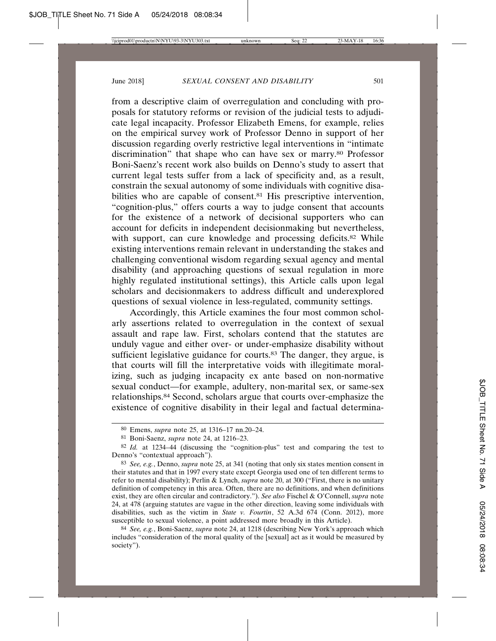from a descriptive claim of overregulation and concluding with proposals for statutory reforms or revision of the judicial tests to adjudicate legal incapacity. Professor Elizabeth Emens, for example, relies on the empirical survey work of Professor Denno in support of her discussion regarding overly restrictive legal interventions in "intimate discrimination" that shape who can have sex or marry.<sup>80</sup> Professor Boni-Saenz's recent work also builds on Denno's study to assert that current legal tests suffer from a lack of specificity and, as a result, constrain the sexual autonomy of some individuals with cognitive disabilities who are capable of consent.<sup>81</sup> His prescriptive intervention, "cognition-plus," offers courts a way to judge consent that accounts for the existence of a network of decisional supporters who can account for deficits in independent decisionmaking but nevertheless, with support, can cure knowledge and processing deficits.<sup>82</sup> While existing interventions remain relevant in understanding the stakes and challenging conventional wisdom regarding sexual agency and mental disability (and approaching questions of sexual regulation in more highly regulated institutional settings), this Article calls upon legal scholars and decisionmakers to address difficult and underexplored questions of sexual violence in less-regulated, community settings.

Accordingly, this Article examines the four most common scholarly assertions related to overregulation in the context of sexual assault and rape law. First, scholars contend that the statutes are unduly vague and either over- or under-emphasize disability without sufficient legislative guidance for courts.<sup>83</sup> The danger, they argue, is that courts will fill the interpretative voids with illegitimate moralizing, such as judging incapacity ex ante based on non-normative sexual conduct—for example, adultery, non-marital sex, or same-sex relationships.84 Second, scholars argue that courts over-emphasize the existence of cognitive disability in their legal and factual determina-

<sup>80</sup> Emens, *supra* note 25, at 1316–17 nn.20–24.

<sup>81</sup> Boni-Saenz, *supra* note 24, at 1216–23.

<sup>82</sup> *Id.* at 1234–44 (discussing the "cognition-plus" test and comparing the test to Denno's "contextual approach").

<sup>83</sup> *See, e.g.*, Denno, *supra* note 25, at 341 (noting that only six states mention consent in their statutes and that in 1997 every state except Georgia used one of ten different terms to refer to mental disability); Perlin & Lynch, *supra* note 20, at 300 ("First, there is no unitary definition of competency in this area. Often, there are no definitions, and when definitions exist, they are often circular and contradictory."). *See also* Fischel & O'Connell, *supra* note 24, at 478 (arguing statutes are vague in the other direction, leaving some individuals with disabilities, such as the victim in *State v. Fourtin*, 52 A.3d 674 (Conn. 2012), more susceptible to sexual violence, a point addressed more broadly in this Article).

<sup>84</sup> *See, e.g.*, Boni-Saenz, *supra* note 24, at 1218 (describing New York's approach which includes "consideration of the moral quality of the [sexual] act as it would be measured by society").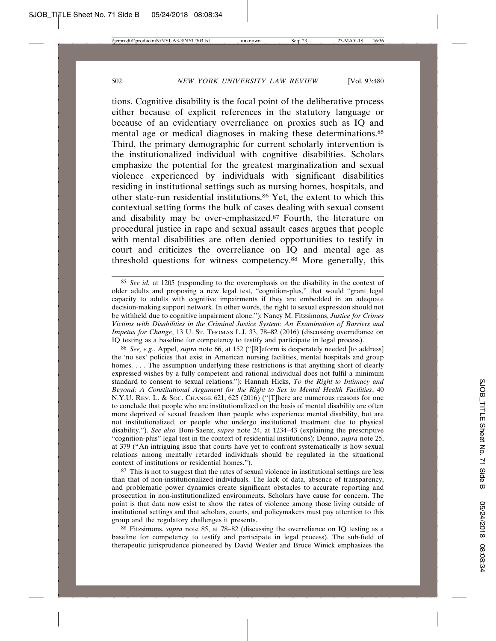tions. Cognitive disability is the focal point of the deliberative process either because of explicit references in the statutory language or because of an evidentiary overreliance on proxies such as IQ and mental age or medical diagnoses in making these determinations.85 Third, the primary demographic for current scholarly intervention is the institutionalized individual with cognitive disabilities. Scholars emphasize the potential for the greatest marginalization and sexual violence experienced by individuals with significant disabilities residing in institutional settings such as nursing homes, hospitals, and other state-run residential institutions.86 Yet, the extent to which this contextual setting forms the bulk of cases dealing with sexual consent and disability may be over-emphasized.87 Fourth, the literature on procedural justice in rape and sexual assault cases argues that people with mental disabilities are often denied opportunities to testify in court and criticizes the overreliance on IQ and mental age as threshold questions for witness competency.88 More generally, this

86 *See, e.g.*, Appel, *supra* note 66, at 152 ("[R]eform is desperately needed [to address] the 'no sex' policies that exist in American nursing facilities, mental hospitals and group homes. . . . The assumption underlying these restrictions is that anything short of clearly expressed wishes by a fully competent and rational individual does not fulfil a minimum standard to consent to sexual relations."); Hannah Hicks, *To the Right to Intimacy and Beyond: A Constitutional Argument for the Right to Sex in Mental Health Facilities*, 40 N.Y.U. REV. L. & SOC. CHANGE 621, 625 (2016) ("[T]here are numerous reasons for one to conclude that people who are institutionalized on the basis of mental disability are often more deprived of sexual freedom than people who experience mental disability, but are not institutionalized, or people who undergo institutional treatment due to physical disability."). *See also* Boni-Saenz, *supra* note 24, at 1234–43 (explaining the prescriptive "cognition-plus" legal test in the context of residential institutions); Denno, *supra* note 25, at 379 ("An intriguing issue that courts have yet to confront systematically is how sexual relations among mentally retarded individuals should be regulated in the situational context of institutions or residential homes.").

87 This is not to suggest that the rates of sexual violence in institutional settings are less than that of non-institutionalized individuals. The lack of data, absence of transparency, and problematic power dynamics create significant obstacles to accurate reporting and prosecution in non-institutionalized environments. Scholars have cause for concern. The point is that data now exist to show the rates of violence among those living outside of institutional settings and that scholars, courts, and policymakers must pay attention to this group and the regulatory challenges it presents.

88 Fitzsimons, *supra* note 85, at 78–82 (discussing the overreliance on IQ testing as a baseline for competency to testify and participate in legal process). The sub-field of therapeutic jurisprudence pioneered by David Wexler and Bruce Winick emphasizes the

<sup>85</sup> *See id.* at 1205 (responding to the overemphasis on the disability in the context of older adults and proposing a new legal test, "cognition-plus," that would "grant legal capacity to adults with cognitive impairments if they are embedded in an adequate decision-making support network. In other words, the right to sexual expression should not be withheld due to cognitive impairment alone."); Nancy M. Fitzsimons, *Justice for Crimes Victims with Disabilities in the Criminal Justice System: An Examination of Barriers and Impetus for Change*, 13 U. ST. THOMAS L.J. 33, 78–82 (2016) (discussing overreliance on IQ testing as a baseline for competency to testify and participate in legal process).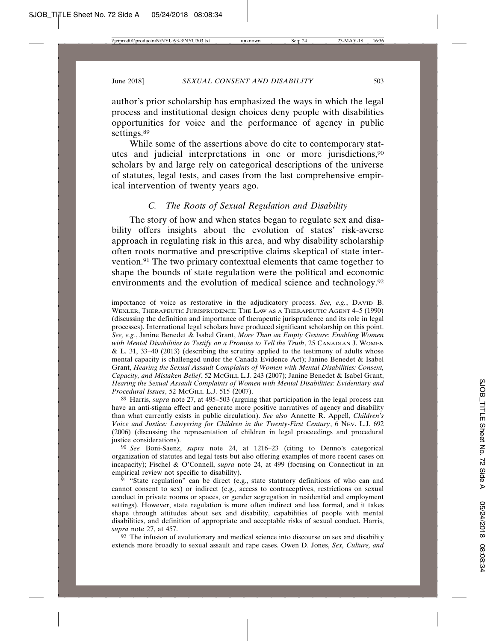author's prior scholarship has emphasized the ways in which the legal process and institutional design choices deny people with disabilities opportunities for voice and the performance of agency in public settings.<sup>89</sup>

While some of the assertions above do cite to contemporary statutes and judicial interpretations in one or more jurisdictions,90 scholars by and large rely on categorical descriptions of the universe of statutes, legal tests, and cases from the last comprehensive empirical intervention of twenty years ago.

### *C. The Roots of Sexual Regulation and Disability*

The story of how and when states began to regulate sex and disability offers insights about the evolution of states' risk-averse approach in regulating risk in this area, and why disability scholarship often roots normative and prescriptive claims skeptical of state intervention.91 The two primary contextual elements that came together to shape the bounds of state regulation were the political and economic environments and the evolution of medical science and technology.<sup>92</sup>

89 Harris, *supra* note 27, at 495–503 (arguing that participation in the legal process can have an anti-stigma effect and generate more positive narratives of agency and disability than what currently exists in public circulation). *See also* Annette R. Appell, *Children's Voice and Justice: Lawyering for Children in the Twenty-First Century*, 6 NEV. L.J. 692 (2006) (discussing the representation of children in legal proceedings and procedural justice considerations).

90 *See* Boni-Saenz, *supra* note 24, at 1216–23 (citing to Denno's categorical organization of statutes and legal tests but also offering examples of more recent cases on incapacity); Fischel & O'Connell, *supra* note 24, at 499 (focusing on Connecticut in an empirical review not specific to disability).

 $91$  "State regulation" can be direct (e.g., state statutory definitions of who can and cannot consent to sex) or indirect (e.g., access to contraceptives, restrictions on sexual conduct in private rooms or spaces, or gender segregation in residential and employment settings). However, state regulation is more often indirect and less formal, and it takes shape through attitudes about sex and disability, capabilities of people with mental disabilities, and definition of appropriate and acceptable risks of sexual conduct. Harris, *supra* note 27, at 457.

92 The infusion of evolutionary and medical science into discourse on sex and disability extends more broadly to sexual assault and rape cases. Owen D. Jones, *Sex, Culture, and*

importance of voice as restorative in the adjudicatory process. *See, e.g.*, DAVID B. WEXLER, THERAPEUTIC JURISPRUDENCE: THE LAW AS A THERAPEUTIC AGENT 4–5 (1990) (discussing the definition and importance of therapeutic jurisprudence and its role in legal processes). International legal scholars have produced significant scholarship on this point. *See, e.g.*, Janine Benedet & Isabel Grant, *More Than an Empty Gesture: Enabling Women with Mental Disabilities to Testify on a Promise to Tell the Truth*, 25 CANADIAN J. WOMEN & L. 31, 33–40 (2013) (describing the scrutiny applied to the testimony of adults whose mental capacity is challenged under the Canada Evidence Act); Janine Benedet & Isabel Grant, *Hearing the Sexual Assault Complaints of Women with Mental Disabilities: Consent, Capacity, and Mistaken Belief*, 52 MCGILL L.J. 243 (2007); Janine Benedet & Isabel Grant, *Hearing the Sexual Assault Complaints of Women with Mental Disabilities: Evidentiary and Procedural Issues*, 52 MCGILL L.J. 515 (2007).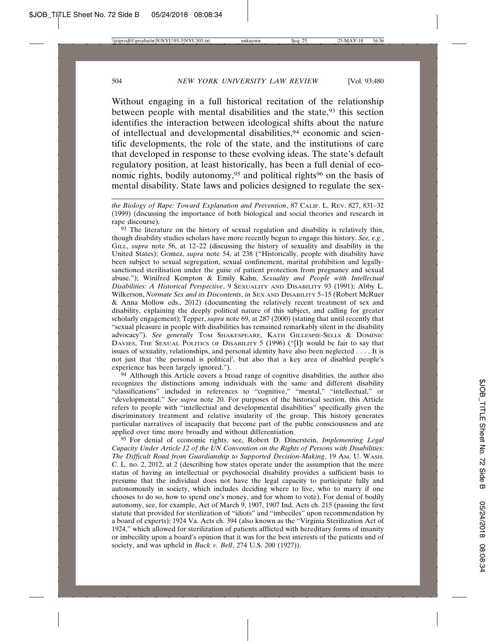Without engaging in a full historical recitation of the relationship between people with mental disabilities and the state,<sup>93</sup> this section identifies the interaction between ideological shifts about the nature of intellectual and developmental disabilities,<sup>94</sup> economic and scientific developments, the role of the state, and the institutions of care that developed in response to these evolving ideas. The state's default regulatory position, at least historically, has been a full denial of economic rights, bodily autonomy,<sup>95</sup> and political rights<sup>96</sup> on the basis of mental disability. State laws and policies designed to regulate the sex-

*the Biology of Rape: Toward Explanation and Prevention*, 87 CALIF. L. REV. 827, 831–32 (1999) (discussing the importance of both biological and social theories and research in rape discourse).

93 The literature on the history of sexual regulation and disability is relatively thin, though disability studies scholars have more recently begun to engage this history. *See, e.g.*, GILL, *supra* note 56, at 12–22 (discussing the history of sexuality and disability in the United States); Gomez, *supra* note 54, at 238 ("Historically, people with disability have been subject to sexual segregation, sexual confinement, marital prohibition and legallysanctioned sterilisation under the guise of patient protection from pregnancy and sexual abuse."); Winifred Kempton & Emily Kahn, *Sexuality and People with Intellectual Disabilities: A Historical Perspective*, 9 SEXUALITY AND DISABILITY 93 (1991); Abby L. Wilkerson, *Normate Sex and its Discontents*, *in* SEX AND DISABILITY 5–15 (Robert McRuer & Anna Mollow eds., 2012) (documenting the relatively recent treatment of sex and disability, explaining the deeply political nature of this subject, and calling for greater scholarly engagement); Tepper, *supra* note 69, at 287 (2000) (stating that until recently that "sexual pleasure in people with disabilities has remained remarkably silent in the disability advocacy"). *See generally* TOM SHAKESPEARE, KATH GILLESPIE-SELLS & DOMINIC DAVIES, THE SEXUAL POLITICS OF DISABILITY 5 (1996) ("[I]t would be fair to say that issues of sexuality, relationships, and personal identity have also been neglected . . . . It is not just that 'the personal is political', but also that a key area of disabled people's experience has been largely ignored.").

94 Although this Article covers a broad range of cognitive disabilities, the author also recognizes the distinctions among individuals with the same and different disability "classifications" included in references to "cognitive," "mental," "intellectual," or "developmental." *See supra* note 20. For purposes of the historical section, this Article refers to people with "intellectual and developmental disabilities" specifically given the discriminatory treatment and relative insularity of the group. This history generates particular narratives of incapacity that become part of the public consciousness and are applied over time more broadly and without differentiation.

95 For denial of economic rights, see, Robert D. Dinerstein, *Implementing Legal Capacity Under Article 12 of the UN Convention on the Rights of Persons with Disabilities: The Difficult Road from Guardianship to Supported Decision-Making*, 19 AM. U. WASH. C. L. no. 2, 2012, at 2 (describing how states operate under the assumption that the mere status of having an intellectual or psychosocial disability provides a sufficient basis to presume that the individual does not have the legal capacity to participate fully and autonomously in society, which includes deciding where to live, who to marry if one chooses to do so, how to spend one's money, and for whom to vote). For denial of bodily autonomy, see, for example, Act of March 9, 1907, 1907 Ind. Acts ch. 215 (passing the first statute that provided for sterilization of "idiots" and "imbeciles" upon recommendation by a board of experts); 1924 Va. Acts ch. 394 (also known as the "Virginia Sterilization Act of 1924," which allowed for sterilization of patients afflicted with hereditary forms of insanity or imbecility upon a board's opinion that it was for the best interests of the patients and of society, and was upheld in *Buck v. Bell*, 274 U.S. 200 (1927)).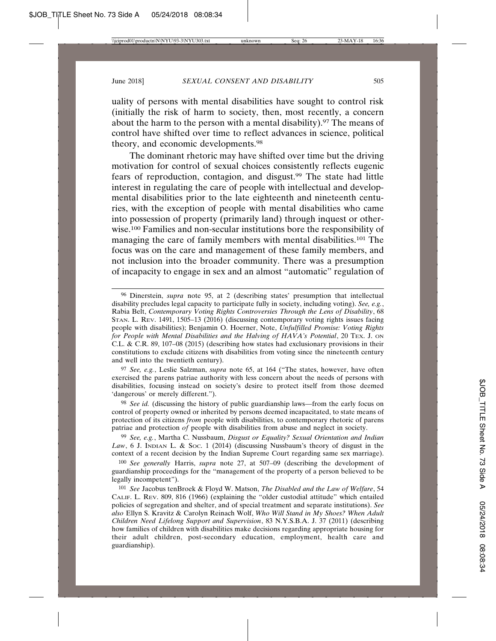uality of persons with mental disabilities have sought to control risk (initially the risk of harm to society, then, most recently, a concern about the harm to the person with a mental disability).<sup>97</sup> The means of control have shifted over time to reflect advances in science, political theory, and economic developments.98

The dominant rhetoric may have shifted over time but the driving motivation for control of sexual choices consistently reflects eugenic fears of reproduction, contagion, and disgust.<sup>99</sup> The state had little interest in regulating the care of people with intellectual and developmental disabilities prior to the late eighteenth and nineteenth centuries, with the exception of people with mental disabilities who came into possession of property (primarily land) through inquest or otherwise.100 Families and non-secular institutions bore the responsibility of managing the care of family members with mental disabilities.101 The focus was on the care and management of these family members, and not inclusion into the broader community. There was a presumption of incapacity to engage in sex and an almost "automatic" regulation of

97 *See, e.g.*, Leslie Salzman, *supra* note 65, at 164 ("The states, however, have often exercised the parens patriae authority with less concern about the needs of persons with disabilities, focusing instead on society's desire to protect itself from those deemed 'dangerous' or merely different.").

98 *See id.* (discussing the history of public guardianship laws—from the early focus on control of property owned or inherited by persons deemed incapacitated, to state means of protection of its citizens *from* people with disabilities, to contemporary rhetoric of parens patriae and protection *of* people with disabilities from abuse and neglect in society.

99 *See, e.g.*, Martha C. Nussbaum, *Disgust or Equality? Sexual Orientation and Indian* Law, 6 J. INDIAN L. & Soc. 1 (2014) (discussing Nussbaum's theory of disgust in the context of a recent decision by the Indian Supreme Court regarding same sex marriage).

100 *See generally* Harris, *supra* note 27, at 507–09 (describing the development of guardianship proceedings for the "management of the property of a person believed to be legally incompetent").

101 *See* Jacobus tenBroek & Floyd W. Matson, *The Disabled and the Law of Welfare*, 54 CALIF. L. REV. 809, 816 (1966) (explaining the "older custodial attitude" which entailed policies of segregation and shelter, and of special treatment and separate institutions). *See also* Ellyn S. Kravitz & Carolyn Reinach Wolf, *Who Will Stand in My Shoes? When Adult Children Need Lifelong Support and Supervision*, 83 N.Y.S.B.A. J. 37 (2011) (describing how families of children with disabilities make decisions regarding appropriate housing for their adult children, post-secondary education, employment, health care and guardianship).

<sup>96</sup> Dinerstein, *supra* note 95, at 2 (describing states' presumption that intellectual disability precludes legal capacity to participate fully in society, including voting). *See, e.g.*, Rabia Belt, *Contemporary Voting Rights Controversies Through the Lens of Disability*, 68 STAN. L. REV. 1491, 1505–13 (2016) (discussing contemporary voting rights issues facing people with disabilities); Benjamin O. Hoerner, Note, *Unfulfilled Promise: Voting Rights for People with Mental Disabilities and the Halving of HAVA's Potential*, 20 TEX. J. ON C.L. & C.R. 89, 107–08 (2015) (describing how states had exclusionary provisions in their constitutions to exclude citizens with disabilities from voting since the nineteenth century and well into the twentieth century).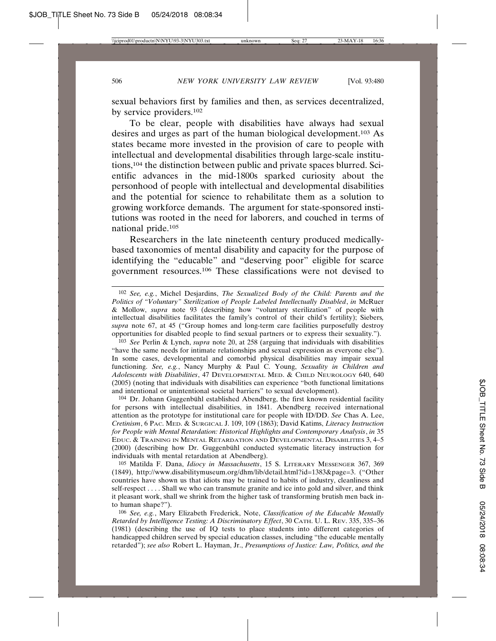sexual behaviors first by families and then, as services decentralized, by service providers.102

To be clear, people with disabilities have always had sexual desires and urges as part of the human biological development.103 As states became more invested in the provision of care to people with intellectual and developmental disabilities through large-scale institutions,104 the distinction between public and private spaces blurred. Scientific advances in the mid-1800s sparked curiosity about the personhood of people with intellectual and developmental disabilities and the potential for science to rehabilitate them as a solution to growing workforce demands. The argument for state-sponsored institutions was rooted in the need for laborers, and couched in terms of national pride.105

Researchers in the late nineteenth century produced medicallybased taxonomies of mental disability and capacity for the purpose of identifying the "educable" and "deserving poor" eligible for scarce government resources.106 These classifications were not devised to

103 *See* Perlin & Lynch, *supra* note 20, at 258 (arguing that individuals with disabilities "have the same needs for intimate relationships and sexual expression as everyone else"). In some cases, developmental and comorbid physical disabilities may impair sexual functioning. *See, e.g.*, Nancy Murphy & Paul C. Young, *Sexuality in Children and Adolescents with Disabilities*, 47 DEVELOPMENTAL MED. & CHILD NEUROLOGY 640, 640 (2005) (noting that individuals with disabilities can experience "both functional limitations and intentional or unintentional societal barriers" to sexual development).

 $104$  Dr. Johann Guggenbühl established Abendberg, the first known residential facility for persons with intellectual disabilities, in 1841. Abendberg received international attention as the prototype for institutional care for people with ID/DD. *See* Chas A. Lee, *Cretinism*, 6 PAC. MED. & SURGICAL J. 109, 109 (1863); David Katims, *Literacy Instruction for People with Mental Retardation: Historical Highlights and Contemporary Analysis*, *in* 35 EDUC. & TRAINING IN MENTAL RETARDATION AND DEVELOPMENTAL DISABILITIES 3, 4–5 (2000) (describing how Dr. Guggenbühl conducted systematic literacy instruction for individuals with mental retardation at Abendberg).

105 Matilda F. Dana, *Idiocy in Massachusetts*, 15 S. LITERARY MESSENGER 367, 369 (1849), http://www.disabilitymuseum.org/dhm/lib/detail.html?id=1383&page=3. ("Other countries have shown us that idiots may be trained to habits of industry, cleanliness and self-respect . . . . Shall we who can transmute granite and ice into gold and silver, and think it pleasant work, shall we shrink from the higher task of transforming brutish men back into human shape?").

106 *See, e.g.*, Mary Elizabeth Frederick, Note, *Classification of the Educable Mentally Retarded by Intelligence Testing: A Discriminatory Effect*, 30 CATH. U. L. REV. 335, 335–36 (1981) (describing the use of IQ tests to place students into different categories of handicapped children served by special education classes, including "the educable mentally retarded"); *see also* Robert L. Hayman, Jr., *Presumptions of Justice: Law, Politics, and the*

<sup>102</sup> *See, e.g.*, Michel Desjardins, *The Sexualized Body of the Child: Parents and the Politics of "Voluntary" Sterilization of People Labeled Intellectually Disabled*, *in* McRuer & Mollow, *supra* note 93 (describing how "voluntary sterilization" of people with intellectual disabilities facilitates the family's control of their child's fertility); Siebers*, supra* note 67, at 45 ("Group homes and long-term care facilities purposefully destroy opportunities for disabled people to find sexual partners or to express their sexuality.").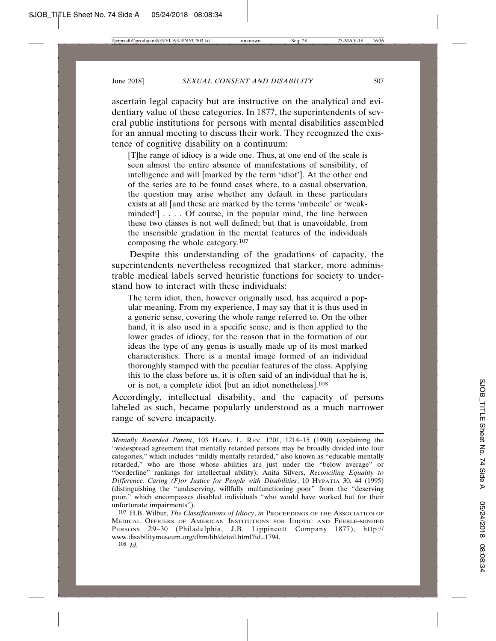ascertain legal capacity but are instructive on the analytical and evidentiary value of these categories. In 1877, the superintendents of several public institutions for persons with mental disabilities assembled for an annual meeting to discuss their work. They recognized the existence of cognitive disability on a continuum:

[T]he range of idiocy is a wide one. Thus, at one end of the scale is seen almost the entire absence of manifestations of sensibility, of intelligence and will [marked by the term 'idiot']. At the other end of the series are to be found cases where, to a casual observation, the question may arise whether any default in these particulars exists at all [and these are marked by the terms 'imbecile' or 'weakminded'] . . . . Of course, in the popular mind, the line between these two classes is not well defined; but that is unavoidable, from the insensible gradation in the mental features of the individuals composing the whole category.107

Despite this understanding of the gradations of capacity, the superintendents nevertheless recognized that starker, more administrable medical labels served heuristic functions for society to understand how to interact with these individuals:

The term idiot, then, however originally used, has acquired a popular meaning. From my experience, I may say that it is thus used in a generic sense, covering the whole range referred to. On the other hand, it is also used in a specific sense, and is then applied to the lower grades of idiocy, for the reason that in the formation of our ideas the type of any genus is usually made up of its most marked characteristics. There is a mental image formed of an individual thoroughly stamped with the peculiar features of the class. Applying this to the class before us, it is often said of an individual that he is, or is not, a complete idiot [but an idiot nonetheless].108

Accordingly, intellectual disability, and the capacity of persons labeled as such, became popularly understood as a much narrower range of severe incapacity.

*Mentally Retarded Parent*, 103 HARV. L. REV. 1201, 1214–15 (1990) (explaining the "widespread agreement that mentally retarded persons may be broadly divided into four categories," which includes "mildly mentally retarded," also known as "educable mentally retarded," who are those whose abilities are just under the "below average" or "borderline" rankings for intellectual ability); Anita Silvers, *Reconciling Equality to Difference: Caring (F)or Justice for People with Disabilities*, 10 HYPATIA 30, 44 (1995) (distinguishing the "undeserving, willfully malfunctioning poor" from the "deserving poor," which encompasses disabled individuals "who would have worked but for their unfortunate impairments").

<sup>107</sup> H.B. Wilbur, *The Classifications of Idiocy*, *in* PROCEEDINGS OF THE ASSOCIATION OF MEDICAL OFFICERS OF AMERICAN INSTITUTIONS FOR IDIOTIC AND FEEBLE-MINDED PERSONS 29–30 (Philadelphia, J.B. Lippincott Company 1877), http:// www.disabilitymuseum.org/dhm/lib/detail.html?id=1794.

<sup>108</sup> *Id.*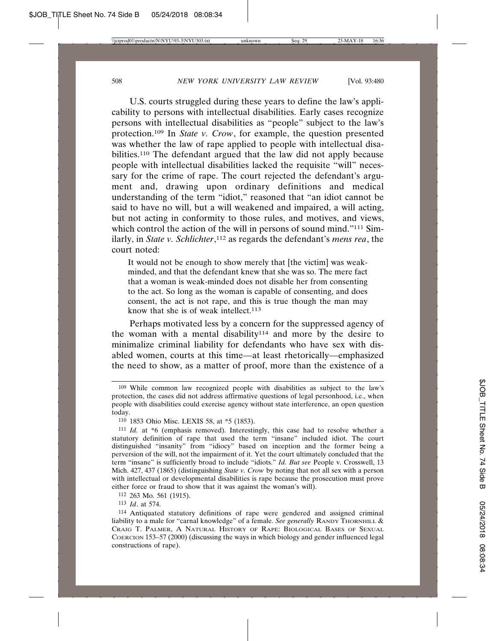U.S. courts struggled during these years to define the law's applicability to persons with intellectual disabilities. Early cases recognize persons with intellectual disabilities as "people" subject to the law's protection.109 In *State v. Crow*, for example, the question presented was whether the law of rape applied to people with intellectual disabilities.<sup>110</sup> The defendant argued that the law did not apply because people with intellectual disabilities lacked the requisite "will" necessary for the crime of rape. The court rejected the defendant's argument and, drawing upon ordinary definitions and medical understanding of the term "idiot," reasoned that "an idiot cannot be said to have no will, but a will weakened and impaired, a will acting, but not acting in conformity to those rules, and motives, and views, which control the action of the will in persons of sound mind."<sup>111</sup> Similarly, in *State v. Schlichter*, 112 as regards the defendant's *mens rea*, the court noted:

It would not be enough to show merely that [the victim] was weakminded, and that the defendant knew that she was so. The mere fact that a woman is weak-minded does not disable her from consenting to the act. So long as the woman is capable of consenting, and does consent, the act is not rape, and this is true though the man may know that she is of weak intellect. $113$ 

Perhaps motivated less by a concern for the suppressed agency of the woman with a mental disability<sup>114</sup> and more by the desire to minimalize criminal liability for defendants who have sex with disabled women, courts at this time—at least rhetorically—emphasized the need to show, as a matter of proof, more than the existence of a

112 263 Mo. 561 (1915).

113 *Id*. at 574.

<sup>109</sup> While common law recognized people with disabilities as subject to the law's protection, the cases did not address affirmative questions of legal personhood, i.e., when people with disabilities could exercise agency without state interference, an open question today.

<sup>110</sup> 1853 Ohio Misc. LEXIS 58, at \*5 (1853).

<sup>111</sup> *Id.* at \*6 (emphasis removed). Interestingly, this case had to resolve whether a statutory definition of rape that used the term "insane" included idiot. The court distinguished "insanity" from "idiocy" based on inception and the former being a perversion of the will, not the impairment of it. Yet the court ultimately concluded that the term "insane" is sufficiently broad to include "idiots." *Id. But see* People v. Crosswell, 13 Mich. 427, 437 (1865) (distinguishing *State v. Crow* by noting that not all sex with a person with intellectual or developmental disabilities is rape because the prosecution must prove either force or fraud to show that it was against the woman's will).

<sup>114</sup> Antiquated statutory definitions of rape were gendered and assigned criminal liability to a male for "carnal knowledge" of a female. *See generally* RANDY THORNHILL & CRAIG T. PALMER, A NATURAL HISTORY OF RAPE: BIOLOGICAL BASES OF SEXUAL COERCION 153–57 (2000) (discussing the ways in which biology and gender influenced legal constructions of rape).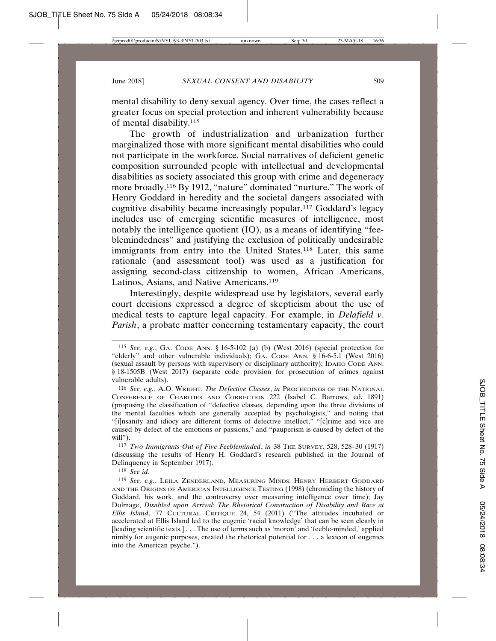mental disability to deny sexual agency. Over time, the cases reflect a greater focus on special protection and inherent vulnerability because of mental disability.115

The growth of industrialization and urbanization further marginalized those with more significant mental disabilities who could not participate in the workforce. Social narratives of deficient genetic composition surrounded people with intellectual and developmental disabilities as society associated this group with crime and degeneracy more broadly.116 By 1912, "nature" dominated "nurture." The work of Henry Goddard in heredity and the societal dangers associated with cognitive disability became increasingly popular.117 Goddard's legacy includes use of emerging scientific measures of intelligence, most notably the intelligence quotient (IQ), as a means of identifying "feeblemindedness" and justifying the exclusion of politically undesirable immigrants from entry into the United States.118 Later, this same rationale (and assessment tool) was used as a justification for assigning second-class citizenship to women, African Americans, Latinos, Asians, and Native Americans.<sup>119</sup>

Interestingly, despite widespread use by legislators, several early court decisions expressed a degree of skepticism about the use of medical tests to capture legal capacity. For example, in *Delafield v. Parish*, a probate matter concerning testamentary capacity, the court

117 *Two Immigrants Out of Five Feebleminded*, *in* 38 THE SURVEY, 528, 528–30 (1917) (discussing the results of Henry H. Goddard's research published in the Journal of Delinquency in September 1917).

118 *See id.*

<sup>115</sup> *See, e.g.*, GA. CODE ANN. § 16-5-102 (a) (b) (West 2016) (special protection for "elderly" and other vulnerable individuals); GA. CODE ANN. § 16-6-5.1 (West 2016) (sexual assault by persons with supervisory or disciplinary authority); IDAHO CODE ANN. § 18-1505B (West 2017) (separate code provision for prosecution of crimes against vulnerable adults).

<sup>116</sup> *See, e.g.*, A.O. WRIGHT, *The Defective Classes*, *in* PROCEEDINGS OF THE NATIONAL CONFERENCE OF CHARITIES AND CORRECTION 222 (Isabel C. Barrows, ed. 1891) (proposing the classification of "defective classes, depending upon the three divisions of the mental faculties which are generally accepted by psychologists," and noting that "[i]nsanity and idiocy are different forms of defective intellect," "[c]rime and vice are caused by defect of the emotions or passions," and "pauperism is caused by defect of the will").

<sup>119</sup> *See, e.g.*, LEILA ZENDERLAND, MEASURING MINDS: HENRY HERBERT GODDARD AND THE ORIGINS OF AMERICAN INTELLIGENCE TESTING (1998) (chronicling the history of Goddard, his work, and the controversy over measuring intelligence over time); Jay Dolmage, *Disabled upon Arrival: The Rhetorical Construction of Disability and Race at Ellis Island*, 77 CULTURAL CRITIQUE 24, 54 (2011) ("The attitudes incubated or accelerated at Ellis Island led to the eugenic 'racial knowledge' that can be seen clearly in [leading scientific texts.] . . . The use of terms such as 'moron' and 'feeble-minded,' applied nimbly for eugenic purposes, created the rhetorical potential for . . . a lexicon of eugenics into the American psyche.").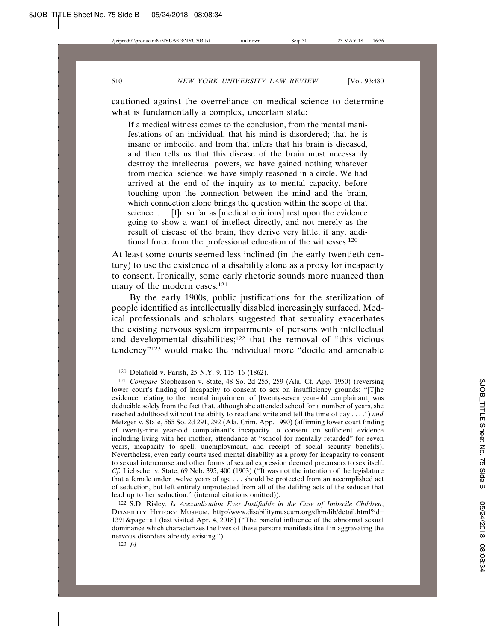cautioned against the overreliance on medical science to determine what is fundamentally a complex, uncertain state:

If a medical witness comes to the conclusion, from the mental manifestations of an individual, that his mind is disordered; that he is insane or imbecile, and from that infers that his brain is diseased, and then tells us that this disease of the brain must necessarily destroy the intellectual powers, we have gained nothing whatever from medical science: we have simply reasoned in a circle. We had arrived at the end of the inquiry as to mental capacity, before touching upon the connection between the mind and the brain, which connection alone brings the question within the scope of that science....  $[I]$ n so far as [medical opinions] rest upon the evidence going to show a want of intellect directly, and not merely as the result of disease of the brain, they derive very little, if any, additional force from the professional education of the witnesses.120

At least some courts seemed less inclined (in the early twentieth century) to use the existence of a disability alone as a proxy for incapacity to consent. Ironically, some early rhetoric sounds more nuanced than many of the modern cases.121

By the early 1900s, public justifications for the sterilization of people identified as intellectually disabled increasingly surfaced. Medical professionals and scholars suggested that sexuality exacerbates the existing nervous system impairments of persons with intellectual and developmental disabilities;<sup>122</sup> that the removal of "this vicious tendency"123 would make the individual more "docile and amenable

<sup>120</sup> Delafield v. Parish, 25 N.Y. 9, 115–16 (1862).

<sup>121</sup> *Compare* Stephenson v. State, 48 So. 2d 255, 259 (Ala. Ct. App. 1950) (reversing lower court's finding of incapacity to consent to sex on insufficiency grounds: "[T]he evidence relating to the mental impairment of [twenty-seven year-old complainant] was deducible solely from the fact that, although she attended school for a number of years, she reached adulthood without the ability to read and write and tell the time of day . . . .") *and* Metzger v. State, 565 So. 2d 291, 292 (Ala. Crim. App. 1990) (affirming lower court finding of twenty-nine year-old complainant's incapacity to consent on sufficient evidence including living with her mother, attendance at "school for mentally retarded" for seven years, incapacity to spell, unemployment, and receipt of social security benefits). Nevertheless, even early courts used mental disability as a proxy for incapacity to consent to sexual intercourse and other forms of sexual expression deemed precursors to sex itself. *Cf.* Liebscher v. State, 69 Neb. 395, 400 (1903) ("It was not the intention of the legislature that a female under twelve years of age . . . should be protected from an accomplished act of seduction, but left entirely unprotected from all of the defiling acts of the seducer that lead up to her seduction." (internal citations omitted)).

<sup>122</sup> S.D. Risley, *Is Asexualization Ever Justifiable in the Case of Imbecile Children*, DISABILITY HISTORY MUSEUM, http://www.disabilitymuseum.org/dhm/lib/detail.html?id= 1391&page=all (last visited Apr. 4, 2018) ("The baneful influence of the abnormal sexual dominance which characterizes the lives of these persons manifests itself in aggravating the nervous disorders already existing.").

<sup>123</sup> *Id.*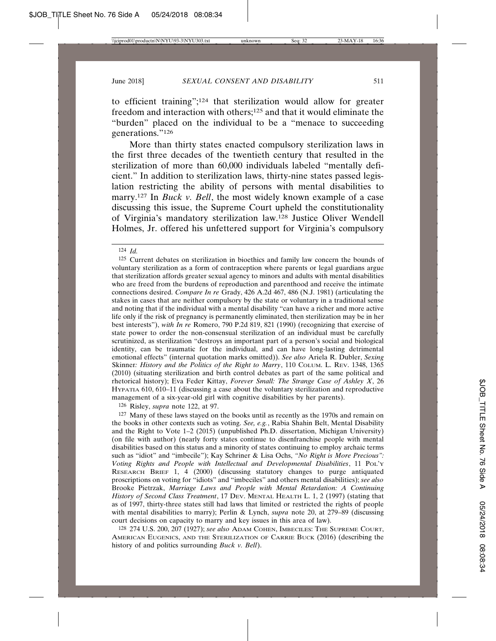to efficient training";124 that sterilization would allow for greater freedom and interaction with others;125 and that it would eliminate the "burden" placed on the individual to be a "menace to succeeding generations."126

More than thirty states enacted compulsory sterilization laws in the first three decades of the twentieth century that resulted in the sterilization of more than 60,000 individuals labeled "mentally deficient." In addition to sterilization laws, thirty-nine states passed legislation restricting the ability of persons with mental disabilities to marry.127 In *Buck v. Bell*, the most widely known example of a case discussing this issue, the Supreme Court upheld the constitutionality of Virginia's mandatory sterilization law.128 Justice Oliver Wendell Holmes, Jr. offered his unfettered support for Virginia's compulsory

126 Risley, *supra* note 122, at 97.

127 Many of these laws stayed on the books until as recently as the 1970s and remain on the books in other contexts such as voting. *See, e.g.*, Rabia Shahin Belt, Mental Disability and the Right to Vote 1–2 (2015) (unpublished Ph.D. dissertation, Michigan University) (on file with author) (nearly forty states continue to disenfranchise people with mental disabilities based on this status and a minority of states continuing to employ archaic terms such as "idiot" and "imbecile"); Kay Schriner & Lisa Ochs, *"No Right is More Precious": Voting Rights and People with Intellectual and Developmental Disabilities*, 11 POL'Y RESEARCH BRIEF 1, 4 (2000) (discussing statutory changes to purge antiquated proscriptions on voting for "idiots" and "imbeciles" and others mental disabilities); *see also* Brooke Pietrzak, *Marriage Laws and People with Mental Retardation: A Continuing History of Second Class Treatment*, 17 DEV. MENTAL HEALTH L. 1, 2 (1997) (stating that as of 1997, thirty-three states still had laws that limited or restricted the rights of people with mental disabilities to marry); Perlin & Lynch, *supra* note 20, at 279–89 (discussing court decisions on capacity to marry and key issues in this area of law).

128 274 U.S. 200, 207 (1927); *see also* ADAM COHEN, IMBECILES: THE SUPREME COURT, AMERICAN EUGENICS, AND THE STERILIZATION OF CARRIE BUCK (2016) (describing the history of and politics surrounding *Buck v. Bell*).

<sup>124</sup> *Id.*

<sup>125</sup> Current debates on sterilization in bioethics and family law concern the bounds of voluntary sterilization as a form of contraception where parents or legal guardians argue that sterilization affords greater sexual agency to minors and adults with mental disabilities who are freed from the burdens of reproduction and parenthood and receive the intimate connections desired. *Compare In re* Grady, 426 A.2d 467, 486 (N.J. 1981) (articulating the stakes in cases that are neither compulsory by the state or voluntary in a traditional sense and noting that if the individual with a mental disability "can have a richer and more active life only if the risk of pregnancy is permanently eliminated, then sterilization may be in her best interests"), *with In re* Romero, 790 P.2d 819, 821 (1990) (recognizing that exercise of state power to order the non-consensual sterilization of an individual must be carefully scrutinized, as sterilization "destroys an important part of a person's social and biological identity, can be traumatic for the individual, and can have long-lasting detrimental emotional effects" (internal quotation marks omitted)). *See also* Ariela R. Dubler, *Sexing* Skinner*: History and the Politics of the Right to Marry*, 110 COLUM. L. REV. 1348, 1365 (2010) (situating sterilization and birth control debates as part of the same political and rhetorical history); Eva Feder Kittay, *Forever Small: The Strange Case of Ashley X*, 26 HYPATIA 610, 610–11 (discussing a case about the voluntary sterilization and reproductive management of a six-year-old girl with cognitive disabilities by her parents).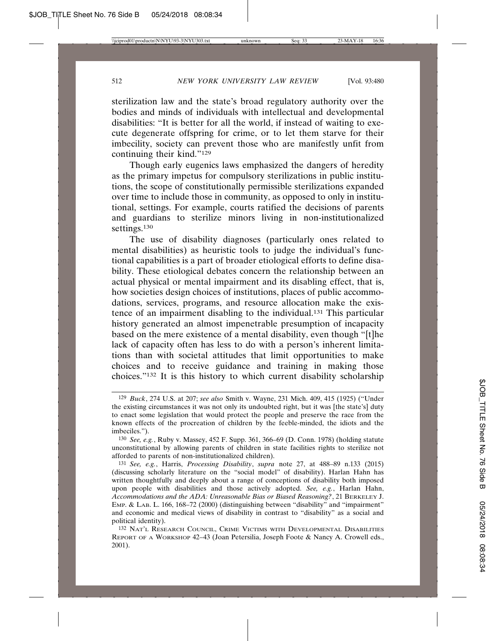sterilization law and the state's broad regulatory authority over the bodies and minds of individuals with intellectual and developmental disabilities: "It is better for all the world, if instead of waiting to execute degenerate offspring for crime, or to let them starve for their imbecility, society can prevent those who are manifestly unfit from continuing their kind."129

Though early eugenics laws emphasized the dangers of heredity as the primary impetus for compulsory sterilizations in public institutions, the scope of constitutionally permissible sterilizations expanded over time to include those in community, as opposed to only in institutional, settings. For example, courts ratified the decisions of parents and guardians to sterilize minors living in non-institutionalized settings.<sup>130</sup>

The use of disability diagnoses (particularly ones related to mental disabilities) as heuristic tools to judge the individual's functional capabilities is a part of broader etiological efforts to define disability. These etiological debates concern the relationship between an actual physical or mental impairment and its disabling effect, that is, how societies design choices of institutions, places of public accommodations, services, programs, and resource allocation make the existence of an impairment disabling to the individual.131 This particular history generated an almost impenetrable presumption of incapacity based on the mere existence of a mental disability, even though "[t]he lack of capacity often has less to do with a person's inherent limitations than with societal attitudes that limit opportunities to make choices and to receive guidance and training in making those choices."132 It is this history to which current disability scholarship

<sup>129</sup> *Buck*, 274 U.S. at 207; *see also* Smith v. Wayne, 231 Mich. 409, 415 (1925) ("Under the existing circumstances it was not only its undoubted right, but it was [the state's] duty to enact some legislation that would protect the people and preserve the race from the known effects of the procreation of children by the feeble-minded, the idiots and the imbeciles.").

<sup>130</sup> *See, e.g.*, Ruby v. Massey, 452 F. Supp. 361, 366–69 (D. Conn. 1978) (holding statute unconstitutional by allowing parents of children in state facilities rights to sterilize not afforded to parents of non-institutionalized children).

<sup>131</sup> *See, e.g.*, Harris, *Processing Disability*, *supra* note 27, at 488–89 n.133 (2015) (discussing scholarly literature on the "social model" of disability). Harlan Hahn has written thoughtfully and deeply about a range of conceptions of disability both imposed upon people with disabilities and those actively adopted. *See, e.g.*, Harlan Hahn, *Accommodations and the ADA: Unreasonable Bias or Biased Reasoning?*, 21 BERKELEY J. EMP. & LAB. L. 166, 168–72 (2000) (distinguishing between "disability" and "impairment" and economic and medical views of disability in contrast to "disability" as a social and political identity).

<sup>132</sup> NAT'L RESEARCH COUNCIL, CRIME VICTIMS WITH DEVELOPMENTAL DISABILITIES REPORT OF A WORKSHOP 42–43 (Joan Petersilia, Joseph Foote & Nancy A. Crowell eds., 2001).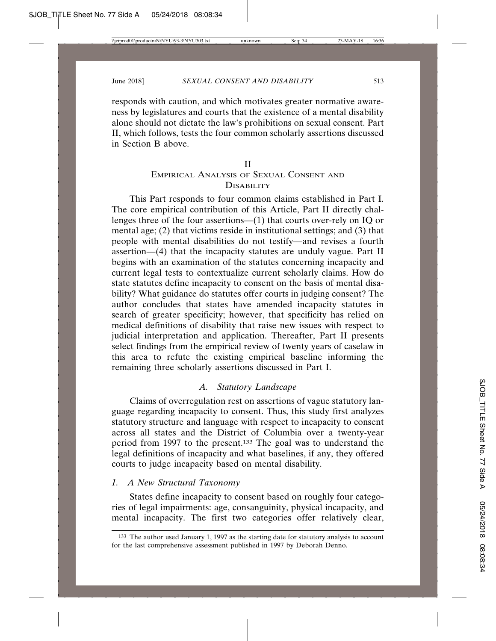responds with caution, and which motivates greater normative awareness by legislatures and courts that the existence of a mental disability alone should not dictate the law's prohibitions on sexual consent. Part II, which follows, tests the four common scholarly assertions discussed in Section B above.

#### II

## EMPIRICAL ANALYSIS OF SEXUAL CONSENT AND **DISABILITY**

This Part responds to four common claims established in Part I. The core empirical contribution of this Article, Part II directly challenges three of the four assertions—(1) that courts over-rely on IQ or mental age; (2) that victims reside in institutional settings; and (3) that people with mental disabilities do not testify—and revises a fourth assertion—(4) that the incapacity statutes are unduly vague. Part II begins with an examination of the statutes concerning incapacity and current legal tests to contextualize current scholarly claims. How do state statutes define incapacity to consent on the basis of mental disability? What guidance do statutes offer courts in judging consent? The author concludes that states have amended incapacity statutes in search of greater specificity; however, that specificity has relied on medical definitions of disability that raise new issues with respect to judicial interpretation and application. Thereafter, Part II presents select findings from the empirical review of twenty years of caselaw in this area to refute the existing empirical baseline informing the remaining three scholarly assertions discussed in Part I.

## *A. Statutory Landscape*

Claims of overregulation rest on assertions of vague statutory language regarding incapacity to consent. Thus, this study first analyzes statutory structure and language with respect to incapacity to consent across all states and the District of Columbia over a twenty-year period from 1997 to the present.133 The goal was to understand the legal definitions of incapacity and what baselines, if any, they offered courts to judge incapacity based on mental disability.

### *1. A New Structural Taxonomy*

States define incapacity to consent based on roughly four categories of legal impairments: age, consanguinity, physical incapacity, and mental incapacity. The first two categories offer relatively clear,

<sup>133</sup> The author used January 1, 1997 as the starting date for statutory analysis to account for the last comprehensive assessment published in 1997 by Deborah Denno.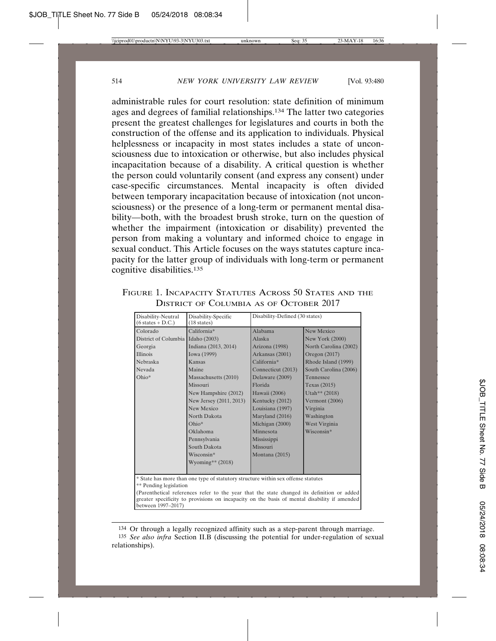administrable rules for court resolution: state definition of minimum ages and degrees of familial relationships.134 The latter two categories present the greatest challenges for legislatures and courts in both the construction of the offense and its application to individuals. Physical helplessness or incapacity in most states includes a state of unconsciousness due to intoxication or otherwise, but also includes physical incapacitation because of a disability. A critical question is whether the person could voluntarily consent (and express any consent) under case-specific circumstances. Mental incapacity is often divided between temporary incapacitation because of intoxication (not unconsciousness) or the presence of a long-term or permanent mental disability—both, with the broadest brush stroke, turn on the question of whether the impairment (intoxication or disability) prevented the person from making a voluntary and informed choice to engage in sexual conduct. This Article focuses on the ways statutes capture incapacity for the latter group of individuals with long-term or permanent cognitive disabilities.<sup>135</sup>

FIGURE 1. INCAPACITY STATUTES ACROSS 50 STATES AND THE DISTRICT OF COLUMBIA AS OF OCTOBER 2017

| Disability-Neutral<br>$(6 \text{ states} + D.C.)$                                                                                                                                                                | Disability-Specific<br>$(18 \text{ states})$ | Disability-Defined (30 states) |                        |  |  |
|------------------------------------------------------------------------------------------------------------------------------------------------------------------------------------------------------------------|----------------------------------------------|--------------------------------|------------------------|--|--|
| Colorado                                                                                                                                                                                                         | California*                                  | Alabama                        | New Mexico             |  |  |
| District of Columbia Idaho (2003)                                                                                                                                                                                |                                              | Alaska                         | <b>New York (2000)</b> |  |  |
| Georgia                                                                                                                                                                                                          | Indiana (2013, 2014)                         | Arizona (1998)                 | North Carolina (2002)  |  |  |
| <b>Illinois</b>                                                                                                                                                                                                  | Iowa (1999)                                  | Arkansas (2001)                | Oregon (2017)          |  |  |
| Nebraska                                                                                                                                                                                                         | Kansas                                       | California*                    | Rhode Island (1999)    |  |  |
| Nevada                                                                                                                                                                                                           | Maine                                        | Connecticut (2013)             | South Carolina (2006)  |  |  |
| Ohio*                                                                                                                                                                                                            | Massachusetts (2010)                         | Delaware (2009)                | Tennessee              |  |  |
|                                                                                                                                                                                                                  | Missouri                                     | Florida                        | Texas (2015)           |  |  |
|                                                                                                                                                                                                                  | New Hampshire (2012)                         | Hawaii (2006)                  | Utah** $(2018)$        |  |  |
|                                                                                                                                                                                                                  | New Jersey (2011, 2013)                      | Kentucky (2012)                | Vermont (2006)         |  |  |
|                                                                                                                                                                                                                  | <b>New Mexico</b>                            | Louisiana (1997)               | Virginia               |  |  |
|                                                                                                                                                                                                                  | North Dakota                                 | Maryland (2016)                | Washington             |  |  |
|                                                                                                                                                                                                                  | $Ohio*$                                      | Michigan (2000)                | West Virginia          |  |  |
|                                                                                                                                                                                                                  | Oklahoma                                     | Minnesota                      | Wisconsin*             |  |  |
|                                                                                                                                                                                                                  | Pennsylvania                                 | Mississippi                    |                        |  |  |
|                                                                                                                                                                                                                  | South Dakota                                 | Missouri                       |                        |  |  |
|                                                                                                                                                                                                                  | Wisconsin*                                   | Montana $(2015)$               |                        |  |  |
|                                                                                                                                                                                                                  | Wyoming** $(2018)$                           |                                |                        |  |  |
|                                                                                                                                                                                                                  |                                              |                                |                        |  |  |
| * State has more than one type of statutory structure within sex offense statutes<br>** Pending legislation                                                                                                      |                                              |                                |                        |  |  |
| (Parenthetical references refer to the year that the state changed its definition or added<br>greater specificity to provisions on incapacity on the basis of mental disability if amended<br>between 1997-2017) |                                              |                                |                        |  |  |

<sup>134</sup> Or through a legally recognized affinity such as a step-parent through marriage. 135 *See also infra* Section II.B (discussing the potential for under-regulation of sexual relationships).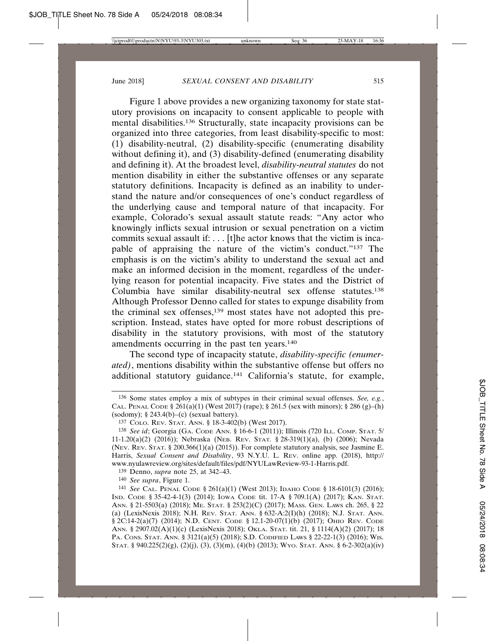Figure 1 above provides a new organizing taxonomy for state statutory provisions on incapacity to consent applicable to people with mental disabilities.136 Structurally, state incapacity provisions can be organized into three categories, from least disability-specific to most: (1) disability-neutral, (2) disability-specific (enumerating disability without defining it), and (3) disability-defined (enumerating disability and defining it). At the broadest level, *disability-neutral statutes* do not mention disability in either the substantive offenses or any separate statutory definitions. Incapacity is defined as an inability to understand the nature and/or consequences of one's conduct regardless of the underlying cause and temporal nature of that incapacity. For example, Colorado's sexual assault statute reads: "Any actor who knowingly inflicts sexual intrusion or sexual penetration on a victim commits sexual assault if: . . . [t]he actor knows that the victim is incapable of appraising the nature of the victim's conduct."137 The emphasis is on the victim's ability to understand the sexual act and make an informed decision in the moment, regardless of the underlying reason for potential incapacity. Five states and the District of Columbia have similar disability-neutral sex offense statutes.138 Although Professor Denno called for states to expunge disability from the criminal sex offenses,139 most states have not adopted this prescription. Instead, states have opted for more robust descriptions of disability in the statutory provisions, with most of the statutory amendments occurring in the past ten years.140

The second type of incapacity statute, *disability-specific (enumerated)*, mentions disability within the substantive offense but offers no additional statutory guidance.141 California's statute, for example,

139 Denno, *supra* note 25, at 342–43.

140 *See supra*, Figure 1.

<sup>136</sup> Some states employ a mix of subtypes in their criminal sexual offenses. *See, e.g.*, CAL. PENAL CODE § 261(a)(1) (West 2017) (rape); § 261.5 (sex with minors); § 286 (g)–(h) (sodomy);  $§$  243.4(b)–(c) (sexual battery).

<sup>137</sup> COLO. REV. STAT. ANN. § 18-3-402(b) (West 2017).

<sup>138</sup> *See id*; Georgia (GA. CODE ANN. § 16-6-1 (2011)); Illinois (720 ILL. COMP. STAT. 5/ 11-1.20(a)(2) (2016)); Nebraska (NEB. REV. STAT. § 28-319(1)(a), (b) (2006); Nevada (NEV. REV. STAT. § 200.366(1)(a) (2015)). For complete statutory analysis, see Jasmine E. Harris, *Sexual Consent and Disability*, 93 N.Y.U. L. REV. online app. (2018), http:// www.nyulawreview.org/sites/default/files/pdf/NYULawReview-93-1-Harris.pdf.

<sup>141</sup> *See* CAL. PENAL CODE § 261(a)(1) (West 2013); IDAHO CODE § 18-6101(3) (2016); IND. CODE § 35-42-4-1(3) (2014); IOWA CODE tit. 17-A § 709.1(A) (2017); KAN. STAT. ANN. § 21-5503(a) (2018); ME. STAT. § 253(2)(C) (2017); MASS. GEN. LAWS ch. 265, § 22 (a) (LexisNexis 2018); N.H. REV. STAT. ANN. § 632-A:2(I)(h) (2018); N.J. STAT. ANN. § 2C:14-2(a)(7) (2014); N.D. CENT. CODE § 12.1-20-07(1)(b) (2017); OHIO REV. CODE ANN. § 2907.02(A)(1)(c) (LexisNexis 2018); OKLA. STAT. tit. 21, § 1114(A)(2) (2017); 18 PA. CONS. STAT. ANN. § 3121(a)(5) (2018); S.D. CODIFIED LAWS § 22-22-1(3) (2016); WIS. STAT. § 940.225(2)(g), (2)(j), (3), (3)(m), (4)(b) (2013); WYO. STAT. ANN. § 6-2-302(a)(iv)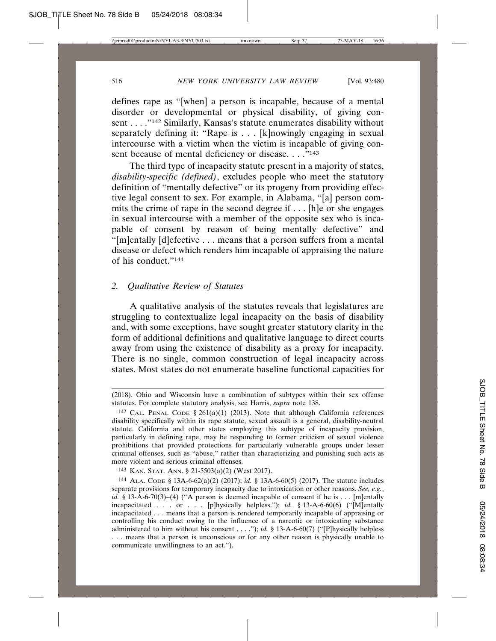defines rape as "[when] a person is incapable, because of a mental disorder or developmental or physical disability, of giving consent . . . . "<sup>142</sup> Similarly, Kansas's statute enumerates disability without separately defining it: "Rape is . . . [k]nowingly engaging in sexual intercourse with a victim when the victim is incapable of giving consent because of mental deficiency or disease. . . .<sup>"143</sup>

The third type of incapacity statute present in a majority of states, *disability-specific (defined)*, excludes people who meet the statutory definition of "mentally defective" or its progeny from providing effective legal consent to sex. For example, in Alabama, "[a] person commits the crime of rape in the second degree if . . . [h]e or she engages in sexual intercourse with a member of the opposite sex who is incapable of consent by reason of being mentally defective" and "[m]entally [d]efective . . . means that a person suffers from a mental disease or defect which renders him incapable of appraising the nature of his conduct."144

### *2. Qualitative Review of Statutes*

A qualitative analysis of the statutes reveals that legislatures are struggling to contextualize legal incapacity on the basis of disability and, with some exceptions, have sought greater statutory clarity in the form of additional definitions and qualitative language to direct courts away from using the existence of disability as a proxy for incapacity. There is no single, common construction of legal incapacity across states. Most states do not enumerate baseline functional capacities for

<sup>(2018).</sup> Ohio and Wisconsin have a combination of subtypes within their sex offense statutes. For complete statutory analysis, see Harris, *supra* note 138.

<sup>&</sup>lt;sup>142</sup> CAL. PENAL CODE § 261(a)(1) (2013). Note that although California references disability specifically within its rape statute, sexual assault is a general, disability-neutral statute. California and other states employing this subtype of incapacity provision, particularly in defining rape, may be responding to former criticism of sexual violence prohibitions that provided protections for particularly vulnerable groups under lesser criminal offenses, such as "abuse," rather than characterizing and punishing such acts as more violent and serious criminal offenses.

<sup>143</sup> KAN. STAT. ANN. § 21-5503(a)(2) (West 2017).

<sup>144</sup> ALA. CODE § 13A-6-62(a)(2) (2017); *id.* § 13A-6-60(5) (2017). The statute includes separate provisions for temporary incapacity due to intoxication or other reasons. *See, e.g.*, *id.* § 13-A-6-70(3)–(4) ("A person is deemed incapable of consent if he is . . . [m]entally incapacitated . . . or . . . [p]hysically helpless."); *id.* § 13-A-6-60(6) ("[M]entally incapacitated . . . means that a person is rendered temporarily incapable of appraising or controlling his conduct owing to the influence of a narcotic or intoxicating substance administered to him without his consent . . . ."); *id.* § 13-A-6-60(7) ("[P]hysically helpless . . . means that a person is unconscious or for any other reason is physically unable to communicate unwillingness to an act.").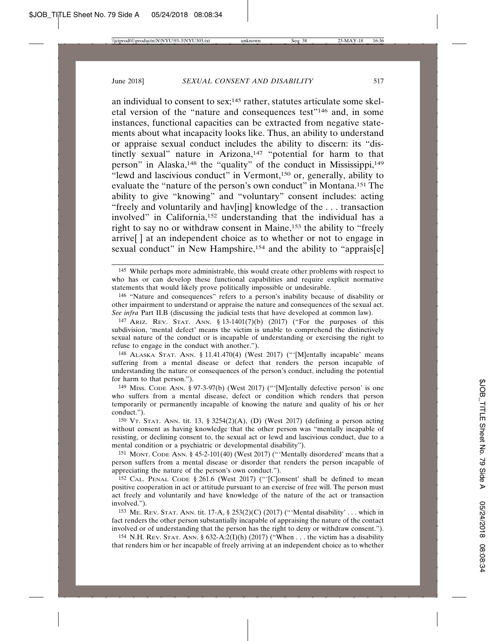an individual to consent to sex;<sup>145</sup> rather, statutes articulate some skeletal version of the "nature and consequences test"146 and, in some instances, functional capacities can be extracted from negative statements about what incapacity looks like. Thus, an ability to understand or appraise sexual conduct includes the ability to discern: its "distinctly sexual" nature in Arizona,<sup>147</sup> "potential for harm to that person" in Alaska,<sup>148</sup> the "quality" of the conduct in Mississippi,<sup>149</sup> "lewd and lascivious conduct" in Vermont,150 or, generally, ability to evaluate the "nature of the person's own conduct" in Montana.151 The ability to give "knowing" and "voluntary" consent includes: acting "freely and voluntarily and hav[ing] knowledge of the . . . transaction involved" in California,152 understanding that the individual has a right to say no or withdraw consent in Maine,153 the ability to "freely arrive[ ] at an independent choice as to whether or not to engage in sexual conduct" in New Hampshire,<sup>154</sup> and the ability to "apprais[e]

147 ARIZ. REV. STAT. ANN. § 13-1401(7)(b) (2017) ("For the purposes of this subdivision, 'mental defect' means the victim is unable to comprehend the distinctively sexual nature of the conduct or is incapable of understanding or exercising the right to refuse to engage in the conduct with another.").

148 ALASKA STAT. ANN. § 11.41.470(4) (West 2017) ("'[M]entally incapable' means suffering from a mental disease or defect that renders the person incapable of understanding the nature or consequences of the person's conduct, including the potential for harm to that person.").

149 MISS. CODE ANN. § 97-3-97(b) (West 2017) ("'[M]entally defective person' is one who suffers from a mental disease, defect or condition which renders that person temporarily or permanently incapable of knowing the nature and quality of his or her conduct.").

150 VT. STAT. ANN. tit. 13, § 3254(2)(A), (D) (West 2017) (defining a person acting without consent as having knowledge that the other person was "mentally incapable of resisting, or declining consent to, the sexual act or lewd and lascivious conduct, due to a mental condition or a psychiatric or developmental disability").

151 MONT. CODE ANN. § 45-2-101(40) (West 2017) ("'Mentally disordered' means that a person suffers from a mental disease or disorder that renders the person incapable of appreciating the nature of the person's own conduct.").

152 CAL. PENAL CODE § 261.6 (West 2017) ("'[C]onsent' shall be defined to mean positive cooperation in act or attitude pursuant to an exercise of free will. The person must act freely and voluntarily and have knowledge of the nature of the act or transaction involved.").

<sup>153</sup> Me. Rev. Stat. Ann. tit. 17-A,  $\S$  253(2)(C) (2017) ("'Mental disability' ... which in fact renders the other person substantially incapable of appraising the nature of the contact involved or of understanding that the person has the right to deny or withdraw consent.").

154 N.H. REV. STAT. ANN. § 632-A:2(I)(h) (2017) ("When ... the victim has a disability that renders him or her incapable of freely arriving at an independent choice as to whether

<sup>&</sup>lt;sup>145</sup> While perhaps more administrable, this would create other problems with respect to who has or can develop these functional capabilities and require explicit normative statements that would likely prove politically impossible or undesirable.

<sup>146</sup> "Nature and consequences" refers to a person's inability because of disability or other impairment to understand or appraise the nature and consequences of the sexual act. *See infra* Part II.B (discussing the judicial tests that have developed at common law).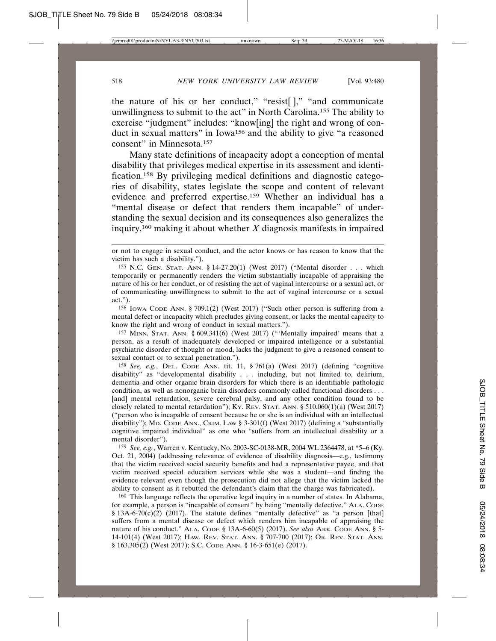the nature of his or her conduct," "resist[]," "and communicate unwillingness to submit to the act" in North Carolina.155 The ability to exercise "judgment" includes: "know[ing] the right and wrong of conduct in sexual matters" in Iowa156 and the ability to give "a reasoned consent" in Minnesota.157

Many state definitions of incapacity adopt a conception of mental disability that privileges medical expertise in its assessment and identification.158 By privileging medical definitions and diagnostic categories of disability, states legislate the scope and content of relevant evidence and preferred expertise.159 Whether an individual has a "mental disease or defect that renders them incapable" of understanding the sexual decision and its consequences also generalizes the inquiry,<sup>160</sup> making it about whether  $X$  diagnosis manifests in impaired

156 IOWA CODE ANN. § 709.1(2) (West 2017) ("Such other person is suffering from a mental defect or incapacity which precludes giving consent, or lacks the mental capacity to know the right and wrong of conduct in sexual matters.").

157 MINN. STAT. ANN. § 609.341(6) (West 2017) ("'Mentally impaired' means that a person, as a result of inadequately developed or impaired intelligence or a substantial psychiatric disorder of thought or mood, lacks the judgment to give a reasoned consent to sexual contact or to sexual penetration.").

158 *See, e.g.*, DEL. CODE ANN. tit. 11, § 761(a) (West 2017) (defining "cognitive disability" as "developmental disability . . . including, but not limited to, delirium, dementia and other organic brain disorders for which there is an identifiable pathologic condition, as well as nonorganic brain disorders commonly called functional disorders . . . [and] mental retardation, severe cerebral palsy, and any other condition found to be closely related to mental retardation"); Ky. REV. STAT. ANN.  $\S$  510.060(1)(a) (West 2017) ("person who is incapable of consent because he or she is an individual with an intellectual disability"); MD. CODE ANN., CRIM. LAW § 3-301(f) (West 2017) (defining a "substantially cognitive impaired individual" as one who "suffers from an intellectual disability or a mental disorder").

159 *See, e.g.*, Warren v. Kentucky, No. 2003-SC-0138-MR, 2004 WL 2364478, at \*5–6 (Ky. Oct. 21, 2004) (addressing relevance of evidence of disability diagnosis—e.g., testimony that the victim received social security benefits and had a representative payee, and that victim received special education services while she was a student—and finding the evidence relevant even though the prosecution did not allege that the victim lacked the ability to consent as it rebutted the defendant's claim that the charge was fabricated).

160 This language reflects the operative legal inquiry in a number of states. In Alabama, for example, a person is "incapable of consent" by being "mentally defective." ALA. CODE  $§$  13A-6-70(c)(2) (2017). The statute defines "mentally defective" as "a person [that] suffers from a mental disease or defect which renders him incapable of appraising the nature of his conduct." ALA. CODE § 13A-6-60(5) (2017). *See also* ARK. CODE ANN. § 5- 14-101(4) (West 2017); HAW. REV. STAT. ANN. § 707-700 (2017); OR. REV. STAT. ANN. § 163.305(2) (West 2017); S.C. CODE ANN. § 16-3-651(e) (2017).

or not to engage in sexual conduct, and the actor knows or has reason to know that the victim has such a disability.").

<sup>155</sup> N.C. GEN. STAT. ANN. § 14-27.20(1) (West 2017) ("Mental disorder . . . which temporarily or permanently renders the victim substantially incapable of appraising the nature of his or her conduct, or of resisting the act of vaginal intercourse or a sexual act, or of communicating unwillingness to submit to the act of vaginal intercourse or a sexual act.").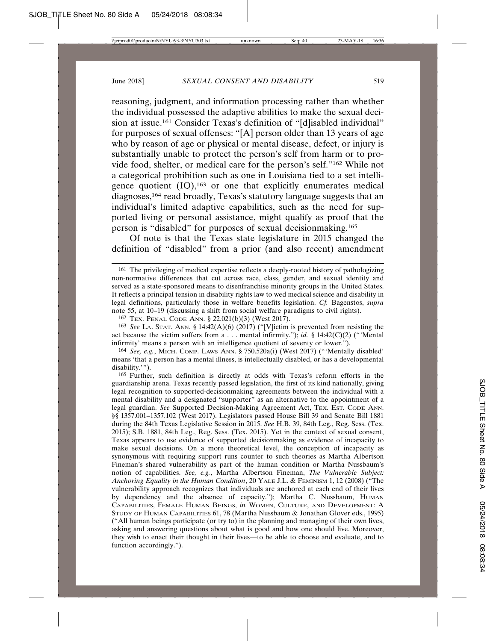reasoning, judgment, and information processing rather than whether the individual possessed the adaptive abilities to make the sexual decision at issue.<sup>161</sup> Consider Texas's definition of "[d]isabled individual" for purposes of sexual offenses: "[A] person older than 13 years of age who by reason of age or physical or mental disease, defect, or injury is substantially unable to protect the person's self from harm or to provide food, shelter, or medical care for the person's self."162 While not a categorical prohibition such as one in Louisiana tied to a set intelligence quotient  $(IQ)$ ,<sup>163</sup> or one that explicitly enumerates medical diagnoses,164 read broadly, Texas's statutory language suggests that an individual's limited adaptive capabilities, such as the need for supported living or personal assistance, might qualify as proof that the person is "disabled" for purposes of sexual decisionmaking.165

Of note is that the Texas state legislature in 2015 changed the definition of "disabled" from a prior (and also recent) amendment

<sup>161</sup> The privileging of medical expertise reflects a deeply-rooted history of pathologizing non-normative differences that cut across race, class, gender, and sexual identity and served as a state-sponsored means to disenfranchise minority groups in the United States. It reflects a principal tension in disability rights law to wed medical science and disability in legal definitions, particularly those in welfare benefits legislation. *Cf.* Bagenstos, *supra* note 55, at 10–19 (discussing a shift from social welfare paradigms to civil rights).

<sup>162</sup> TEX. PENAL CODE ANN. § 22.021(b)(3) (West 2017).

<sup>163</sup> *See* LA. STAT. ANN. § 14:42(A)(6) (2017) ("[V]ictim is prevented from resisting the act because the victim suffers from a . . . mental infirmity."); *id.* § 14:42(C)(2) ("Mental infirmity' means a person with an intelligence quotient of seventy or lower.").

<sup>164</sup> *See, e.g.*, MICH. COMP. LAWS ANN. § 750.520a(i) (West 2017) ("'Mentally disabled' means 'that a person has a mental illness, is intellectually disabled, or has a developmental disability.'").

<sup>165</sup> Further, such definition is directly at odds with Texas's reform efforts in the guardianship arena. Texas recently passed legislation, the first of its kind nationally, giving legal recognition to supported-decisionmaking agreements between the individual with a mental disability and a designated "supporter" as an alternative to the appointment of a legal guardian. See Supported Decision-Making Agreement Act, Tex. Est. Code ANN. §§ 1357.001–1357.102 (West 2017). Legislators passed House Bill 39 and Senate Bill 1881 during the 84th Texas Legislative Session in 2015. *See* H.B. 39, 84th Leg., Reg. Sess. (Tex. 2015); S.B. 1881, 84th Leg., Reg. Sess. (Tex. 2015). Yet in the context of sexual consent, Texas appears to use evidence of supported decisionmaking as evidence of incapacity to make sexual decisions. On a more theoretical level, the conception of incapacity as synonymous with requiring support runs counter to such theories as Martha Albertson Fineman's shared vulnerability as part of the human condition or Martha Nussbaum's notion of capabilities. *See, e.g.*, Martha Albertson Fineman, *The Vulnerable Subject: Anchoring Equality in the Human Condition*, 20 YALE J.L. & FEMINISM 1, 12 (2008) ("The vulnerability approach recognizes that individuals are anchored at each end of their lives by dependency and the absence of capacity."); Martha C. Nussbaum, HUMAN CAPABILITIES, FEMALE HUMAN BEINGS, *in* WOMEN, CULTURE, AND DEVELOPMENT: A STUDY OF HUMAN CAPABILITIES 61, 78 (Martha Nussbaum & Jonathan Glover eds., 1995) ("All human beings participate (or try to) in the planning and managing of their own lives, asking and answering questions about what is good and how one should live. Moreover, they wish to enact their thought in their lives—to be able to choose and evaluate, and to function accordingly.").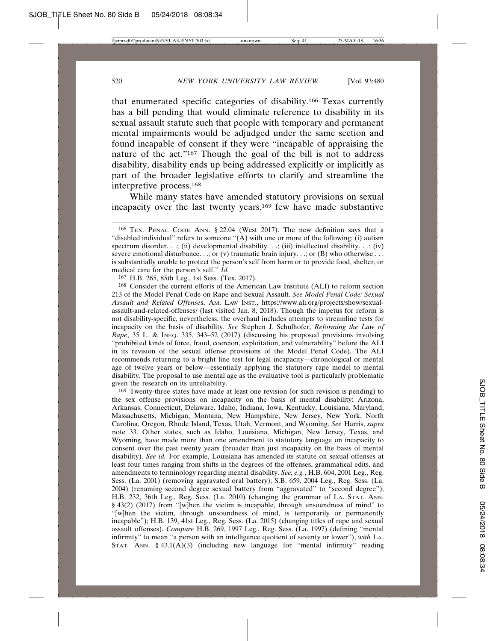that enumerated specific categories of disability.166 Texas currently has a bill pending that would eliminate reference to disability in its sexual assault statute such that people with temporary and permanent mental impairments would be adjudged under the same section and found incapable of consent if they were "incapable of appraising the nature of the act."167 Though the goal of the bill is not to address disability, disability ends up being addressed explicitly or implicitly as part of the broader legislative efforts to clarify and streamline the interpretive process.168

While many states have amended statutory provisions on sexual incapacity over the last twenty years,<sup>169</sup> few have made substantive

167 H.B. 265, 85th Leg., 1st Sess. (Tex. 2017).

168 Consider the current efforts of the American Law Institute (ALI) to reform section 213 of the Model Penal Code on Rape and Sexual Assault. *See Model Penal Code: Sexual Assault and Related Offense*s, AM. LAW INST., https://www.ali.org/projects/show/sexualassault-and-related-offenses/ (last visited Jan. 8, 2018). Though the impetus for reform is not disability-specific, nevertheless, the overhaul includes attempts to streamline tests for incapacity on the basis of disability. *See* Stephen J. Schulhofer, *Reforming the Law of Rape*, 35 L. & INEQ. 335, 343–52 (2017) (discussing his proposed provisions involving "prohibited kinds of force, fraud, coercion, exploitation, and vulnerability" before the ALI in its revision of the sexual offense provisions of the Model Penal Code). The ALI recommends returning to a bright line test for legal incapacity—chronological or mental age of twelve years or below—essentially applying the statutory rape model to mental disability. The proposal to use mental age as the evaluative tool is particularly problematic given the research on its unreliability.

169 Twenty-three states have made at least one revision (or such revision is pending) to the sex offense provisions on incapacity on the basis of mental disability: Arizona, Arkansas, Connecticut, Delaware, Idaho, Indiana, Iowa, Kentucky, Louisiana, Maryland, Massachusetts, Michigan, Montana, New Hampshire, New Jersey, New York, North Carolina, Oregon, Rhode Island, Texas, Utah, Vermont, and Wyoming. *See* Harris, *supra* note 33. Other states, such as Idaho, Louisiana, Michigan, New Jersey, Texas, and Wyoming, have made more than one amendment to statutory language on incapacity to consent over the past twenty years (broader than just incapacity on the basis of mental disability). *See id.* For example, Louisiana has amended its statute on sexual offenses at least four times ranging from shifts in the degrees of the offenses, grammatical edits, and amendments to terminology regarding mental disability. *See, e.g.*, H.B. 604, 2001 Leg., Reg. Sess. (La. 2001) (removing aggravated oral battery); S.B. 659, 2004 Leg., Reg. Sess. (La. 2004) (renaming second degree sexual battery from "aggravated" to "second degree"); H.B. 232, 36th Leg., Reg. Sess. (La. 2010) (changing the grammar of LA. STAT. ANN. § 43(2) (2017) from "[w]hen the victim is incapable, through unsoundness of mind" to "[w]hen the victim, through unsoundness of mind, is temporarily or permanently incapable"); H.B. 139, 41st Leg., Reg. Sess. (La. 2015) (changing titles of rape and sexual assault offenses). *Compare* H.B. 269, 1997 Leg., Reg. Sess. (La. 1997) (defining "mental infirmity" to mean "a person with an intelligence quotient of seventy or lower"), *with* LA. STAT. ANN.  $\S$  43.1(A)(3) (including new language for "mental infirmity" reading

<sup>166</sup> TEX. PENAL CODE ANN. § 22.04 (West 2017). The new definition says that a "disabled individual" refers to someone "(A) with one or more of the following: (i) autism spectrum disorder. . .; (ii) developmental disability. . .; (iii) intellectual disability. . .; (iv) severe emotional disturbance. . .; or (v) traumatic brain injury. . .; or (B) who otherwise . . . is substantially unable to protect the person's self from harm or to provide food, shelter, or medical care for the person's self." *Id.*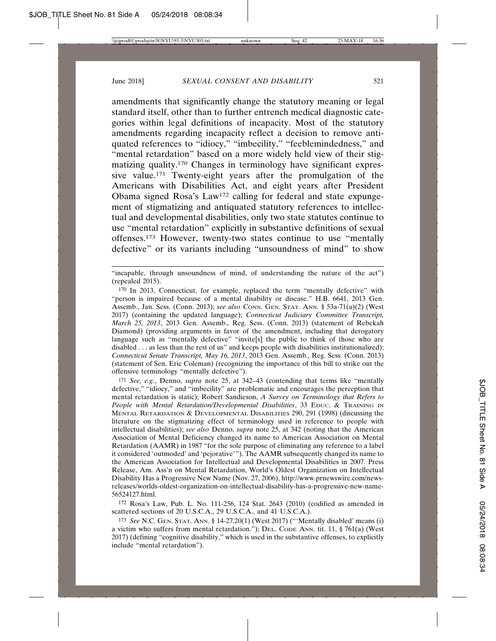amendments that significantly change the statutory meaning or legal standard itself, other than to further entrench medical diagnostic categories within legal definitions of incapacity. Most of the statutory amendments regarding incapacity reflect a decision to remove antiquated references to "idiocy," "imbecility," "feeblemindedness," and "mental retardation" based on a more widely held view of their stigmatizing quality.170 Changes in terminology have significant expressive value.171 Twenty-eight years after the promulgation of the Americans with Disabilities Act, and eight years after President Obama signed Rosa's Law172 calling for federal and state expungement of stigmatizing and antiquated statutory references to intellectual and developmental disabilities, only two state statutes continue to use "mental retardation" explicitly in substantive definitions of sexual offenses.173 However, twenty-two states continue to use "mentally defective" or its variants including "unsoundness of mind" to show

171 *See, e.g.*, Denno, *supra* note 25, at 342–43 (contending that terms like "mentally defective," "idiocy," and "imbecility" are problematic and encourages the perception that mental retardation is static); Robert Sandieson, *A Survey on Terminology that Refers to People with Mental Retardation/Developmental Disabilities*, 33 EDUC. & TRAINING IN MENTAL RETARDATION & DEVELOPMENTAL DISABILITIES 290, 291 (1998) (discussing the literature on the stigmatizing effect of terminology used in reference to people with intellectual disabilities); *see also* Denno, *supra* note 25, at 342 (noting that the American Association of Mental Deficiency changed its name to American Association on Mental Retardation (AAMR) in 1987 "for the sole purpose of eliminating any reference to a label it considered 'outmoded' and 'pejorative'"). The AAMR subsequently changed its name to the American Association for Intellectual and Developmental Disabilities in 2007. Press Release, Am. Ass'n on Mental Retardation, World's Oldest Organization on Intellectual Disability Has a Progressive New Name (Nov. 27, 2006), http://www.prnewswire.com/newsreleases/worlds-oldest-organization-on-intellectual-disability-has-a-progressive-new-name-56524127.html.

172 Rosa's Law, Pub. L. No. 111-256, 124 Stat. 2643 (2010) (codified as amended in scattered sections of 20 U.S.C.A., 29 U.S.C.A., and 41 U.S.C.A.).

173 *See* N.C. GEN. STAT. ANN. § 14-27.20(1) (West 2017) ("'Mentally disabled' means (i) a victim who suffers from mental retardation."); DEL. CODE ANN. tit. 11, § 761(a) (West 2017) (defining "cognitive disability," which is used in the substantive offenses, to explicitly include "mental retardation").

<sup>&</sup>quot;incapable, through unsoundness of mind, of understanding the nature of the act") (repealed 2015).

<sup>170</sup> In 2013, Connecticut, for example, replaced the term "mentally defective" with "person is impaired because of a mental disability or disease." H.B. 6641, 2013 Gen. Assemb., Jan. Sess. (Conn. 2013); *see also* CONN. GEN. STAT. ANN. § 53a-71(a)(2) (West 2017) (containing the updated language); *Connecticut Judiciary Committee Transcript, March 25, 2013*, 2013 Gen. Assemb., Reg. Sess. (Conn. 2013) (statement of Rebekah Diamond) (providing arguments in favor of the amendment, including that derogatory language such as "mentally defective" "invite[s] the public to think of those who are disabled . . . as less than the rest of us" and keeps people with disabilities institutionalized); *Connecticut Senate Transcript, May 16, 2013*, 2013 Gen. Assemb., Reg. Sess. (Conn. 2013) (statement of Sen. Eric Coleman) (recognizing the importance of this bill to strike out the offensive terminology "mentally defective").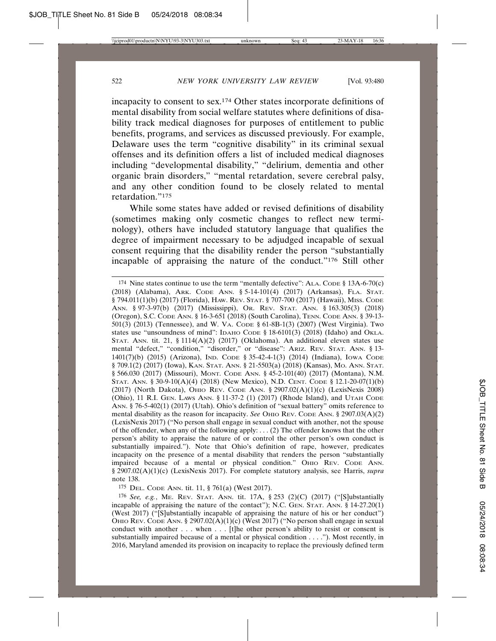incapacity to consent to sex.174 Other states incorporate definitions of mental disability from social welfare statutes where definitions of disability track medical diagnoses for purposes of entitlement to public benefits, programs, and services as discussed previously. For example, Delaware uses the term "cognitive disability" in its criminal sexual offenses and its definition offers a list of included medical diagnoses including "developmental disability," "delirium, dementia and other organic brain disorders," "mental retardation, severe cerebral palsy, and any other condition found to be closely related to mental retardation."175

While some states have added or revised definitions of disability (sometimes making only cosmetic changes to reflect new terminology), others have included statutory language that qualifies the degree of impairment necessary to be adjudged incapable of sexual consent requiring that the disability render the person "substantially incapable of appraising the nature of the conduct."176 Still other

175 DEL. CODE ANN. tit. 11, § 761(a) (West 2017).

176 *See, e.g.*, ME. REV. STAT. ANN. tit. 17A, § 253 (2)(C) (2017) ("[S]ubstantially incapable of appraising the nature of the contact"); N.C. GEN. STAT. ANN. § 14-27.20(1) (West 2017) ("[S]ubstantially incapable of appraising the nature of his or her conduct") OHIO REV. CODE ANN. § 2907.02 $(A)(1)(c)$  (West 2017) ("No person shall engage in sexual conduct with another  $\dots$  when  $\dots$  [t]he other person's ability to resist or consent is substantially impaired because of a mental or physical condition . . . ."). Most recently, in 2016, Maryland amended its provision on incapacity to replace the previously defined term

<sup>&</sup>lt;sup>174</sup> Nine states continue to use the term "mentally defective": ALA. CODE  $\S$  13A-6-70(c) (2018) (Alabama), ARK. CODE ANN. § 5-14-101(4) (2017) (Arkansas), FLA. STAT. § 794.011(1)(b) (2017) (Florida), HAW. REV. STAT. § 707-700 (2017) (Hawaii), MISS. CODE ANN. § 97-3-97(b) (2017) (Mississippi), OR. REV. STAT. ANN. § 163.305(3) (2018) (Oregon), S.C. CODE ANN. § 16-3-651 (2018) (South Carolina), TENN. CODE ANN. § 39-13- 501(3) (2013) (Tennessee), and W. VA. CODE § 61-8B-1(3) (2007) (West Virginia). Two states use "unsoundness of mind": IDAHO CODE § 18-6101(3) (2018) (Idaho) and OKLA. STAT. ANN. tit. 21, § 1114 $(A)(2)$  (2017) (Oklahoma). An additional eleven states use mental "defect," "condition," "disorder," or "disease": ARIZ. REV. STAT. ANN. § 13- 1401(7)(b) (2015) (Arizona), IND. CODE § 35-42-4-1(3) (2014) (Indiana), IOWA CODE § 709.1(2) (2017) (Iowa), KAN. STAT. ANN. § 21-5503(a) (2018) (Kansas), MO. ANN. STAT. § 566.030 (2017) (Missouri), MONT. CODE ANN. § 45-2-101(40) (2017) (Montana), N.M. STAT. ANN. § 30-9-10(A)(4) (2018) (New Mexico), N.D. CENT. CODE § 12.1-20-07(1)(b) (2017) (North Dakota), OHIO REV. CODE ANN. § 2907.02(A)(1)(c) (LexisNexis 2008) (Ohio), 11 R.I. GEN. LAWS ANN. § 11-37-2 (1) (2017) (Rhode Island), and UTAH CODE ANN. § 76-5-402(1) (2017) (Utah). Ohio's definition of "sexual battery" omits reference to mental disability as the reason for incapacity. *See* OHIO REV. CODE ANN. § 2907.03(A)(2) (LexisNexis 2017) ("No person shall engage in sexual conduct with another, not the spouse of the offender, when any of the following apply: . . . (2) The offender knows that the other person's ability to appraise the nature of or control the other person's own conduct is substantially impaired."). Note that Ohio's definition of rape, however, predicates incapacity on the presence of a mental disability that renders the person "substantially impaired because of a mental or physical condition." OHIO REV. CODE ANN. § 2907.02(A)(1)(c) (LexisNexis 2017). For complete statutory analysis, see Harris, *supra* note 138.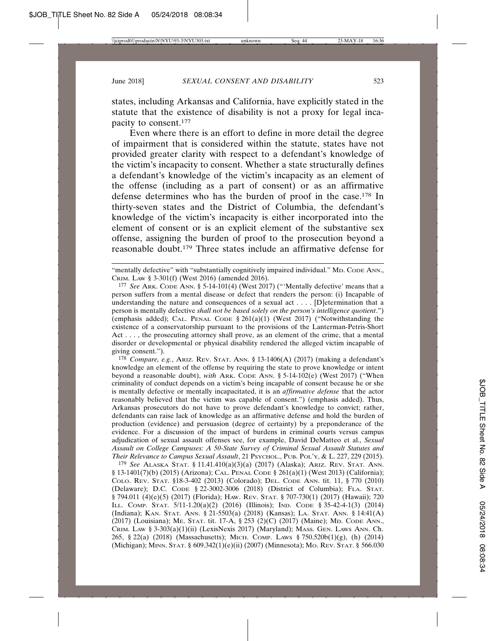states, including Arkansas and California, have explicitly stated in the statute that the existence of disability is not a proxy for legal incapacity to consent.177

Even where there is an effort to define in more detail the degree of impairment that is considered within the statute, states have not provided greater clarity with respect to a defendant's knowledge of the victim's incapacity to consent. Whether a state structurally defines a defendant's knowledge of the victim's incapacity as an element of the offense (including as a part of consent) or as an affirmative defense determines who has the burden of proof in the case.178 In thirty-seven states and the District of Columbia, the defendant's knowledge of the victim's incapacity is either incorporated into the element of consent or is an explicit element of the substantive sex offense, assigning the burden of proof to the prosecution beyond a reasonable doubt.179 Three states include an affirmative defense for

178 *Compare, e.g.*, ARIZ. REV. STAT. ANN. § 13-1406(A) (2017) (making a defendant's knowledge an element of the offense by requiring the state to prove knowledge or intent beyond a reasonable doubt), *with* ARK. CODE ANN. § 5-14-102(e) (West 2017) ("When criminality of conduct depends on a victim's being incapable of consent because he or she is mentally defective or mentally incapacitated, it is an *affirmative defense* that the actor reasonably believed that the victim was capable of consent.") (emphasis added). Thus, Arkansas prosecutors do not have to prove defendant's knowledge to convict; rather, defendants can raise lack of knowledge as an affirmative defense and hold the burden of production (evidence) and persuasion (degree of certainty) by a preponderance of the evidence. For a discussion of the impact of burdens in criminal courts versus campus adjudication of sexual assault offenses see, for example, David DeMatteo et al., *Sexual Assault on College Campuses: A 50-State Survey of Criminal Sexual Assault Statutes and Their Relevance to Campus Sexual Assault*, 21 PSYCHOL., PUB. POL'Y, & L. 227, 229 (2015).

179 *See* ALASKA STAT. § 11.41.410(a)(3)(a) (2017) (Alaska); ARIZ. REV. STAT. ANN. § 13-1401(7)(b) (2015) (Arizona); CAL. PENAL CODE § 261(a)(1) (West 2013) (California); COLO. REV. STAT. §18-3-402 (2013) (Colorado); DEL. CODE ANN. tit. 11, § 770 (2010) (Delaware); D.C. CODE § 22-3002-3006 (2018) (District of Columbia); FLA. STAT. § 794.011 (4)(e)(5) (2017) (Florida); HAW. REV. STAT. § 707-730(1) (2017) (Hawaii); 720 ILL. COMP. STAT. 5/11-1.20(a)(2) (2016) (Illinois); IND. CODE § 35-42-4-1(3) (2014) (Indiana); KAN. STAT. ANN. § 21-5503(a) (2018) (Kansas); LA. STAT. ANN. § 14:41(A) (2017) (Louisiana); ME. STAT. tit. 17-A, § 253 (2)(C) (2017) (Maine); MD. CODE ANN., CRIM. LAW § 3-303(a)(1)(ii) (LexisNexis 2017) (Maryland); MASS. GEN. LAWS ANN. Ch. 265, § 22(a) (2018) (Massachusetts); MICH. COMP. LAWS § 750.520b(1)(g), (h) (2014) (Michigan); MINN. STAT. § 609.342(1)(e)(ii) (2007) (Minnesota); MO. REV. STAT. § 566.030

<sup>&</sup>quot;mentally defective" with "substantially cognitively impaired individual." MD. CODE ANN., CRIM. LAW § 3-301(f) (West 2016) (amended 2016).

<sup>177</sup> *See* ARK. CODE ANN. § 5-14-101(4) (West 2017) ("'Mentally defective' means that a person suffers from a mental disease or defect that renders the person: (i) Incapable of understanding the nature and consequences of a sexual act . . . . [D]etermination that a person is mentally defective *shall not be based solely on the person's intelligence quotient*.") (emphasis added); CAL. PENAL CODE  $\S 261(a)(1)$  (West 2017) ("Notwithstanding the existence of a conservatorship pursuant to the provisions of the Lanterman-Petris-Short Act . . . , the prosecuting attorney shall prove, as an element of the crime, that a mental disorder or developmental or physical disability rendered the alleged victim incapable of giving consent.").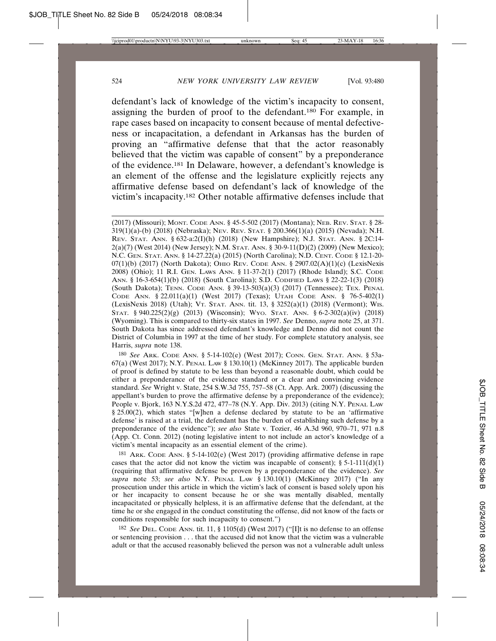defendant's lack of knowledge of the victim's incapacity to consent, assigning the burden of proof to the defendant.180 For example, in rape cases based on incapacity to consent because of mental defectiveness or incapacitation, a defendant in Arkansas has the burden of proving an "affirmative defense that that the actor reasonably believed that the victim was capable of consent" by a preponderance of the evidence.181 In Delaware, however, a defendant's knowledge is an element of the offense and the legislature explicitly rejects any affirmative defense based on defendant's lack of knowledge of the victim's incapacity.182 Other notable affirmative defenses include that

(2017) (Missouri); MONT. CODE ANN. § 45-5-502 (2017) (Montana); NEB. REV. STAT. § 28- 319(1)(a)-(b) (2018) (Nebraska); NEV. REV. STAT. § 200.366(1)(a) (2015) (Nevada); N.H. REV. STAT. ANN. § 632-a:2(I)(h) (2018) (New Hampshire); N.J. STAT. ANN. § 2C:14- 2(a)(7) (West 2014) (New Jersey); N.M. STAT. ANN. § 30-9-11(D)(2) (2009) (New Mexico); N.C. GEN. STAT. ANN. § 14-27.22(a) (2015) (North Carolina); N.D. CENT. CODE § 12.1-20-  $07(1)(b)$  (2017) (North Dakota); OHIO REV. CODE ANN. § 2907.02 $(A)(1)(c)$  (LexisNexis) 2008) (Ohio); 11 R.I. GEN. LAWS ANN. § 11-37-2(1) (2017) (Rhode Island); S.C. CODE ANN. § 16-3-654(1)(b) (2018) (South Carolina); S.D. CODIFIED LAWS § 22-22-1(3) (2018) (South Dakota); TENN. CODE ANN. § 39-13-503(a)(3) (2017) (Tennessee); TEX. PENAL CODE ANN. § 22.011(a)(1) (West 2017) (Texas); UTAH CODE ANN. § 76-5-402(1) (LexisNexis 2018) (Utah); VT. STAT. ANN. tit. 13, § 3252(a)(1) (2018) (Vermont); WIS. STAT. § 940.225(2)(g) (2013) (Wisconsin); Wyo. STAT. ANN. § 6-2-302(a)(iv) (2018) (Wyoming). This is compared to thirty-six states in 1997. *See* Denno, *supra* note 25, at 371. South Dakota has since addressed defendant's knowledge and Denno did not count the District of Columbia in 1997 at the time of her study. For complete statutory analysis, see Harris, *supra* note 138.

180 *See* ARK. CODE ANN. § 5-14-102(e) (West 2017); CONN. GEN. STAT. ANN. § 53a- $67(a)$  (West 2017); N.Y. PENAL LAW § 130.10(1) (McKinney 2017). The applicable burden of proof is defined by statute to be less than beyond a reasonable doubt, which could be either a preponderance of the evidence standard or a clear and convincing evidence standard. *See* Wright v. State, 254 S.W.3d 755, 757–58 (Ct. App. Ark. 2007) (discussing the appellant's burden to prove the affirmative defense by a preponderance of the evidence); People v. Bjork, 163 N.Y.S.2d 472, 477–78 (N.Y. App. Div. 2013) (citing N.Y. PENAL LAW § 25.00(2), which states "[w]hen a defense declared by statute to be an 'affirmative defense' is raised at a trial, the defendant has the burden of establishing such defense by a preponderance of the evidence"); *see also* State v. Tozier, 46 A.3d 960, 970–71, 971 n.8 (App. Ct. Conn. 2012) (noting legislative intent to not include an actor's knowledge of a victim's mental incapacity as an essential element of the crime).

<sup>181</sup> ARK. CODE ANN. § 5-14-102(e) (West 2017) (providing affirmative defense in rape cases that the actor did not know the victim was incapable of consent);  $\S 5{\text -}1{\text -}11{\text -}(\text{d}){\text -}1$ (requiring that affirmative defense be proven by a preponderance of the evidence). *See supra* note 53; *see also* N.Y. PENAL LAW § 130.10(1) (McKinney 2017) ("In any prosecution under this article in which the victim's lack of consent is based solely upon his or her incapacity to consent because he or she was mentally disabled, mentally incapacitated or physically helpless, it is an affirmative defense that the defendant, at the time he or she engaged in the conduct constituting the offense, did not know of the facts or conditions responsible for such incapacity to consent.")

182 *See* DEL. CODE ANN. tit. 11, § 1105(d) (West 2017) ("[I]t is no defense to an offense or sentencing provision . . . that the accused did not know that the victim was a vulnerable adult or that the accused reasonably believed the person was not a vulnerable adult unless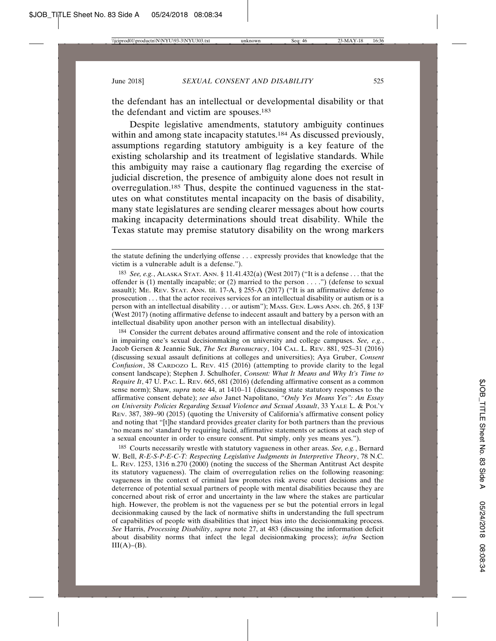the defendant has an intellectual or developmental disability or that the defendant and victim are spouses.183

Despite legislative amendments, statutory ambiguity continues within and among state incapacity statutes.<sup>184</sup> As discussed previously, assumptions regarding statutory ambiguity is a key feature of the existing scholarship and its treatment of legislative standards. While this ambiguity may raise a cautionary flag regarding the exercise of judicial discretion, the presence of ambiguity alone does not result in overregulation.185 Thus, despite the continued vagueness in the statutes on what constitutes mental incapacity on the basis of disability, many state legislatures are sending clearer messages about how courts making incapacity determinations should treat disability. While the Texas statute may premise statutory disability on the wrong markers

184 Consider the current debates around affirmative consent and the role of intoxication in impairing one's sexual decisionmaking on university and college campuses. *See, e.g.*, Jacob Gersen & Jeannie Suk, *The Sex Bureaucracy*, 104 CAL. L. REV. 881, 925–31 (2016) (discussing sexual assault definitions at colleges and universities); Aya Gruber, *Consent Confusion*, 38 CARDOZO L. REV. 415 (2016) (attempting to provide clarity to the legal consent landscape); Stephen J. Schulhofer, *Consent: What It Means and Why It's Time to Require It*, 47 U. PAC. L. REV. 665, 681 (2016) (defending affirmative consent as a common sense norm); Shaw, *supra* note 44, at 1410–11 (discussing state statutory responses to the affirmative consent debate); *see also* Janet Napolitano, *"Only Yes Means Yes": An Essay on University Policies Regarding Sexual Violence and Sexual Assault*, 33 YALE L. & POL'Y REV. 387, 389–90 (2015) (quoting the University of California's affirmative consent policy and noting that "[t]he standard provides greater clarity for both partners than the previous 'no means no' standard by requiring lucid, affirmative statements or actions at each step of a sexual encounter in order to ensure consent. Put simply, only yes means yes.").

185 Courts necessarily wrestle with statutory vagueness in other areas. *See, e.g.*, Bernard W. Bell, *R-E-S-P-E-C-T: Respecting Legislative Judgments in Interpretive Theory*, 78 N.C. L. REV. 1253, 1316 n.270 (2000) (noting the success of the Sherman Antitrust Act despite its statutory vagueness). The claim of overregulation relies on the following reasoning: vagueness in the context of criminal law promotes risk averse court decisions and the deterrence of potential sexual partners of people with mental disabilities because they are concerned about risk of error and uncertainty in the law where the stakes are particular high. However, the problem is not the vagueness per se but the potential errors in legal decisionmaking caused by the lack of normative shifts in understanding the full spectrum of capabilities of people with disabilities that inject bias into the decisionmaking process. *See* Harris, *Processing Disability*, *supra* note 27, at 483 (discussing the information deficit about disability norms that infect the legal decisionmaking process); *infra* Section  $III(A)–(B).$ 

the statute defining the underlying offense . . . expressly provides that knowledge that the victim is a vulnerable adult is a defense.").

<sup>183</sup> *See, e.g.*, ALASKA STAT. ANN. § 11.41.432(a) (West 2017) ("It is a defense . . . that the offender is (1) mentally incapable; or (2) married to the person . . . .") (defense to sexual assault); ME. REV. STAT. ANN. tit. 17-A, § 255-A (2017) ("It is an affirmative defense to prosecution . . . that the actor receives services for an intellectual disability or autism or is a person with an intellectual disability . . . or autism"); MASS. GEN. LAWS ANN. ch. 265, § 13F (West 2017) (noting affirmative defense to indecent assault and battery by a person with an intellectual disability upon another person with an intellectual disability).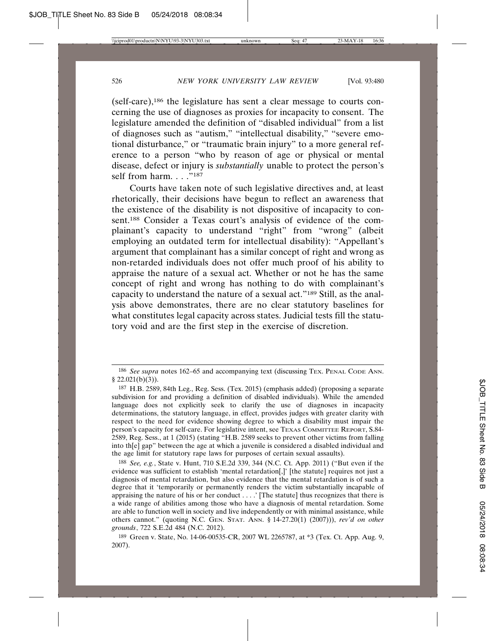(self-care),186 the legislature has sent a clear message to courts concerning the use of diagnoses as proxies for incapacity to consent. The legislature amended the definition of "disabled individual" from a list of diagnoses such as "autism," "intellectual disability," "severe emotional disturbance," or "traumatic brain injury" to a more general reference to a person "who by reason of age or physical or mental disease, defect or injury is *substantially* unable to protect the person's self from harm.  $\ldots$ ."187

Courts have taken note of such legislative directives and, at least rhetorically, their decisions have begun to reflect an awareness that the existence of the disability is not dispositive of incapacity to consent.188 Consider a Texas court's analysis of evidence of the complainant's capacity to understand "right" from "wrong" (albeit employing an outdated term for intellectual disability): "Appellant's argument that complainant has a similar concept of right and wrong as non-retarded individuals does not offer much proof of his ability to appraise the nature of a sexual act. Whether or not he has the same concept of right and wrong has nothing to do with complainant's capacity to understand the nature of a sexual act."189 Still, as the analysis above demonstrates, there are no clear statutory baselines for what constitutes legal capacity across states. Judicial tests fill the statutory void and are the first step in the exercise of discretion.

<sup>186</sup> *See supra* notes 162–65 and accompanying text (discussing TEX. PENAL CODE ANN.  $§$  22.021(b)(3)).

<sup>187</sup> H.B. 2589, 84th Leg., Reg. Sess. (Tex. 2015) (emphasis added) (proposing a separate subdivision for and providing a definition of disabled individuals). While the amended language does not explicitly seek to clarify the use of diagnoses in incapacity determinations, the statutory language, in effect, provides judges with greater clarity with respect to the need for evidence showing degree to which a disability must impair the person's capacity for self-care. For legislative intent, see TEXAS COMMITTEE REPORT, S.84- 2589, Reg. Sess., at 1 (2015) (stating "H.B. 2589 seeks to prevent other victims from falling into th[e] gap" between the age at which a juvenile is considered a disabled individual and the age limit for statutory rape laws for purposes of certain sexual assaults).

<sup>188</sup> *See, e.g.*, State v. Hunt, 710 S.E.2d 339, 344 (N.C. Ct. App. 2011) ("But even if the evidence was sufficient to establish 'mental retardation[,]' [the statute] requires not just a diagnosis of mental retardation, but also evidence that the mental retardation is of such a degree that it 'temporarily or permanently renders the victim substantially incapable of appraising the nature of his or her conduct  $\dots$ . The statute] thus recognizes that there is a wide range of abilities among those who have a diagnosis of mental retardation. Some are able to function well in society and live independently or with minimal assistance, while others cannot." (quoting N.C. GEN. STAT. ANN. § 14-27.20(1) (2007))), *rev'd on other grounds*, 722 S.E.2d 484 (N.C. 2012).

<sup>189</sup> Green v. State, No. 14-06-00535-CR, 2007 WL 2265787, at \*3 (Tex. Ct. App. Aug. 9, 2007).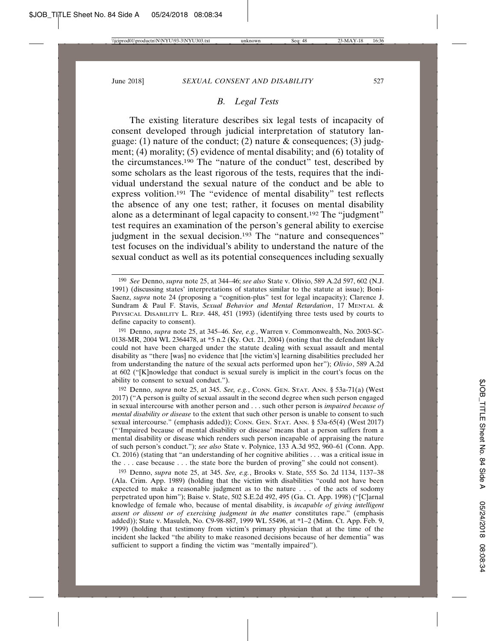## *B. Legal Tests*

The existing literature describes six legal tests of incapacity of consent developed through judicial interpretation of statutory language: (1) nature of the conduct; (2) nature  $\&$  consequences; (3) judgment; (4) morality; (5) evidence of mental disability; and (6) totality of the circumstances.190 The "nature of the conduct" test, described by some scholars as the least rigorous of the tests, requires that the individual understand the sexual nature of the conduct and be able to express volition.191 The "evidence of mental disability" test reflects the absence of any one test; rather, it focuses on mental disability alone as a determinant of legal capacity to consent.192 The "judgment" test requires an examination of the person's general ability to exercise judgment in the sexual decision.<sup>193</sup> The "nature and consequences" test focuses on the individual's ability to understand the nature of the sexual conduct as well as its potential consequences including sexually

192 Denno, *supra* note 25, at 345. *See, e.g.*, CONN. GEN. STAT. ANN. § 53a-71(a) (West 2017) ("A person is guilty of sexual assault in the second degree when such person engaged in sexual intercourse with another person and . . . such other person is *impaired because of mental disability or disease* to the extent that such other person is unable to consent to such sexual intercourse." (emphasis added)); CONN. GEN. STAT. ANN. § 53a-65(4) (West 2017) ("'Impaired because of mental disability or disease' means that a person suffers from a mental disability or disease which renders such person incapable of appraising the nature of such person's conduct."); *see also* State v. Polynice, 133 A.3d 952, 960–61 (Conn. App. Ct. 2016) (stating that "an understanding of her cognitive abilities . . . was a critical issue in the . . . case because . . . the state bore the burden of proving" she could not consent).

193 Denno, *supra* note 25, at 345. *See, e.g.*, Brooks v. State, 555 So. 2d 1134, 1137–38 (Ala. Crim. App. 1989) (holding that the victim with disabilities "could not have been expected to make a reasonable judgment as to the nature . . . of the acts of sodomy perpetrated upon him"); Baise v. State, 502 S.E.2d 492, 495 (Ga. Ct. App. 1998) ("[C]arnal knowledge of female who, because of mental disability, is *incapable of giving intelligent assent or dissent or of exercising judgment in the matter* constitutes rape." (emphasis added)); State v. Masuleh, No. C9-98-887, 1999 WL 55496, at \*1–2 (Minn. Ct. App. Feb. 9, 1999) (holding that testimony from victim's primary physician that at the time of the incident she lacked "the ability to make reasoned decisions because of her dementia" was sufficient to support a finding the victim was "mentally impaired").

<sup>190</sup> *See* Denno, *supra* note 25, at 344–46; *see also* State v. Olivio, 589 A.2d 597, 602 (N.J. 1991) (discussing states' interpretations of statutes similar to the statute at issue); Boni-Saenz, *supra* note 24 (proposing a "cognition-plus" test for legal incapacity); Clarence J. Sundram & Paul F. Stavis, *Sexual Behavior and Mental Retardation*, 17 MENTAL & PHYSICAL DISABILITY L. REP. 448, 451 (1993) (identifying three tests used by courts to define capacity to consent).

<sup>191</sup> Denno, *supra* note 25, at 345–46. *See, e.g.*, Warren v. Commonwealth, No. 2003-SC-0138-MR, 2004 WL 2364478, at \*5 n.2 (Ky. Oct. 21, 2004) (noting that the defendant likely could not have been charged under the statute dealing with sexual assault and mental disability as "there [was] no evidence that [the victim's] learning disabilities precluded her from understanding the nature of the sexual acts performed upon her"); *Olivio*, 589 A.2d at 602 ("[K]nowledge that conduct is sexual surely is implicit in the court's focus on the ability to consent to sexual conduct.").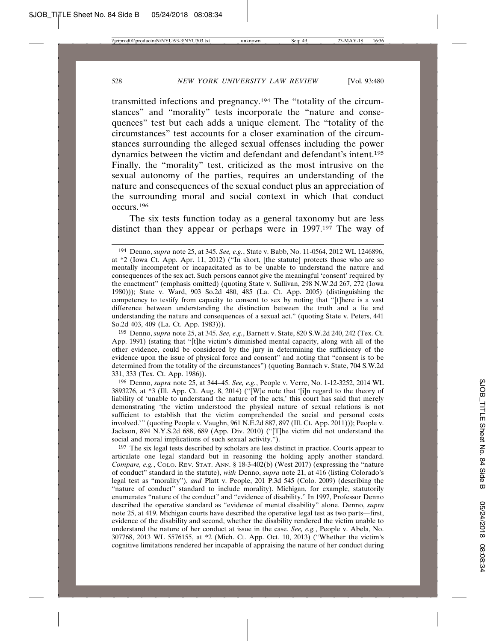transmitted infections and pregnancy.194 The "totality of the circumstances" and "morality" tests incorporate the "nature and consequences" test but each adds a unique element. The "totality of the circumstances" test accounts for a closer examination of the circumstances surrounding the alleged sexual offenses including the power dynamics between the victim and defendant and defendant's intent.195 Finally, the "morality" test, criticized as the most intrusive on the sexual autonomy of the parties, requires an understanding of the nature and consequences of the sexual conduct plus an appreciation of the surrounding moral and social context in which that conduct occurs.196

The six tests function today as a general taxonomy but are less distinct than they appear or perhaps were in 1997.197 The way of

196 Denno, *supra* note 25, at 344–45. *See, e.g.*, People v. Verre, No. 1-12-3252, 2014 WL 3893276, at \*3 (Ill. App. Ct. Aug. 8, 2014) ("[W]e note that '[i]n regard to the theory of liability of 'unable to understand the nature of the acts,' this court has said that merely demonstrating 'the victim understood the physical nature of sexual relations is not sufficient to establish that the victim comprehended the social and personal costs involved.'" (quoting People v. Vaughn, 961 N.E.2d 887, 897 (Ill. Ct. App. 2011))); People v. Jackson, 894 N.Y.S.2d 688, 689 (App. Div. 2010) ("[T]he victim did not understand the social and moral implications of such sexual activity.").

<sup>197</sup> The six legal tests described by scholars are less distinct in practice. Courts appear to articulate one legal standard but in reasoning the holding apply another standard. *Compare, e.g.*, COLO. REV. STAT. ANN. § 18-3-402(b) (West 2017) (expressing the "nature of conduct" standard in the statute), *with* Denno, *supra* note 21, at 416 (listing Colorado's legal test as "morality"), *and* Platt v. People, 201 P.3d 545 (Colo. 2009) (describing the "nature of conduct" standard to include morality). Michigan, for example, statutorily enumerates "nature of the conduct" and "evidence of disability." In 1997, Professor Denno described the operative standard as "evidence of mental disability" alone. Denno, *supra* note 25, at 419. Michigan courts have described the operative legal test as two parts—first, evidence of the disability and second, whether the disability rendered the victim unable to understand the nature of her conduct at issue in the case. *See, e.g.*, People v. Abela, No. 307768, 2013 WL 5576155, at \*2 (Mich. Ct. App. Oct. 10, 2013) ("Whether the victim's cognitive limitations rendered her incapable of appraising the nature of her conduct during

<sup>194</sup> Denno, *supra* note 25, at 345. *See, e.g.*, State v. Babb, No. 11-0564, 2012 WL 1246896, at \*2 (Iowa Ct. App. Apr. 11, 2012) ("In short, [the statute] protects those who are so mentally incompetent or incapacitated as to be unable to understand the nature and consequences of the sex act. Such persons cannot give the meaningful 'consent' required by the enactment" (emphasis omitted) (quoting State v. Sullivan, 298 N.W.2d 267, 272 (Iowa 1980))); State v. Ward, 903 So.2d 480, 485 (La. Ct. App. 2005) (distinguishing the competency to testify from capacity to consent to sex by noting that "[t]here is a vast difference between understanding the distinction between the truth and a lie and understanding the nature and consequences of a sexual act." (quoting State v. Peters, 441 So.2d 403, 409 (La. Ct. App. 1983))).

<sup>195</sup> Denno, *supra* note 25, at 345. *See, e.g.*, Barnett v. State, 820 S.W.2d 240, 242 (Tex. Ct. App. 1991) (stating that "[t]he victim's diminished mental capacity, along with all of the other evidence, could be considered by the jury in determining the sufficiency of the evidence upon the issue of physical force and consent" and noting that "consent is to be determined from the totality of the circumstances") (quoting Bannach v. State, 704 S.W.2d 331, 333 (Tex. Ct. App. 1986)).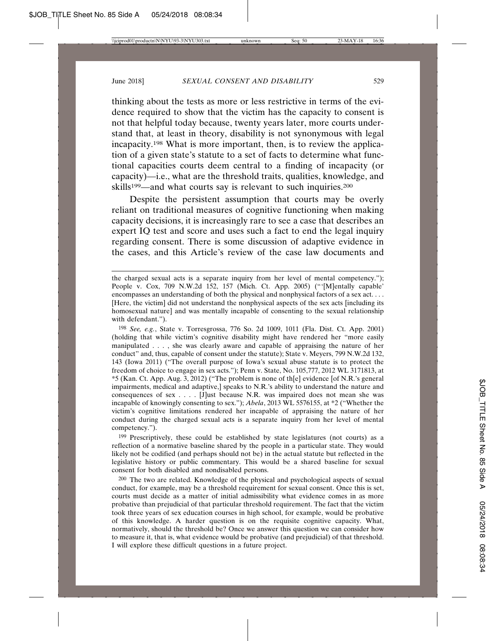thinking about the tests as more or less restrictive in terms of the evidence required to show that the victim has the capacity to consent is not that helpful today because, twenty years later, more courts understand that, at least in theory, disability is not synonymous with legal incapacity.198 What is more important, then, is to review the application of a given state's statute to a set of facts to determine what functional capacities courts deem central to a finding of incapacity (or capacity)—i.e., what are the threshold traits, qualities, knowledge, and skills<sup>199</sup>—and what courts say is relevant to such inquiries.<sup>200</sup>

Despite the persistent assumption that courts may be overly reliant on traditional measures of cognitive functioning when making capacity decisions, it is increasingly rare to see a case that describes an expert IQ test and score and uses such a fact to end the legal inquiry regarding consent. There is some discussion of adaptive evidence in the cases, and this Article's review of the case law documents and

198 *See, e.g.*, State v. Torresgrossa, 776 So. 2d 1009, 1011 (Fla. Dist. Ct. App. 2001) (holding that while victim's cognitive disability might have rendered her "more easily manipulated . . . , she was clearly aware and capable of appraising the nature of her conduct" and, thus, capable of consent under the statute); State v. Meyers, 799 N.W.2d 132, 143 (Iowa 2011) ("The overall purpose of Iowa's sexual abuse statute is to protect the freedom of choice to engage in sex acts."); Penn v. State, No. 105,777, 2012 WL 3171813, at \*5 (Kan. Ct. App. Aug. 3, 2012) ("The problem is none of th[e] evidence [of N.R.'s general impairments, medical and adaptive,] speaks to N.R.'s ability to understand the nature and consequences of sex . . . . [J]ust because N.R. was impaired does not mean she was incapable of knowingly consenting to sex."); *Abela*, 2013 WL 5576155, at \*2 ("Whether the victim's cognitive limitations rendered her incapable of appraising the nature of her conduct during the charged sexual acts is a separate inquiry from her level of mental competency.").

<sup>199</sup> Prescriptively, these could be established by state legislatures (not courts) as a reflection of a normative baseline shared by the people in a particular state. They would likely not be codified (and perhaps should not be) in the actual statute but reflected in the legislative history or public commentary. This would be a shared baseline for sexual consent for both disabled and nondisabled persons.

200 The two are related. Knowledge of the physical and psychological aspects of sexual conduct, for example, may be a threshold requirement for sexual consent. Once this is set, courts must decide as a matter of initial admissibility what evidence comes in as more probative than prejudicial of that particular threshold requirement. The fact that the victim took three years of sex education courses in high school, for example, would be probative of this knowledge. A harder question is on the requisite cognitive capacity. What, normatively, should the threshold be? Once we answer this question we can consider how to measure it, that is, what evidence would be probative (and prejudicial) of that threshold. I will explore these difficult questions in a future project.

the charged sexual acts is a separate inquiry from her level of mental competency."); People v. Cox, 709 N.W.2d 152, 157 (Mich. Ct. App. 2005) ("'[M]entally capable' encompasses an understanding of both the physical and nonphysical factors of a sex act. . . . [Here, the victim] did not understand the nonphysical aspects of the sex acts [including its homosexual nature] and was mentally incapable of consenting to the sexual relationship with defendant.").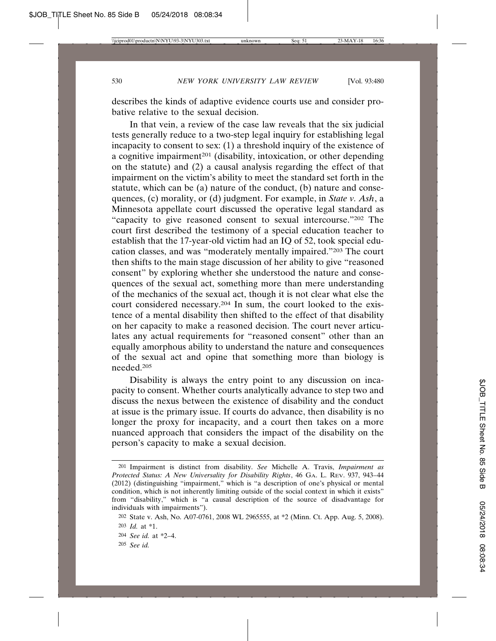describes the kinds of adaptive evidence courts use and consider probative relative to the sexual decision.

In that vein, a review of the case law reveals that the six judicial tests generally reduce to a two-step legal inquiry for establishing legal incapacity to consent to sex: (1) a threshold inquiry of the existence of a cognitive impairment<sup>201</sup> (disability, intoxication, or other depending on the statute) and (2) a causal analysis regarding the effect of that impairment on the victim's ability to meet the standard set forth in the statute, which can be (a) nature of the conduct, (b) nature and consequences, (c) morality, or (d) judgment. For example, in *State v. Ash*, a Minnesota appellate court discussed the operative legal standard as "capacity to give reasoned consent to sexual intercourse."202 The court first described the testimony of a special education teacher to establish that the 17-year-old victim had an IQ of 52, took special education classes, and was "moderately mentally impaired."203 The court then shifts to the main stage discussion of her ability to give "reasoned consent" by exploring whether she understood the nature and consequences of the sexual act, something more than mere understanding of the mechanics of the sexual act, though it is not clear what else the court considered necessary.204 In sum, the court looked to the existence of a mental disability then shifted to the effect of that disability on her capacity to make a reasoned decision. The court never articulates any actual requirements for "reasoned consent" other than an equally amorphous ability to understand the nature and consequences of the sexual act and opine that something more than biology is needed.205

Disability is always the entry point to any discussion on incapacity to consent. Whether courts analytically advance to step two and discuss the nexus between the existence of disability and the conduct at issue is the primary issue. If courts do advance, then disability is no longer the proxy for incapacity, and a court then takes on a more nuanced approach that considers the impact of the disability on the person's capacity to make a sexual decision.

<sup>201</sup> Impairment is distinct from disability. *See* Michelle A. Travis, *Impairment as Protected Status: A New Universality for Disability Rights*, 46 GA. L. REV. 937, 943–44 (2012) (distinguishing "impairment," which is "a description of one's physical or mental condition, which is not inherently limiting outside of the social context in which it exists" from "disability," which is "a causal description of the source of disadvantage for individuals with impairments").

<sup>202</sup> State v. Ash, No. A07-0761, 2008 WL 2965555, at \*2 (Minn. Ct. App. Aug. 5, 2008). 203 *Id.* at \*1.

<sup>204</sup> *See id.* at \*2–4.

<sup>205</sup> *See id.*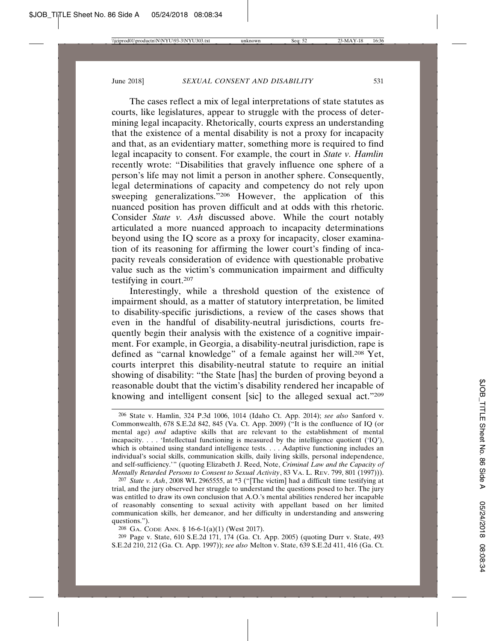The cases reflect a mix of legal interpretations of state statutes as courts, like legislatures, appear to struggle with the process of determining legal incapacity. Rhetorically, courts express an understanding that the existence of a mental disability is not a proxy for incapacity and that, as an evidentiary matter, something more is required to find legal incapacity to consent. For example, the court in *State v. Hamlin* recently wrote: "Disabilities that gravely influence one sphere of a person's life may not limit a person in another sphere. Consequently, legal determinations of capacity and competency do not rely upon sweeping generalizations."206 However, the application of this nuanced position has proven difficult and at odds with this rhetoric. Consider *State v. Ash* discussed above. While the court notably articulated a more nuanced approach to incapacity determinations beyond using the IQ score as a proxy for incapacity, closer examination of its reasoning for affirming the lower court's finding of incapacity reveals consideration of evidence with questionable probative value such as the victim's communication impairment and difficulty testifying in court.207

Interestingly, while a threshold question of the existence of impairment should, as a matter of statutory interpretation, be limited to disability-specific jurisdictions, a review of the cases shows that even in the handful of disability-neutral jurisdictions, courts frequently begin their analysis with the existence of a cognitive impairment. For example, in Georgia, a disability-neutral jurisdiction, rape is defined as "carnal knowledge" of a female against her will.<sup>208</sup> Yet, courts interpret this disability-neutral statute to require an initial showing of disability: "the State [has] the burden of proving beyond a reasonable doubt that the victim's disability rendered her incapable of knowing and intelligent consent [sic] to the alleged sexual act."209

207 *State v. Ash*, 2008 WL 2965555, at \*3 ("[The victim] had a difficult time testifying at trial, and the jury observed her struggle to understand the questions posed to her. The jury was entitled to draw its own conclusion that A.O.'s mental abilities rendered her incapable of reasonably consenting to sexual activity with appellant based on her limited communication skills, her demeanor, and her difficulty in understanding and answering questions.").

208 GA. CODE ANN. § 16-6-1(a)(1) (West 2017).

209 Page v. State, 610 S.E.2d 171, 174 (Ga. Ct. App. 2005) (quoting Durr v. State, 493 S.E.2d 210, 212 (Ga. Ct. App. 1997)); *see also* Melton v. State, 639 S.E.2d 411, 416 (Ga. Ct.

<sup>206</sup> State v. Hamlin, 324 P.3d 1006, 1014 (Idaho Ct. App. 2014); *see also* Sanford v. Commonwealth, 678 S.E.2d 842, 845 (Va. Ct. App. 2009) ("It is the confluence of IQ (or mental age) *and* adaptive skills that are relevant to the establishment of mental incapacity. . . . 'Intellectual functioning is measured by the intelligence quotient ('IQ'), which is obtained using standard intelligence tests. . . . Adaptive functioning includes an individual's social skills, communication skills, daily living skills, personal independence, and self-sufficiency.'" (quoting Elizabeth J. Reed, Note, *Criminal Law and the Capacity of Mentally Retarded Persons to Consent to Sexual Activity*, 83 VA. L. REV. 799, 801 (1997))).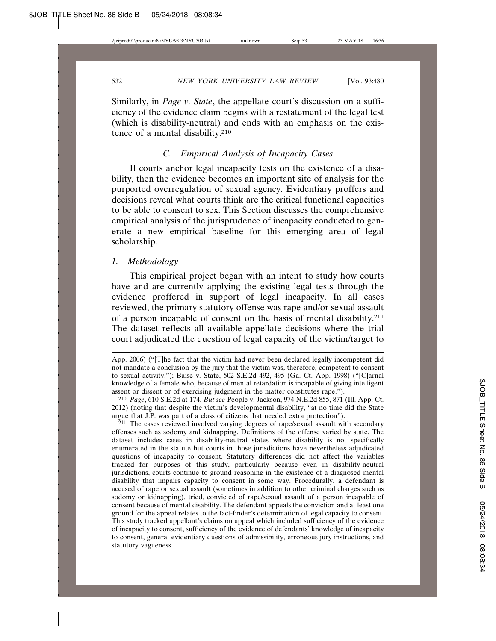Similarly, in *Page v. State*, the appellate court's discussion on a sufficiency of the evidence claim begins with a restatement of the legal test (which is disability-neutral) and ends with an emphasis on the existence of a mental disability.210

## *C. Empirical Analysis of Incapacity Cases*

If courts anchor legal incapacity tests on the existence of a disability, then the evidence becomes an important site of analysis for the purported overregulation of sexual agency. Evidentiary proffers and decisions reveal what courts think are the critical functional capacities to be able to consent to sex. This Section discusses the comprehensive empirical analysis of the jurisprudence of incapacity conducted to generate a new empirical baseline for this emerging area of legal scholarship.

## *1. Methodology*

This empirical project began with an intent to study how courts have and are currently applying the existing legal tests through the evidence proffered in support of legal incapacity. In all cases reviewed, the primary statutory offense was rape and/or sexual assault of a person incapable of consent on the basis of mental disability.211 The dataset reflects all available appellate decisions where the trial court adjudicated the question of legal capacity of the victim/target to

210 *Page*, 610 S.E.2d at 174. *But see* People v. Jackson, 974 N.E.2d 855, 871 (Ill. App. Ct. 2012) (noting that despite the victim's developmental disability, "at no time did the State argue that J.P. was part of a class of citizens that needed extra protection").

<sup>211</sup> The cases reviewed involved varying degrees of rape/sexual assault with secondary offenses such as sodomy and kidnapping. Definitions of the offense varied by state. The dataset includes cases in disability-neutral states where disability is not specifically enumerated in the statute but courts in those jurisdictions have nevertheless adjudicated questions of incapacity to consent. Statutory differences did not affect the variables tracked for purposes of this study, particularly because even in disability-neutral jurisdictions, courts continue to ground reasoning in the existence of a diagnosed mental disability that impairs capacity to consent in some way. Procedurally, a defendant is accused of rape or sexual assault (sometimes in addition to other criminal charges such as sodomy or kidnapping), tried, convicted of rape/sexual assault of a person incapable of consent because of mental disability. The defendant appeals the conviction and at least one ground for the appeal relates to the fact-finder's determination of legal capacity to consent. This study tracked appellant's claims on appeal which included sufficiency of the evidence of incapacity to consent, sufficiency of the evidence of defendants' knowledge of incapacity to consent, general evidentiary questions of admissibility, erroneous jury instructions, and statutory vagueness.

App. 2006) ("[T]he fact that the victim had never been declared legally incompetent did not mandate a conclusion by the jury that the victim was, therefore, competent to consent to sexual activity."); Baise v. State, 502 S.E.2d 492, 495 (Ga. Ct. App. 1998) ("[C]arnal knowledge of a female who, because of mental retardation is incapable of giving intelligent assent or dissent or of exercising judgment in the matter constitutes rape.").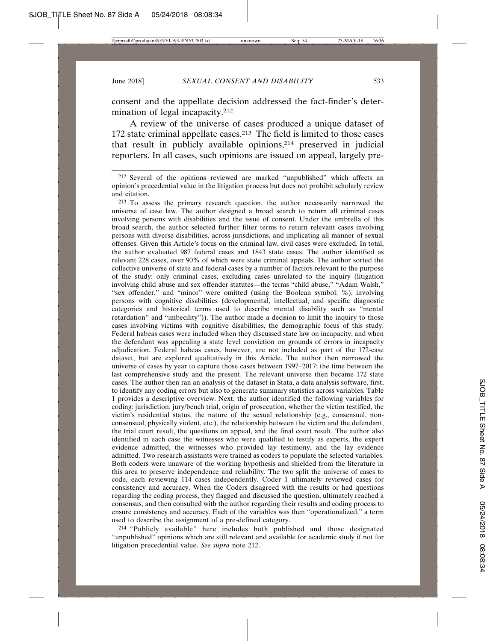consent and the appellate decision addressed the fact-finder's determination of legal incapacity.<sup>212</sup>

A review of the universe of cases produced a unique dataset of 172 state criminal appellate cases.<sup>213</sup> The field is limited to those cases that result in publicly available opinions,214 preserved in judicial reporters. In all cases, such opinions are issued on appeal, largely pre-

212 Several of the opinions reviewed are marked "unpublished" which affects an opinion's precedential value in the litigation process but does not prohibit scholarly review and citation.

213 To assess the primary research question, the author necessarily narrowed the universe of case law. The author designed a broad search to return all criminal cases involving persons with disabilities and the issue of consent. Under the umbrella of this broad search, the author selected further filter terms to return relevant cases involving persons with diverse disabilities, across jurisdictions, and implicating all manner of sexual offenses. Given this Article's focus on the criminal law, civil cases were excluded. In total, the author evaluated 987 federal cases and 1843 state cases. The author identified as relevant 228 cases, over 90% of which were state criminal appeals. The author sorted the collective universe of state and federal cases by a number of factors relevant to the purpose of the study: only criminal cases, excluding cases unrelated to the inquiry (litigation involving child abuse and sex offender statutes—the terms "child abuse," "Adam Walsh," "sex offender," and "minor" were omitted (using the Boolean symbol: %), involving persons with cognitive disabilities (developmental, intellectual, and specific diagnostic categories and historical terms used to describe mental disability such as "mental retardation" and "imbecility")). The author made a decision to limit the inquiry to those cases involving victims with cognitive disabilities, the demographic focus of this study. Federal habeas cases were included when they discussed state law on incapacity, and when the defendant was appealing a state level conviction on grounds of errors in incapacity adjudication. Federal habeas cases, however, are not included as part of the 172-case dataset, but are explored qualitatively in this Article. The author then narrowed the universe of cases by year to capture those cases between 1997–2017: the time between the last comprehensive study and the present. The relevant universe then became 172 state cases. The author then ran an analysis of the dataset in Stata, a data analysis software, first, to identify any coding errors but also to generate summary statistics across variables. Table 1 provides a descriptive overview. Next, the author identified the following variables for coding: jurisdiction, jury/bench trial, origin of prosecution, whether the victim testified, the victim's residential status, the nature of the sexual relationship (e.g., consensual, nonconsensual, physically violent, etc.), the relationship between the victim and the defendant, the trial court result, the questions on appeal, and the final court result. The author also identified in each case the witnesses who were qualified to testify as experts, the expert evidence admitted, the witnesses who provided lay testimony, and the lay evidence admitted. Two research assistants were trained as coders to populate the selected variables. Both coders were unaware of the working hypothesis and shielded from the literature in this area to preserve independence and reliability. The two split the universe of cases to code, each reviewing 114 cases independently. Coder 1 ultimately reviewed cases for consistency and accuracy. When the Coders disagreed with the results or had questions regarding the coding process, they flagged and discussed the question, ultimately reached a consensus, and then consulted with the author regarding their results and coding process to ensure consistency and accuracy. Each of the variables was then "operationalized," a term used to describe the assignment of a pre-defined category.

214 "Publicly available" here includes both published and those designated "unpublished" opinions which are still relevant and available for academic study if not for litigation precedential value. *See supra* note 212.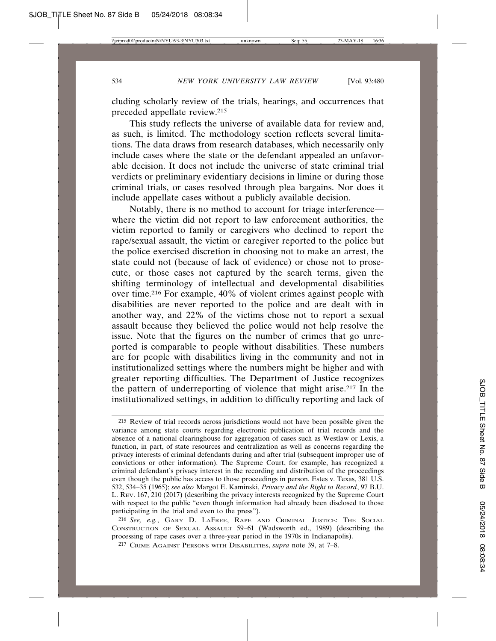cluding scholarly review of the trials, hearings, and occurrences that preceded appellate review.215

This study reflects the universe of available data for review and, as such, is limited. The methodology section reflects several limitations. The data draws from research databases, which necessarily only include cases where the state or the defendant appealed an unfavorable decision. It does not include the universe of state criminal trial verdicts or preliminary evidentiary decisions in limine or during those criminal trials, or cases resolved through plea bargains. Nor does it include appellate cases without a publicly available decision.

Notably, there is no method to account for triage interference where the victim did not report to law enforcement authorities, the victim reported to family or caregivers who declined to report the rape/sexual assault, the victim or caregiver reported to the police but the police exercised discretion in choosing not to make an arrest, the state could not (because of lack of evidence) or chose not to prosecute, or those cases not captured by the search terms, given the shifting terminology of intellectual and developmental disabilities over time.216 For example, 40% of violent crimes against people with disabilities are never reported to the police and are dealt with in another way, and 22% of the victims chose not to report a sexual assault because they believed the police would not help resolve the issue. Note that the figures on the number of crimes that go unreported is comparable to people without disabilities. These numbers are for people with disabilities living in the community and not in institutionalized settings where the numbers might be higher and with greater reporting difficulties. The Department of Justice recognizes the pattern of underreporting of violence that might arise.217 In the institutionalized settings, in addition to difficulty reporting and lack of

<sup>215</sup> Review of trial records across jurisdictions would not have been possible given the variance among state courts regarding electronic publication of trial records and the absence of a national clearinghouse for aggregation of cases such as Westlaw or Lexis, a function, in part, of state resources and centralization as well as concerns regarding the privacy interests of criminal defendants during and after trial (subsequent improper use of convictions or other information). The Supreme Court, for example, has recognized a criminal defendant's privacy interest in the recording and distribution of the proceedings even though the public has access to those proceedings in person. Estes v. Texas, 381 U.S. 532, 534–35 (1965); *see also* Margot E. Kaminski, *Privacy and the Right to Record*, 97 B.U. L. REV. 167, 210 (2017) (describing the privacy interests recognized by the Supreme Court with respect to the public "even though information had already been disclosed to those participating in the trial and even to the press").

<sup>216</sup> *See, e.g.*, GARY D. LAFREE, RAPE AND CRIMINAL JUSTICE: THE SOCIAL CONSTRUCTION OF SEXUAL ASSAULT 59–61 (Wadsworth ed., 1989) (describing the processing of rape cases over a three-year period in the 1970s in Indianapolis).

<sup>217</sup> CRIME AGAINST PERSONS WITH DISABILITIES, *supra* note 39, at 7–8.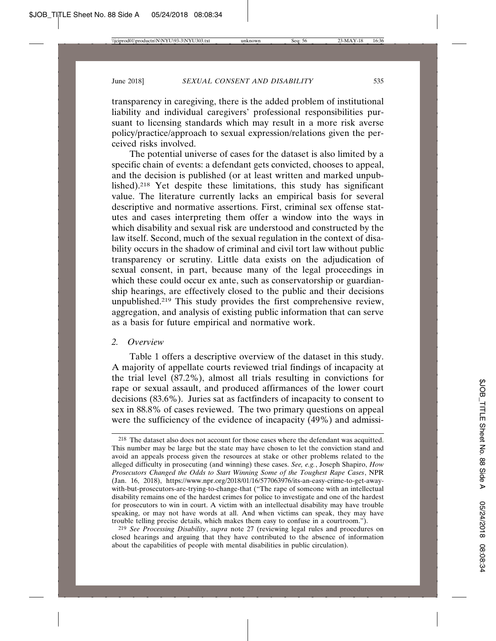transparency in caregiving, there is the added problem of institutional liability and individual caregivers' professional responsibilities pursuant to licensing standards which may result in a more risk averse policy/practice/approach to sexual expression/relations given the perceived risks involved.

The potential universe of cases for the dataset is also limited by a specific chain of events: a defendant gets convicted, chooses to appeal, and the decision is published (or at least written and marked unpublished).218 Yet despite these limitations, this study has significant value. The literature currently lacks an empirical basis for several descriptive and normative assertions. First, criminal sex offense statutes and cases interpreting them offer a window into the ways in which disability and sexual risk are understood and constructed by the law itself. Second, much of the sexual regulation in the context of disability occurs in the shadow of criminal and civil tort law without public transparency or scrutiny. Little data exists on the adjudication of sexual consent, in part, because many of the legal proceedings in which these could occur ex ante, such as conservatorship or guardianship hearings, are effectively closed to the public and their decisions unpublished.219 This study provides the first comprehensive review, aggregation, and analysis of existing public information that can serve as a basis for future empirical and normative work.

## *2. Overview*

Table 1 offers a descriptive overview of the dataset in this study. A majority of appellate courts reviewed trial findings of incapacity at the trial level (87.2%), almost all trials resulting in convictions for rape or sexual assault, and produced affirmances of the lower court decisions (83.6%). Juries sat as factfinders of incapacity to consent to sex in 88.8% of cases reviewed. The two primary questions on appeal were the sufficiency of the evidence of incapacity (49%) and admissi-

219 *See Processing Disability*, *supra* note 27 (reviewing legal rules and procedures on closed hearings and arguing that they have contributed to the absence of information about the capabilities of people with mental disabilities in public circulation).

<sup>218</sup> The dataset also does not account for those cases where the defendant was acquitted. This number may be large but the state may have chosen to let the conviction stand and avoid an appeals process given the resources at stake or other problems related to the alleged difficulty in prosecuting (and winning) these cases. *See, e.g.*, Joseph Shapiro, *How Prosecutors Changed the Odds to Start Winning Some of the Toughest Rape Cases*, NPR (Jan. 16, 2018), https://www.npr.org/2018/01/16/577063976/its-an-easy-crime-to-get-awaywith-but-prosecutors-are-trying-to-change-that ("The rape of someone with an intellectual disability remains one of the hardest crimes for police to investigate and one of the hardest for prosecutors to win in court. A victim with an intellectual disability may have trouble speaking, or may not have words at all. And when victims can speak, they may have trouble telling precise details, which makes them easy to confuse in a courtroom.").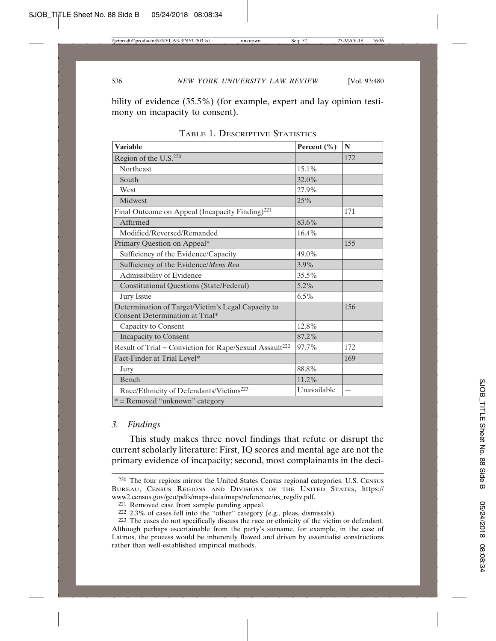bility of evidence (35.5%) (for example, expert and lay opinion testimony on incapacity to consent).

| <b>Variable</b>                                                                       | Percent (%) | N                        |
|---------------------------------------------------------------------------------------|-------------|--------------------------|
| Region of the U.S. <sup>220</sup>                                                     |             | 172                      |
| <b>Northeast</b>                                                                      | $15.1\%$    |                          |
| South                                                                                 | 32.0%       |                          |
| West                                                                                  | 27.9%       |                          |
| Midwest                                                                               | 25%         |                          |
| Final Outcome on Appeal (Incapacity Finding) <sup>221</sup>                           |             | 171                      |
| Affirmed                                                                              | 83.6%       |                          |
| Modified/Reversed/Remanded                                                            | 16.4%       |                          |
| Primary Question on Appeal*                                                           |             | 155                      |
| Sufficiency of the Evidence/Capacity                                                  | 49.0%       |                          |
| Sufficiency of the Evidence/Mens Rea                                                  | 3.9%        |                          |
| Admissibility of Evidence                                                             | 35.5%       |                          |
| <b>Constitutional Questions (State/Federal)</b>                                       | 5.2%        |                          |
| <b>Jury Issue</b>                                                                     | $6.5\%$     |                          |
| Determination of Target/Victim's Legal Capacity to<br>Consent Determination at Trial* |             | 156                      |
| Capacity to Consent                                                                   | 12.8%       |                          |
| <b>Incapacity to Consent</b>                                                          | 87.2%       |                          |
| Result of Trial = Conviction for Rape/Sexual Assault <sup>222</sup>                   | 97.7%       | 172                      |
| Fact-Finder at Trial Level*                                                           |             | 169                      |
| Jury                                                                                  | 88.8%       |                          |
| Bench                                                                                 | 11.2%       |                          |
| Race/Ethnicity of Defendants/Victims <sup>223</sup>                                   | Unavailable | $\overline{\phantom{0}}$ |
| * = Removed "unknown" category                                                        |             |                          |

TABLE 1. DESCRIPTIVE STATISTICS

# *3. Findings*

This study makes three novel findings that refute or disrupt the current scholarly literature: First, IQ scores and mental age are not the primary evidence of incapacity; second, most complainants in the deci-

<sup>220</sup> The four regions mirror the United States Census regional categories. U.S. CENSUS BUREAU, CENSUS REGIONS AND DIVISIONS OF THE UNITED STATES, https:// www2.census.gov/geo/pdfs/maps-data/maps/reference/us\_regdiv.pdf.

<sup>221</sup> Removed case from sample pending appeal.

<sup>222</sup> 2.3% of cases fell into the "other" category (e.g., pleas, dismissals).

<sup>223</sup> The cases do not specifically discuss the race or ethnicity of the victim or defendant. Although perhaps ascertainable from the party's surname, for example, in the case of Latinos, the process would be inherently flawed and driven by essentialist constructions rather than well-established empirical methods.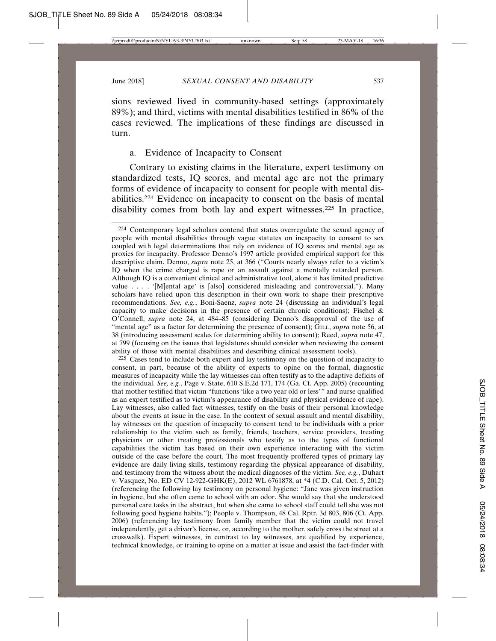sions reviewed lived in community-based settings (approximately 89%); and third, victims with mental disabilities testified in 86% of the cases reviewed. The implications of these findings are discussed in turn.

## a. Evidence of Incapacity to Consent

Contrary to existing claims in the literature, expert testimony on standardized tests, IQ scores, and mental age are not the primary forms of evidence of incapacity to consent for people with mental disabilities.224 Evidence on incapacity to consent on the basis of mental disability comes from both lay and expert witnesses.225 In practice,

225 Cases tend to include both expert and lay testimony on the question of incapacity to consent, in part, because of the ability of experts to opine on the formal, diagnostic measures of incapacity while the lay witnesses can often testify as to the adaptive deficits of the individual. *See, e.g.*, Page v. State, 610 S.E.2d 171, 174 (Ga. Ct. App. 2005) (recounting that mother testified that victim "functions 'like a two year old or less'" and nurse qualified as an expert testified as to victim's appearance of disability and physical evidence of rape). Lay witnesses, also called fact witnesses, testify on the basis of their personal knowledge about the events at issue in the case. In the context of sexual assault and mental disability, lay witnesses on the question of incapacity to consent tend to be individuals with a prior relationship to the victim such as family, friends, teachers, service providers, treating physicians or other treating professionals who testify as to the types of functional capabilities the victim has based on their own experience interacting with the victim outside of the case before the court. The most frequently proffered types of primary lay evidence are daily living skills, testimony regarding the physical appearance of disability, and testimony from the witness about the medical diagnoses of the victim. *See, e.g.*, Duhart v. Vasquez, No. ED CV 12-922-GHK(E), 2012 WL 6761878, at \*4 (C.D. Cal. Oct. 5, 2012) (referencing the following lay testimony on personal hygiene: "Jane was given instruction in hygiene, but she often came to school with an odor. She would say that she understood personal care tasks in the abstract, but when she came to school staff could tell she was not following good hygiene habits."); People v. Thompson, 48 Cal. Rptr. 3d 803, 806 (Ct. App. 2006) (referencing lay testimony from family member that the victim could not travel independently, get a driver's license, or, according to the mother, safely cross the street at a crosswalk). Expert witnesses, in contrast to lay witnesses, are qualified by experience, technical knowledge, or training to opine on a matter at issue and assist the fact-finder with

<sup>224</sup> Contemporary legal scholars contend that states overregulate the sexual agency of people with mental disabilities through vague statutes on incapacity to consent to sex coupled with legal determinations that rely on evidence of IQ scores and mental age as proxies for incapacity. Professor Denno's 1997 article provided empirical support for this descriptive claim. Denno, *supra* note 25, at 366 ("Courts nearly always refer to a victim's IQ when the crime charged is rape or an assault against a mentally retarded person. Although IQ is a convenient clinical and administrative tool, alone it has limited predictive value . . . . '[M]ental age' is [also] considered misleading and controversial."). Many scholars have relied upon this description in their own work to shape their prescriptive recommendations. *See, e.g.*, Boni-Saenz, *supra* note 24 (discussing an individual's legal capacity to make decisions in the presence of certain chronic conditions); Fischel  $\&$ O'Connell, *supra* note 24, at 484–85 (considering Denno's disapproval of the use of "mental age" as a factor for determining the presence of consent); GILL, *supra* note 56, at 38 (introducing assessment scales for determining ability to consent); Reed, *supra* note 47, at 799 (focusing on the issues that legislatures should consider when reviewing the consent ability of those with mental disabilities and describing clinical assessment tools).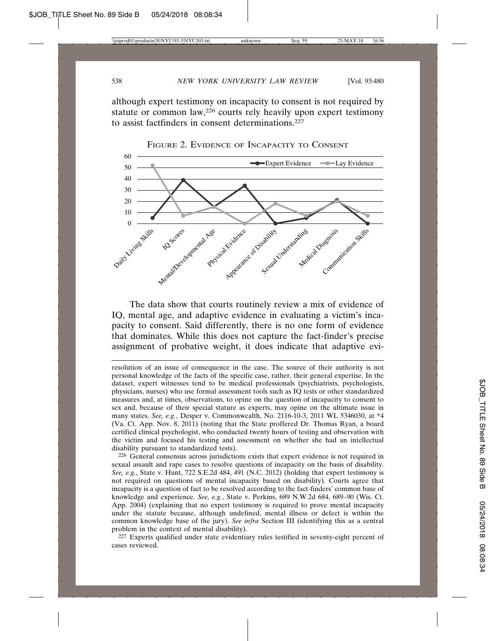although expert testimony on incapacity to consent is not required by statute or common law,226 courts rely heavily upon expert testimony to assist factfinders in consent determinations.227



FIGURE 2. EVIDENCE OF INCAPACITY TO CONSENT

The data show that courts routinely review a mix of evidence of IQ, mental age, and adaptive evidence in evaluating a victim's incapacity to consent. Said differently, there is no one form of evidence that dominates. While this does not capture the fact-finder's precise assignment of probative weight, it does indicate that adaptive evi-

resolution of an issue of consequence in the case. The source of their authority is not personal knowledge of the facts of the specific case, rather, their general expertise. In the dataset, expert witnesses tend to be medical professionals (psychiatrists, psychologists, physicians, nurses) who use formal assessment tools such as IQ tests or other standardized measures and, at times, observations, to opine on the question of incapacity to consent to sex and, because of their special stature as experts, may opine on the ultimate issue in many states. *See, e.g.*, Desper v. Commonwealth, No. 2116-10-3, 2011 WL 5346030, at \*4 (Va. Ct. App. Nov. 8, 2011) (noting that the State proffered Dr. Thomas Ryan, a board certified clinical psychologist, who conducted twenty hours of testing and observation with the victim and focused his testing and assessment on whether she had an intellectual disability pursuant to standardized tests).

226 General consensus across jurisdictions exists that expert evidence is not required in sexual assault and rape cases to resolve questions of incapacity on the basis of disability. *See, e.g.*, State v. Hunt, 722 S.E.2d 484, 491 (N.C. 2012) (holding that expert testimony is not required on questions of mental incapacity based on disability). Courts agree that incapacity is a question of fact to be resolved according to the fact-finders' common base of knowledge and experience. *See, e.g.*, State v. Perkins, 689 N.W.2d 684, 689–90 (Wis. Ct. App. 2004) (explaining that no expert testimony is required to prove mental incapacity under the statute because, although undefined, mental illness or defect is within the common knowledge base of the jury). *See infra* Section III (identifying this as a central problem in the context of mental disability).

227 Experts qualified under state evidentiary rules testified in seventy-eight percent of cases reviewed.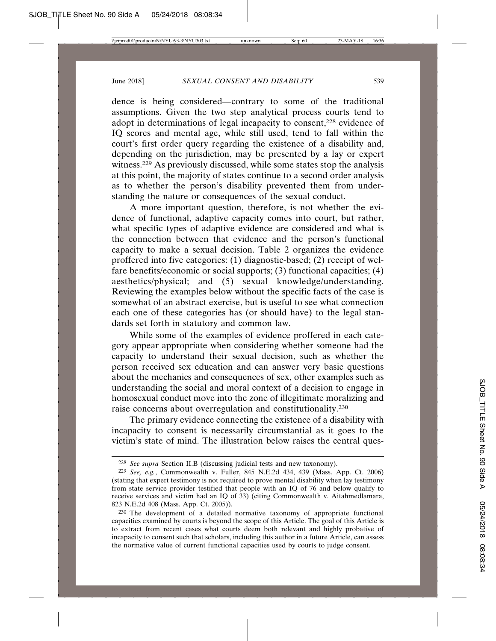dence is being considered—contrary to some of the traditional assumptions. Given the two step analytical process courts tend to adopt in determinations of legal incapacity to consent,228 evidence of IQ scores and mental age, while still used, tend to fall within the court's first order query regarding the existence of a disability and, depending on the jurisdiction, may be presented by a lay or expert witness.229 As previously discussed, while some states stop the analysis at this point, the majority of states continue to a second order analysis as to whether the person's disability prevented them from understanding the nature or consequences of the sexual conduct.

A more important question, therefore, is not whether the evidence of functional, adaptive capacity comes into court, but rather, what specific types of adaptive evidence are considered and what is the connection between that evidence and the person's functional capacity to make a sexual decision. Table 2 organizes the evidence proffered into five categories: (1) diagnostic-based; (2) receipt of welfare benefits/economic or social supports; (3) functional capacities; (4) aesthetics/physical; and (5) sexual knowledge/understanding. Reviewing the examples below without the specific facts of the case is somewhat of an abstract exercise, but is useful to see what connection each one of these categories has (or should have) to the legal standards set forth in statutory and common law.

While some of the examples of evidence proffered in each category appear appropriate when considering whether someone had the capacity to understand their sexual decision, such as whether the person received sex education and can answer very basic questions about the mechanics and consequences of sex, other examples such as understanding the social and moral context of a decision to engage in homosexual conduct move into the zone of illegitimate moralizing and raise concerns about overregulation and constitutionality.230

The primary evidence connecting the existence of a disability with incapacity to consent is necessarily circumstantial as it goes to the victim's state of mind. The illustration below raises the central ques-

<sup>228</sup> *See supra* Section II.B (discussing judicial tests and new taxonomy).

<sup>229</sup> *See, e.g.*, Commonwealth v. Fuller, 845 N.E.2d 434, 439 (Mass. App. Ct. 2006) (stating that expert testimony is not required to prove mental disability when lay testimony from state service provider testified that people with an IQ of 76 and below qualify to receive services and victim had an IQ of 33) (citing Commonwealth v. Aitahmedlamara, 823 N.E.2d 408 (Mass. App. Ct. 2005)).

<sup>230</sup> The development of a detailed normative taxonomy of appropriate functional capacities examined by courts is beyond the scope of this Article. The goal of this Article is to extract from recent cases what courts deem both relevant and highly probative of incapacity to consent such that scholars, including this author in a future Article, can assess the normative value of current functional capacities used by courts to judge consent.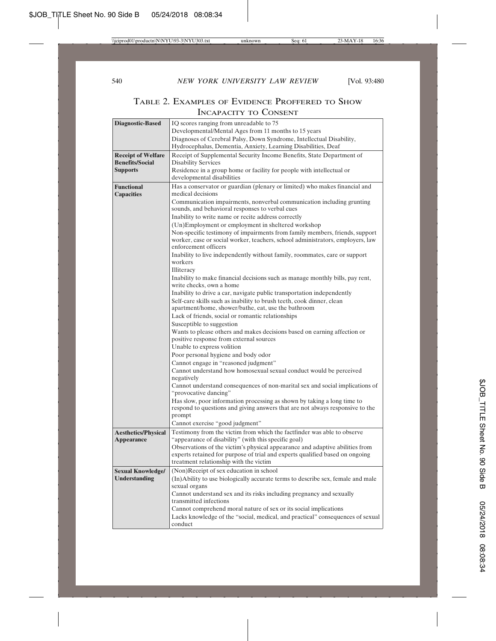| <b>Diagnostic-Based</b>                | IQ scores ranging from unreadable to 75                                                                |  |  |
|----------------------------------------|--------------------------------------------------------------------------------------------------------|--|--|
|                                        | Developmental/Mental Ages from 11 months to 15 years                                                   |  |  |
|                                        | Diagnoses of Cerebral Palsy, Down Syndrome, Intellectual Disability,                                   |  |  |
|                                        | Hydrocephalus, Dementia, Anxiety, Learning Disabilities, Deaf                                          |  |  |
| <b>Receipt of Welfare</b>              | Receipt of Supplemental Security Income Benefits, State Department of                                  |  |  |
| <b>Benefits/Social</b>                 | <b>Disability Services</b>                                                                             |  |  |
| <b>Supports</b>                        | Residence in a group home or facility for people with intellectual or<br>developmental disabilities    |  |  |
|                                        |                                                                                                        |  |  |
| <b>Functional</b><br><b>Capacities</b> | Has a conservator or guardian (plenary or limited) who makes financial and<br>medical decisions        |  |  |
|                                        | Communication impairments, nonverbal communication including grunting                                  |  |  |
|                                        | sounds, and behavioral responses to verbal cues                                                        |  |  |
|                                        | Inability to write name or recite address correctly                                                    |  |  |
|                                        | (Un)Employment or employment in sheltered workshop                                                     |  |  |
|                                        | Non-specific testimony of impairments from family members, friends, support                            |  |  |
|                                        | worker, case or social worker, teachers, school administrators, employers, law<br>enforcement officers |  |  |
|                                        | Inability to live independently without family, roommates, care or support                             |  |  |
|                                        | workers                                                                                                |  |  |
|                                        | Illiteracy                                                                                             |  |  |
|                                        | Inability to make financial decisions such as manage monthly bills, pay rent,                          |  |  |
|                                        | write checks, own a home                                                                               |  |  |
|                                        | Inability to drive a car, navigate public transportation independently                                 |  |  |
|                                        | Self-care skills such as inability to brush teeth, cook dinner, clean                                  |  |  |
|                                        | apartment/home, shower/bathe, eat, use the bathroom                                                    |  |  |
|                                        | Lack of friends, social or romantic relationships                                                      |  |  |
|                                        | Susceptible to suggestion                                                                              |  |  |
|                                        | Wants to please others and makes decisions based on earning affection or                               |  |  |
|                                        | positive response from external sources<br>Unable to express volition                                  |  |  |
|                                        | Poor personal hygiene and body odor                                                                    |  |  |
|                                        | Cannot engage in "reasoned judgment"                                                                   |  |  |
|                                        | Cannot understand how homosexual sexual conduct would be perceived                                     |  |  |
|                                        | negatively                                                                                             |  |  |
|                                        | Cannot understand consequences of non-marital sex and social implications of                           |  |  |
|                                        | "provocative dancing"                                                                                  |  |  |
|                                        | Has slow, poor information processing as shown by taking a long time to                                |  |  |
|                                        | respond to questions and giving answers that are not always responsive to the<br>prompt                |  |  |
|                                        | Cannot exercise "good judgment"                                                                        |  |  |
| <b>Aesthetics/Physical</b>             | Testimony from the victim from which the factfinder was able to observe                                |  |  |
| <b>Appearance</b>                      | "appearance of disability" (with this specific goal)                                                   |  |  |
|                                        | Observations of the victim's physical appearance and adaptive abilities from                           |  |  |
|                                        | experts retained for purpose of trial and experts qualified based on ongoing                           |  |  |
|                                        | treatment relationship with the victim                                                                 |  |  |
| <b>Sexual Knowledge/</b>               | (Non)Receipt of sex education in school                                                                |  |  |
| Understanding                          | (In)Ability to use biologically accurate terms to describe sex, female and male                        |  |  |
|                                        | sexual organs                                                                                          |  |  |
|                                        | Cannot understand sex and its risks including pregnancy and sexually                                   |  |  |
|                                        | transmitted infections                                                                                 |  |  |
|                                        | Cannot comprehend moral nature of sex or its social implications                                       |  |  |
|                                        | Lacks knowledge of the "social, medical, and practical" consequences of sexual<br>conduct              |  |  |
|                                        |                                                                                                        |  |  |

# TABLE 2. EXAMPLES OF EVIDENCE PROFFERED TO SHOW INCAPACITY TO CONSENT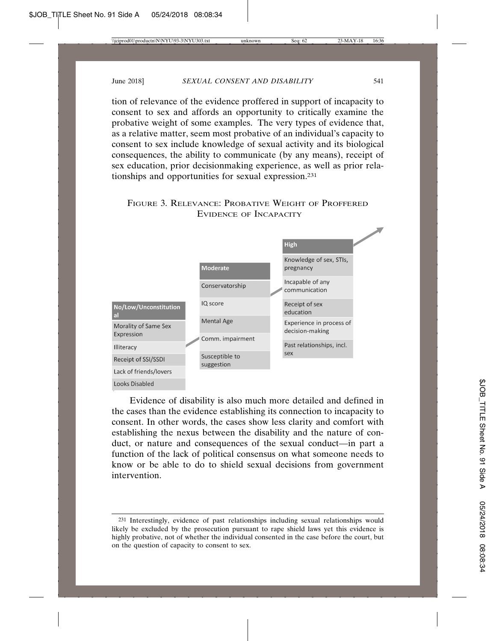tion of relevance of the evidence proffered in support of incapacity to consent to sex and affords an opportunity to critically examine the probative weight of some examples. The very types of evidence that, as a relative matter, seem most probative of an individual's capacity to consent to sex include knowledge of sexual activity and its biological consequences, the ability to communicate (by any means), receipt of sex education, prior decisionmaking experience, as well as prior relationships and opportunities for sexual expression.231

# FIGURE 3. RELEVANCE: PROBATIVE WEIGHT OF PROFFERED EVIDENCE OF INCAPACITY



Evidence of disability is also much more detailed and defined in the cases than the evidence establishing its connection to incapacity to consent. In other words, the cases show less clarity and comfort with establishing the nexus between the disability and the nature of conduct, or nature and consequences of the sexual conduct—in part a function of the lack of political consensus on what someone needs to know or be able to do to shield sexual decisions from government intervention.

<sup>231</sup> Interestingly, evidence of past relationships including sexual relationships would likely be excluded by the prosecution pursuant to rape shield laws yet this evidence is highly probative, not of whether the individual consented in the case before the court, but on the question of capacity to consent to sex.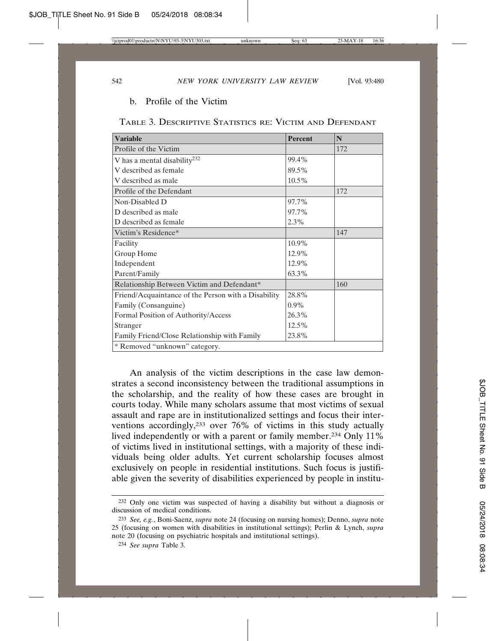### b. Profile of the Victim

| TABLE 3. DESCRIPTIVE STATISTICS RE: VICTIM AND DEFENDANT |  |
|----------------------------------------------------------|--|
|----------------------------------------------------------|--|

| <b>Variable</b>                                     | <b>Percent</b> | N   |  |  |
|-----------------------------------------------------|----------------|-----|--|--|
| Profile of the Victim                               |                | 172 |  |  |
| V has a mental disability <sup>232</sup>            | 99.4%          |     |  |  |
| V described as female                               | 89.5%          |     |  |  |
| V described as male                                 | 10.5%          |     |  |  |
| Profile of the Defendant                            |                | 172 |  |  |
| Non-Disabled D                                      | 97.7%          |     |  |  |
| D described as male                                 | 97.7%          |     |  |  |
| D described as female                               | 2.3%           |     |  |  |
| Victim's Residence*                                 |                | 147 |  |  |
| Facility                                            | 10.9%          |     |  |  |
| Group Home                                          | 12.9%          |     |  |  |
| Independent                                         | 12.9%          |     |  |  |
| Parent/Family                                       | 63.3%          |     |  |  |
| Relationship Between Victim and Defendant*          |                | 160 |  |  |
| Friend/Acquaintance of the Person with a Disability | 28.8%          |     |  |  |
| Family (Consanguine)                                | $0.9\%$        |     |  |  |
| Formal Position of Authority/Access                 | 26.3%          |     |  |  |
| Stranger                                            | 12.5%          |     |  |  |
| Family Friend/Close Relationship with Family        | 23.8%          |     |  |  |
| * Removed "unknown" category.                       |                |     |  |  |

An analysis of the victim descriptions in the case law demonstrates a second inconsistency between the traditional assumptions in the scholarship, and the reality of how these cases are brought in courts today. While many scholars assume that most victims of sexual assault and rape are in institutionalized settings and focus their interventions accordingly,233 over 76% of victims in this study actually lived independently or with a parent or family member.234 Only 11% of victims lived in institutional settings, with a majority of these individuals being older adults. Yet current scholarship focuses almost exclusively on people in residential institutions. Such focus is justifiable given the severity of disabilities experienced by people in institu-

<sup>232</sup> Only one victim was suspected of having a disability but without a diagnosis or discussion of medical conditions.

<sup>233</sup> *See, e.g.*, Boni-Saenz, *supra* note 24 (focusing on nursing homes); Denno, *supra* note 25 (focusing on women with disabilities in institutional settings); Perlin & Lynch, *supra* note 20 (focusing on psychiatric hospitals and institutional settings).

<sup>234</sup> *See supra* Table 3.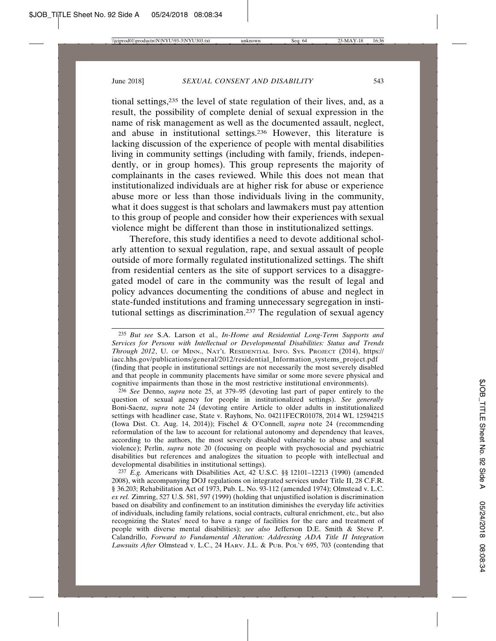tional settings,235 the level of state regulation of their lives, and, as a result, the possibility of complete denial of sexual expression in the name of risk management as well as the documented assault, neglect, and abuse in institutional settings.236 However, this literature is lacking discussion of the experience of people with mental disabilities living in community settings (including with family, friends, independently, or in group homes). This group represents the majority of complainants in the cases reviewed. While this does not mean that institutionalized individuals are at higher risk for abuse or experience abuse more or less than those individuals living in the community, what it does suggest is that scholars and lawmakers must pay attention to this group of people and consider how their experiences with sexual violence might be different than those in institutionalized settings.

Therefore, this study identifies a need to devote additional scholarly attention to sexual regulation, rape, and sexual assault of people outside of more formally regulated institutionalized settings. The shift from residential centers as the site of support services to a disaggregated model of care in the community was the result of legal and policy advances documenting the conditions of abuse and neglect in state-funded institutions and framing unnecessary segregation in institutional settings as discrimination.237 The regulation of sexual agency

236 *See* Denno, *supra* note 25, at 379–95 (devoting last part of paper entirely to the question of sexual agency for people in institutionalized settings). *See generally* Boni-Saenz, *supra* note 24 (devoting entire Article to older adults in institutionalized settings with headliner case, State v. Rayhons, No. 04211FECR01078, 2014 WL 12594215 (Iowa Dist. Ct. Aug. 14, 2014)); Fischel & O'Connell, *supra* note 24 (recommending reformulation of the law to account for relational autonomy and dependency that leaves, according to the authors, the most severely disabled vulnerable to abuse and sexual violence); Perlin, *supra* note 20 (focusing on people with psychosocial and psychiatric disabilities but references and analogizes the situation to people with intellectual and developmental disabilities in institutional settings).

237 *E.g.* Americans with Disabilities Act, 42 U.S.C. §§ 12101–12213 (1990) (amended 2008), with accompanying DOJ regulations on integrated services under Title II, 28 C.F.R. § 36.203; Rehabilitation Act of 1973, Pub. L. No. 93-112 (amended 1974); Olmstead v. L.C. *ex rel.* Zimring, 527 U.S. 581, 597 (1999) (holding that unjustified isolation is discrimination based on disability and confinement to an institution diminishes the everyday life activities of individuals, including family relations, social contracts, cultural enrichment, etc., but also recognizing the States' need to have a range of facilities for the care and treatment of people with diverse mental disabilities); *see also* Jefferson D.E. Smith & Steve P. Calandrillo, *Forward to Fundamental Alteration: Addressing ADA Title II Integration Lawsuits After* Olmstead v. L.C., 24 HARV. J.L. & PUB. POL'Y 695, 703 (contending that

<sup>235</sup> *But see* S.A. Larson et al., *In-Home and Residential Long-Term Supports and Services for Persons with Intellectual or Developmental Disabilities: Status and Trends Through 2012*, U. OF MINN., NAT'L RESIDENTIAL INFO. SYS. PROJECT (2014), https:// iacc.hhs.gov/publications/general/2012/residential\_Information\_systems\_project.pdf (finding that people in institutional settings are not necessarily the most severely disabled and that people in community placements have similar or some more severe physical and cognitive impairments than those in the most restrictive institutional environments).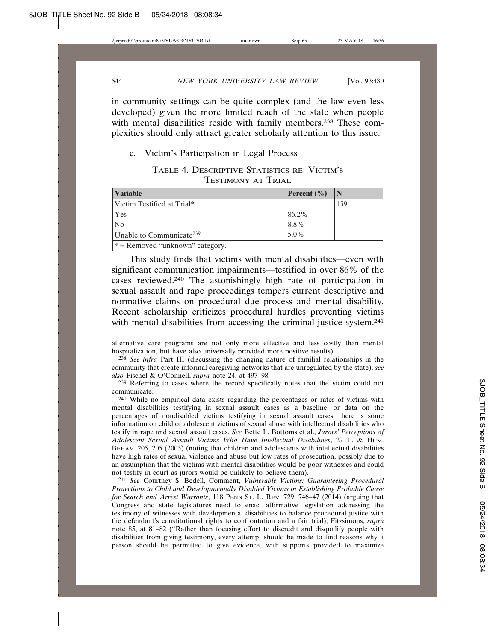in community settings can be quite complex (and the law even less developed) given the more limited reach of the state when people with mental disabilities reside with family members.<sup>238</sup> These complexities should only attract greater scholarly attention to this issue.

## c. Victim's Participation in Legal Process

TABLE 4. DESCRIPTIVE STATISTICS RE: VICTIM'S TESTIMONY AT TRIAL

| <b>Variable</b>                      | Percent $(\% )$ |     |
|--------------------------------------|-----------------|-----|
| Victim Testified at Trial*           |                 | 159 |
| <b>Yes</b>                           | 86.2%           |     |
| N <sub>o</sub>                       | 8.8%            |     |
| Unable to Communicate <sup>239</sup> | 5.0%            |     |
| $*$ = Removed "unknown" category.    |                 |     |

This study finds that victims with mental disabilities—even with significant communication impairments—testified in over 86% of the cases reviewed.240 The astonishingly high rate of participation in sexual assault and rape proceedings tempers current descriptive and normative claims on procedural due process and mental disability. Recent scholarship criticizes procedural hurdles preventing victims with mental disabilities from accessing the criminal justice system.<sup>241</sup>

241 *See* Courtney S. Bedell, Comment, *Vulnerable Victims: Guaranteeing Procedural Protections to Child and Developmentally Disabled Victims in Establishing Probable Cause for Search and Arrest Warrants*, 118 PENN ST. L. REV. 729, 746–47 (2014) (arguing that Congress and state legislatures need to enact affirmative legislation addressing the testimony of witnesses with developmental disabilities to balance procedural justice with the defendant's constitutional rights to confrontation and a fair trial); Fitzsimons, *supra* note 85, at 81–82 ("Rather than focusing effort to discredit and disqualify people with disabilities from giving testimony, every attempt should be made to find reasons why a person should be permitted to give evidence, with supports provided to maximize

alternative care programs are not only more effective and less costly than mental hospitalization, but have also universally provided more positive results).

<sup>238</sup> *See infra* Part III (discussing the changing nature of familial relationships in the community that create informal caregiving networks that are unregulated by the state); *see also* Fischel & O'Connell, *supra* note 24, at 497–98.

<sup>239</sup> Referring to cases where the record specifically notes that the victim could not communicate.

<sup>240</sup> While no empirical data exists regarding the percentages or rates of victims with mental disabilities testifying in sexual assault cases as a baseline, or data on the percentages of nondisabled victims testifying in sexual assault cases, there is some information on child or adolescent victims of sexual abuse with intellectual disabilities who testify in rape and sexual assault cases. *See* Bette L. Bottoms et al., *Jurors' Perceptions of Adolescent Sexual Assault Victims Who Have Intellectual Disabilities*, 27 L. & HUM. BEHAV. 205, 205 (2003) (noting that children and adolescents with intellectual disabilities have high rates of sexual violence and abuse but low rates of prosecution, possibly due to an assumption that the victims with mental disabilities would be poor witnesses and could not testify in court as jurors would be unlikely to believe them).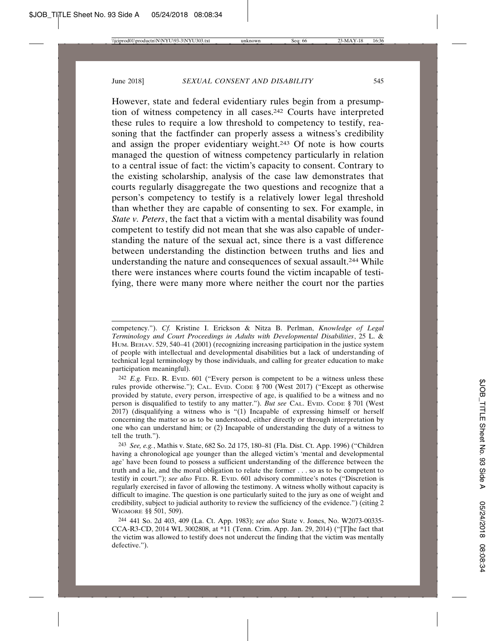However, state and federal evidentiary rules begin from a presumption of witness competency in all cases.242 Courts have interpreted these rules to require a low threshold to competency to testify, reasoning that the factfinder can properly assess a witness's credibility and assign the proper evidentiary weight.243 Of note is how courts managed the question of witness competency particularly in relation to a central issue of fact: the victim's capacity to consent. Contrary to the existing scholarship, analysis of the case law demonstrates that courts regularly disaggregate the two questions and recognize that a person's competency to testify is a relatively lower legal threshold than whether they are capable of consenting to sex. For example, in *State v. Peters*, the fact that a victim with a mental disability was found competent to testify did not mean that she was also capable of understanding the nature of the sexual act, since there is a vast difference between understanding the distinction between truths and lies and understanding the nature and consequences of sexual assault.244 While there were instances where courts found the victim incapable of testifying, there were many more where neither the court nor the parties

competency."). *Cf.* Kristine I. Erickson & Nitza B. Perlman, *Knowledge of Legal Terminology and Court Proceedings in Adults with Developmental Disabilities*, 25 L. & HUM. BEHAV. 529, 540–41 (2001) (recognizing increasing participation in the justice system of people with intellectual and developmental disabilities but a lack of understanding of technical legal terminology by those individuals, and calling for greater education to make participation meaningful).

<sup>242</sup> *E.g.* FED. R. EVID. 601 ("Every person is competent to be a witness unless these rules provide otherwise."); CAL. EVID. CODE § 700 (West 2017) ("Except as otherwise provided by statute, every person, irrespective of age, is qualified to be a witness and no person is disqualified to testify to any matter."). *But see* CAL. EVID. CODE § 701 (West 2017) (disqualifying a witness who is "(1) Incapable of expressing himself or herself concerning the matter so as to be understood, either directly or through interpretation by one who can understand him; or (2) Incapable of understanding the duty of a witness to tell the truth.").

<sup>243</sup> *See, e.g.*, Mathis v. State, 682 So. 2d 175, 180–81 (Fla. Dist. Ct. App. 1996) ("Children having a chronological age younger than the alleged victim's 'mental and developmental age' have been found to possess a sufficient understanding of the difference between the truth and a lie, and the moral obligation to relate the former . . . so as to be competent to testify in court."); *see also* FED. R. EVID. 601 advisory committee's notes ("Discretion is regularly exercised in favor of allowing the testimony. A witness wholly without capacity is difficult to imagine. The question is one particularly suited to the jury as one of weight and credibility, subject to judicial authority to review the sufficiency of the evidence.") (citing 2 WIGMORE §§ 501, 509).

<sup>244</sup> 441 So. 2d 403, 409 (La. Ct. App. 1983); *see also* State v. Jones, No. W2073-00335- CCA-R3-CD, 2014 WL 3002808, at \*11 (Tenn. Crim. App. Jan. 29, 2014) ("[T]he fact that the victim was allowed to testify does not undercut the finding that the victim was mentally defective.").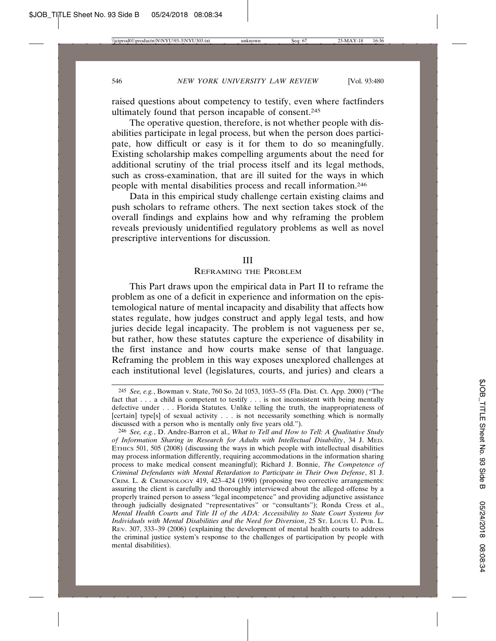raised questions about competency to testify, even where factfinders ultimately found that person incapable of consent.245

The operative question, therefore, is not whether people with disabilities participate in legal process, but when the person does participate, how difficult or easy is it for them to do so meaningfully. Existing scholarship makes compelling arguments about the need for additional scrutiny of the trial process itself and its legal methods, such as cross-examination, that are ill suited for the ways in which people with mental disabilities process and recall information.246

Data in this empirical study challenge certain existing claims and push scholars to reframe others. The next section takes stock of the overall findings and explains how and why reframing the problem reveals previously unidentified regulatory problems as well as novel prescriptive interventions for discussion.

#### III

### REFRAMING THE PROBLEM

This Part draws upon the empirical data in Part II to reframe the problem as one of a deficit in experience and information on the epistemological nature of mental incapacity and disability that affects how states regulate, how judges construct and apply legal tests, and how juries decide legal incapacity. The problem is not vagueness per se, but rather, how these statutes capture the experience of disability in the first instance and how courts make sense of that language. Reframing the problem in this way exposes unexplored challenges at each institutional level (legislatures, courts, and juries) and clears a

<sup>245</sup> *See, e.g.*, Bowman v. State, 760 So. 2d 1053, 1053–55 (Fla. Dist. Ct. App. 2000) ("The fact that . . . a child is competent to testify . . . is not inconsistent with being mentally defective under . . . Florida Statutes. Unlike telling the truth, the inappropriateness of [certain] type[s] of sexual activity . . . is not necessarily something which is normally discussed with a person who is mentally only five years old.").

<sup>246</sup> *See, e.g.*, D. Andre-Barron et al., *What to Tell and How to Tell: A Qualitative Study of Information Sharing in Research for Adults with Intellectual Disability*, 34 J. MED. ETHICS 501, 505 (2008) (discussing the ways in which people with intellectual disabilities may process information differently, requiring accommodations in the information sharing process to make medical consent meaningful); Richard J. Bonnie, *The Competence of Criminal Defendants with Mental Retardation to Participate in Their Own Defense*, 81 J. CRIM. L. & CRIMINOLOGY 419, 423–424 (1990) (proposing two corrective arrangements: assuring the client is carefully and thoroughly interviewed about the alleged offense by a properly trained person to assess "legal incompetence" and providing adjunctive assistance through judicially designated "representatives" or "consultants"); Ronda Cress et al., *Mental Health Courts and Title II of the ADA: Accessibility to State Court Systems for Individuals with Mental Disabilities and the Need for Diversion*, 25 ST. LOUIS U. PUB. L. REV. 307, 333–39 (2006) (explaining the development of mental health courts to address the criminal justice system's response to the challenges of participation by people with mental disabilities).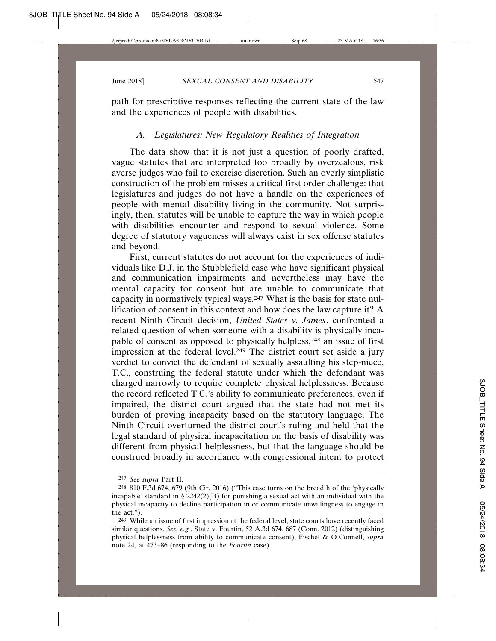path for prescriptive responses reflecting the current state of the law and the experiences of people with disabilities.

# *A. Legislatures: New Regulatory Realities of Integration*

The data show that it is not just a question of poorly drafted, vague statutes that are interpreted too broadly by overzealous, risk averse judges who fail to exercise discretion. Such an overly simplistic construction of the problem misses a critical first order challenge: that legislatures and judges do not have a handle on the experiences of people with mental disability living in the community. Not surprisingly, then, statutes will be unable to capture the way in which people with disabilities encounter and respond to sexual violence. Some degree of statutory vagueness will always exist in sex offense statutes and beyond.

First, current statutes do not account for the experiences of individuals like D.J. in the Stubblefield case who have significant physical and communication impairments and nevertheless may have the mental capacity for consent but are unable to communicate that capacity in normatively typical ways.247 What is the basis for state nullification of consent in this context and how does the law capture it? A recent Ninth Circuit decision, *United States v. James*, confronted a related question of when someone with a disability is physically incapable of consent as opposed to physically helpless,248 an issue of first impression at the federal level.<sup>249</sup> The district court set aside a jury verdict to convict the defendant of sexually assaulting his step-niece, T.C., construing the federal statute under which the defendant was charged narrowly to require complete physical helplessness. Because the record reflected T.C.'s ability to communicate preferences, even if impaired, the district court argued that the state had not met its burden of proving incapacity based on the statutory language. The Ninth Circuit overturned the district court's ruling and held that the legal standard of physical incapacitation on the basis of disability was different from physical helplessness, but that the language should be construed broadly in accordance with congressional intent to protect

<sup>247</sup> *See supra* Part II.

<sup>248</sup> 810 F.3d 674, 679 (9th Cir. 2016) ("This case turns on the breadth of the 'physically incapable' standard in § 2242(2)(B) for punishing a sexual act with an individual with the physical incapacity to decline participation in or communicate unwillingness to engage in the act.").

<sup>&</sup>lt;sup>249</sup> While an issue of first impression at the federal level, state courts have recently faced similar questions. *See, e.g.*, State v. Fourtin, 52 A.3d 674, 687 (Conn. 2012) (distinguishing physical helplessness from ability to communicate consent); Fischel & O'Connell, *supra* note 24, at 473–86 (responding to the *Fourtin* case).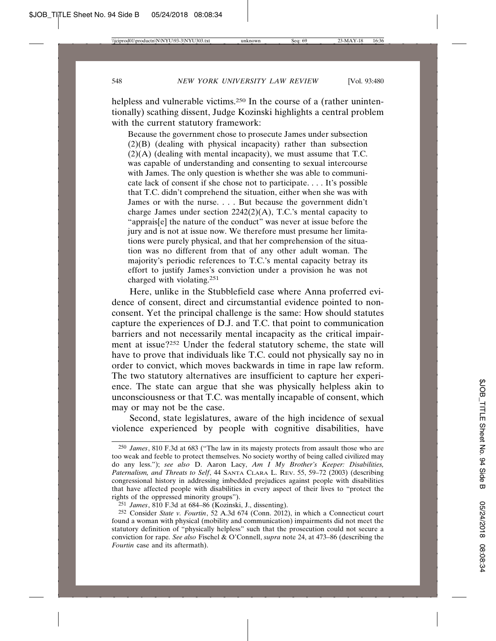helpless and vulnerable victims.<sup>250</sup> In the course of a (rather unintentionally) scathing dissent, Judge Kozinski highlights a central problem with the current statutory framework:

Because the government chose to prosecute James under subsection (2)(B) (dealing with physical incapacity) rather than subsection  $(2)(A)$  (dealing with mental incapacity), we must assume that T.C. was capable of understanding and consenting to sexual intercourse with James. The only question is whether she was able to communicate lack of consent if she chose not to participate. . . . It's possible that T.C. didn't comprehend the situation, either when she was with James or with the nurse. . . . But because the government didn't charge James under section 2242(2)(A), T.C.'s mental capacity to "apprais[e] the nature of the conduct" was never at issue before the jury and is not at issue now. We therefore must presume her limitations were purely physical, and that her comprehension of the situation was no different from that of any other adult woman. The majority's periodic references to T.C.'s mental capacity betray its effort to justify James's conviction under a provision he was not charged with violating.251

Here, unlike in the Stubblefield case where Anna proferred evidence of consent, direct and circumstantial evidence pointed to nonconsent. Yet the principal challenge is the same: How should statutes capture the experiences of D.J. and T.C. that point to communication barriers and not necessarily mental incapacity as the critical impairment at issue?252 Under the federal statutory scheme, the state will have to prove that individuals like T.C. could not physically say no in order to convict, which moves backwards in time in rape law reform. The two statutory alternatives are insufficient to capture her experience. The state can argue that she was physically helpless akin to unconsciousness or that T.C. was mentally incapable of consent, which may or may not be the case.

Second, state legislatures, aware of the high incidence of sexual violence experienced by people with cognitive disabilities, have

<sup>250</sup> *James*, 810 F.3d at 683 ("The law in its majesty protects from assault those who are too weak and feeble to protect themselves. No society worthy of being called civilized may do any less."); *see also* D. Aaron Lacy, *Am I My Brother's Keeper: Disabilities, Paternalism, and Threats to Self*, 44 SANTA CLARA L. REV. 55, 59–72 (2003) (describing congressional history in addressing imbedded prejudices against people with disabilities that have affected people with disabilities in every aspect of their lives to "protect the rights of the oppressed minority groups").

<sup>251</sup> *James*, 810 F.3d at 684–86 (Kozinski, J., dissenting).

<sup>252</sup> Consider *State v. Fourtin*, 52 A.3d 674 (Conn. 2012), in which a Connecticut court found a woman with physical (mobility and communication) impairments did not meet the statutory definition of "physically helpless" such that the prosecution could not secure a conviction for rape*. See also* Fischel & O'Connell, *supra* note 24, at 473–86 (describing the *Fourtin* case and its aftermath).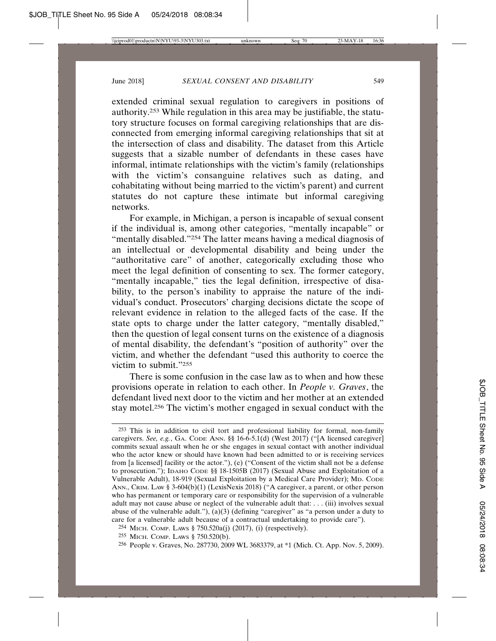extended criminal sexual regulation to caregivers in positions of authority.253 While regulation in this area may be justifiable, the statutory structure focuses on formal caregiving relationships that are disconnected from emerging informal caregiving relationships that sit at the intersection of class and disability. The dataset from this Article suggests that a sizable number of defendants in these cases have informal, intimate relationships with the victim's family (relationships with the victim's consanguine relatives such as dating, and cohabitating without being married to the victim's parent) and current statutes do not capture these intimate but informal caregiving networks.

For example, in Michigan, a person is incapable of sexual consent if the individual is, among other categories, "mentally incapable" or "mentally disabled."254 The latter means having a medical diagnosis of an intellectual or developmental disability and being under the "authoritative care" of another, categorically excluding those who meet the legal definition of consenting to sex. The former category, "mentally incapable," ties the legal definition, irrespective of disability, to the person's inability to appraise the nature of the individual's conduct. Prosecutors' charging decisions dictate the scope of relevant evidence in relation to the alleged facts of the case. If the state opts to charge under the latter category, "mentally disabled," then the question of legal consent turns on the existence of a diagnosis of mental disability, the defendant's "position of authority" over the victim, and whether the defendant "used this authority to coerce the victim to submit."255

There is some confusion in the case law as to when and how these provisions operate in relation to each other. In *People v. Graves*, the defendant lived next door to the victim and her mother at an extended stay motel.256 The victim's mother engaged in sexual conduct with the

<sup>253</sup> This is in addition to civil tort and professional liability for formal, non-family caregivers. *See, e.g.*, GA. CODE ANN. §§ 16-6-5.1(d) (West 2017) ("[A licensed caregiver] commits sexual assault when he or she engages in sexual contact with another individual who the actor knew or should have known had been admitted to or is receiving services from [a licensed] facility or the actor."), (e) ("Consent of the victim shall not be a defense to prosecution."); IDAHO CODE §§ 18-1505B (2017) (Sexual Abuse and Exploitation of a Vulnerable Adult), 18-919 (Sexual Exploitation by a Medical Care Provider); MD. CODE ANN., CRIM. LAW § 3-604(b)(1) (LexisNexis 2018) ("A caregiver, a parent, or other person who has permanent or temporary care or responsibility for the supervision of a vulnerable adult may not cause abuse or neglect of the vulnerable adult that: . . . (iii) involves sexual abuse of the vulnerable adult."),  $(a)(3)$  (defining "caregiver" as "a person under a duty to care for a vulnerable adult because of a contractual undertaking to provide care").

<sup>254</sup> MICH. COMP. LAWS § 750.520a(j) (2017), (i) (respectively).

<sup>255</sup> MICH. COMP. LAWS § 750.520(b).

<sup>256</sup> People v. Graves, No. 287730, 2009 WL 3683379, at \*1 (Mich. Ct. App. Nov. 5, 2009).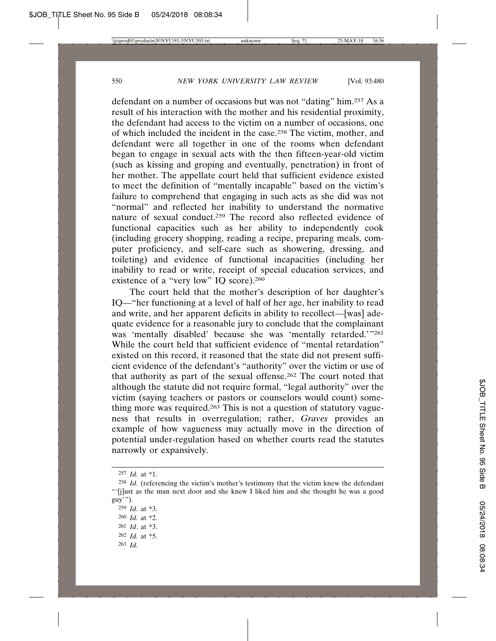defendant on a number of occasions but was not "dating" him.257 As a result of his interaction with the mother and his residential proximity, the defendant had access to the victim on a number of occasions, one of which included the incident in the case.258 The victim, mother, and defendant were all together in one of the rooms when defendant began to engage in sexual acts with the then fifteen-year-old victim (such as kissing and groping and eventually, penetration) in front of her mother. The appellate court held that sufficient evidence existed to meet the definition of "mentally incapable" based on the victim's failure to comprehend that engaging in such acts as she did was not "normal" and reflected her inability to understand the normative nature of sexual conduct.259 The record also reflected evidence of functional capacities such as her ability to independently cook (including grocery shopping, reading a recipe, preparing meals, computer proficiency, and self-care such as showering, dressing, and toileting) and evidence of functional incapacities (including her inability to read or write, receipt of special education services, and existence of a "very low" IQ score).<sup>260</sup>

The court held that the mother's description of her daughter's IQ—"her functioning at a level of half of her age, her inability to read and write, and her apparent deficits in ability to recollect—[was] adequate evidence for a reasonable jury to conclude that the complainant was 'mentally disabled' because she was 'mentally retarded.'"261 While the court held that sufficient evidence of "mental retardation" existed on this record, it reasoned that the state did not present sufficient evidence of the defendant's "authority" over the victim or use of that authority as part of the sexual offense.262 The court noted that although the statute did not require formal, "legal authority" over the victim (saying teachers or pastors or counselors would count) something more was required.<sup>263</sup> This is not a question of statutory vagueness that results in overregulation; rather, *Graves* provides an example of how vagueness may actually move in the direction of potential under-regulation based on whether courts read the statutes narrowly or expansively.

263 *Id.*

<sup>257</sup> *Id.* at \*1.

<sup>258</sup> *Id.* (referencing the victim's mother's testimony that the victim knew the defendant "'[j]ust as the man next door and she knew I liked him and she thought he was a good guy'").

<sup>259</sup> *Id.* at \*3. 260 *Id.* at \*2.

<sup>261</sup> *Id*. at \*3.

<sup>262</sup> *Id.* at \*5.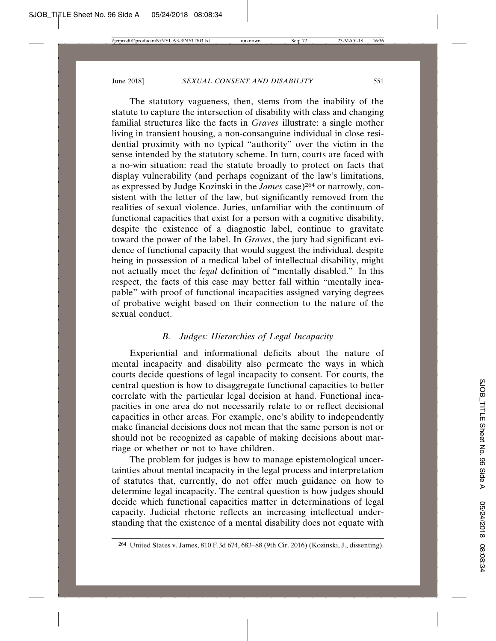The statutory vagueness, then, stems from the inability of the statute to capture the intersection of disability with class and changing familial structures like the facts in *Graves* illustrate: a single mother living in transient housing, a non-consanguine individual in close residential proximity with no typical "authority" over the victim in the sense intended by the statutory scheme. In turn, courts are faced with a no-win situation: read the statute broadly to protect on facts that display vulnerability (and perhaps cognizant of the law's limitations, as expressed by Judge Kozinski in the *James* case)264 or narrowly, consistent with the letter of the law, but significantly removed from the realities of sexual violence. Juries, unfamiliar with the continuum of functional capacities that exist for a person with a cognitive disability, despite the existence of a diagnostic label, continue to gravitate toward the power of the label. In *Graves*, the jury had significant evidence of functional capacity that would suggest the individual, despite being in possession of a medical label of intellectual disability, might not actually meet the *legal* definition of "mentally disabled." In this respect, the facts of this case may better fall within "mentally incapable" with proof of functional incapacities assigned varying degrees of probative weight based on their connection to the nature of the sexual conduct.

## *B. Judges: Hierarchies of Legal Incapacity*

Experiential and informational deficits about the nature of mental incapacity and disability also permeate the ways in which courts decide questions of legal incapacity to consent. For courts, the central question is how to disaggregate functional capacities to better correlate with the particular legal decision at hand. Functional incapacities in one area do not necessarily relate to or reflect decisional capacities in other areas. For example, one's ability to independently make financial decisions does not mean that the same person is not or should not be recognized as capable of making decisions about marriage or whether or not to have children.

The problem for judges is how to manage epistemological uncertainties about mental incapacity in the legal process and interpretation of statutes that, currently, do not offer much guidance on how to determine legal incapacity. The central question is how judges should decide which functional capacities matter in determinations of legal capacity. Judicial rhetoric reflects an increasing intellectual understanding that the existence of a mental disability does not equate with

<sup>264</sup> United States v. James, 810 F.3d 674, 683–88 (9th Cir. 2016) (Kozinski, J., dissenting).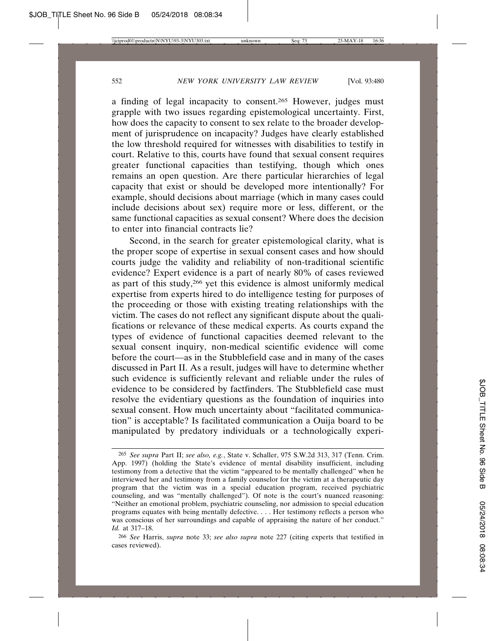a finding of legal incapacity to consent.265 However, judges must grapple with two issues regarding epistemological uncertainty. First, how does the capacity to consent to sex relate to the broader development of jurisprudence on incapacity? Judges have clearly established the low threshold required for witnesses with disabilities to testify in court. Relative to this, courts have found that sexual consent requires greater functional capacities than testifying, though which ones remains an open question. Are there particular hierarchies of legal capacity that exist or should be developed more intentionally? For example, should decisions about marriage (which in many cases could include decisions about sex) require more or less, different, or the same functional capacities as sexual consent? Where does the decision to enter into financial contracts lie?

Second, in the search for greater epistemological clarity, what is the proper scope of expertise in sexual consent cases and how should courts judge the validity and reliability of non-traditional scientific evidence? Expert evidence is a part of nearly 80% of cases reviewed as part of this study,266 yet this evidence is almost uniformly medical expertise from experts hired to do intelligence testing for purposes of the proceeding or those with existing treating relationships with the victim. The cases do not reflect any significant dispute about the qualifications or relevance of these medical experts. As courts expand the types of evidence of functional capacities deemed relevant to the sexual consent inquiry, non-medical scientific evidence will come before the court—as in the Stubblefield case and in many of the cases discussed in Part II. As a result, judges will have to determine whether such evidence is sufficiently relevant and reliable under the rules of evidence to be considered by factfinders. The Stubblefield case must resolve the evidentiary questions as the foundation of inquiries into sexual consent. How much uncertainty about "facilitated communication" is acceptable? Is facilitated communication a Ouija board to be manipulated by predatory individuals or a technologically experi-

<sup>265</sup> *See supra* Part II; *see also, e.g.*, State v. Schaller, 975 S.W.2d 313, 317 (Tenn. Crim. App. 1997) (holding the State's evidence of mental disability insufficient, including testimony from a detective that the victim "appeared to be mentally challenged" when he interviewed her and testimony from a family counselor for the victim at a therapeutic day program that the victim was in a special education program, received psychiatric counseling, and was "mentally challenged"). Of note is the court's nuanced reasoning: "Neither an emotional problem, psychiatric counseling, nor admission to special education programs equates with being mentally defective. . . . Her testimony reflects a person who was conscious of her surroundings and capable of appraising the nature of her conduct." *Id.* at 317–18.

<sup>266</sup> *See* Harris, *supra* note 33; *see also supra* note 227 (citing experts that testified in cases reviewed).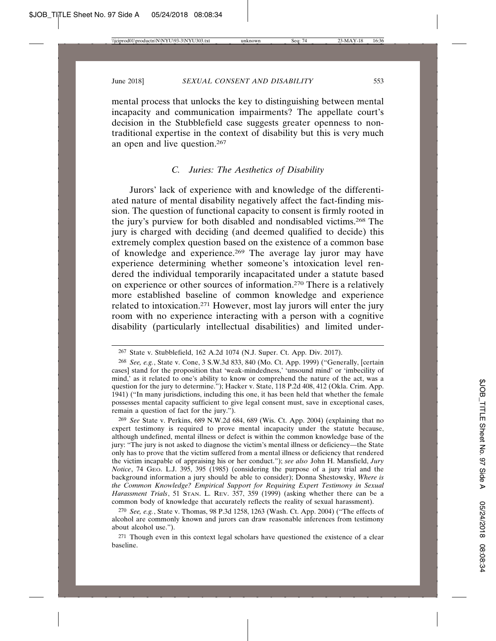mental process that unlocks the key to distinguishing between mental incapacity and communication impairments? The appellate court's decision in the Stubblefield case suggests greater openness to nontraditional expertise in the context of disability but this is very much an open and live question.267

## *C. Juries: The Aesthetics of Disability*

Jurors' lack of experience with and knowledge of the differentiated nature of mental disability negatively affect the fact-finding mission. The question of functional capacity to consent is firmly rooted in the jury's purview for both disabled and nondisabled victims.268 The jury is charged with deciding (and deemed qualified to decide) this extremely complex question based on the existence of a common base of knowledge and experience.269 The average lay juror may have experience determining whether someone's intoxication level rendered the individual temporarily incapacitated under a statute based on experience or other sources of information.270 There is a relatively more established baseline of common knowledge and experience related to intoxication.271 However, most lay jurors will enter the jury room with no experience interacting with a person with a cognitive disability (particularly intellectual disabilities) and limited under-

270 *See, e.g.*, State v. Thomas, 98 P.3d 1258, 1263 (Wash. Ct. App. 2004) ("The effects of alcohol are commonly known and jurors can draw reasonable inferences from testimony about alcohol use.").

271 Though even in this context legal scholars have questioned the existence of a clear baseline.

<sup>267</sup> State v. Stubblefield, 162 A.2d 1074 (N.J. Super. Ct. App. Div. 2017).

<sup>268</sup> *See, e.g.*, State v. Cone, 3 S.W.3d 833, 840 (Mo. Ct. App. 1999) ("Generally, [certain cases] stand for the proposition that 'weak-mindedness,' 'unsound mind' or 'imbecility of mind,' as it related to one's ability to know or comprehend the nature of the act, was a question for the jury to determine."); Hacker v. State, 118 P.2d 408, 412 (Okla. Crim. App. 1941) ("In many jurisdictions, including this one, it has been held that whether the female possesses mental capacity sufficient to give legal consent must, save in exceptional cases, remain a question of fact for the jury.").

<sup>269</sup> *See* State v. Perkins, 689 N.W.2d 684, 689 (Wis. Ct. App. 2004) (explaining that no expert testimony is required to prove mental incapacity under the statute because, although undefined, mental illness or defect is within the common knowledge base of the jury: "The jury is not asked to diagnose the victim's mental illness or deficiency—the State only has to prove that the victim suffered from a mental illness or deficiency that rendered the victim incapable of appraising his or her conduct."); *see also* John H. Mansfield, *Jury Notice*, 74 GEO. L.J. 395, 395 (1985) (considering the purpose of a jury trial and the background information a jury should be able to consider); Donna Shestowsky, *Where is the Common Knowledge? Empirical Support for Requiring Expert Testimony in Sexual Harassment Trials*, 51 STAN. L. REV. 357, 359 (1999) (asking whether there can be a common body of knowledge that accurately reflects the reality of sexual harassment).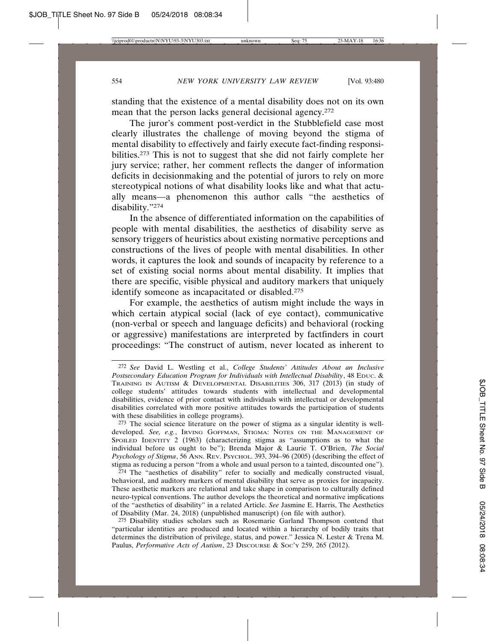standing that the existence of a mental disability does not on its own mean that the person lacks general decisional agency.272

The juror's comment post-verdict in the Stubblefield case most clearly illustrates the challenge of moving beyond the stigma of mental disability to effectively and fairly execute fact-finding responsibilities.273 This is not to suggest that she did not fairly complete her jury service; rather, her comment reflects the danger of information deficits in decisionmaking and the potential of jurors to rely on more stereotypical notions of what disability looks like and what that actually means—a phenomenon this author calls "the aesthetics of disability."274

In the absence of differentiated information on the capabilities of people with mental disabilities, the aesthetics of disability serve as sensory triggers of heuristics about existing normative perceptions and constructions of the lives of people with mental disabilities. In other words, it captures the look and sounds of incapacity by reference to a set of existing social norms about mental disability. It implies that there are specific, visible physical and auditory markers that uniquely identify someone as incapacitated or disabled.275

For example, the aesthetics of autism might include the ways in which certain atypical social (lack of eye contact), communicative (non-verbal or speech and language deficits) and behavioral (rocking or aggressive) manifestations are interpreted by factfinders in court proceedings: "The construct of autism, never located as inherent to

 $274$  The "aesthetics of disability" refer to socially and medically constructed visual, behavioral, and auditory markers of mental disability that serve as proxies for incapacity. These aesthetic markers are relational and take shape in comparison to culturally defined neuro-typical conventions. The author develops the theoretical and normative implications of the "aesthetics of disability" in a related Article. *See* Jasmine E. Harris, The Aesthetics of Disability (Mar. 24, 2018) (unpublished manuscript) (on file with author).

275 Disability studies scholars such as Rosemarie Garland Thompson contend that "particular identities are produced and located within a hierarchy of bodily traits that determines the distribution of privilege, status, and power." Jessica N. Lester & Trena M. Paulus, *Performative Acts of Autism*, 23 DISCOURSE & Soc'y 259, 265 (2012).

<sup>272</sup> *See* David L. Westling et al., *College Students' Attitudes About an Inclusive Postsecondary Education Program for Individuals with Intellectual Disability*, 48 EDUC. & TRAINING IN AUTISM & DEVELOPMENTAL DISABILITIES 306, 317 (2013) (in study of college students' attitudes towards students with intellectual and developmental disabilities, evidence of prior contact with individuals with intellectual or developmental disabilities correlated with more positive attitudes towards the participation of students with these disabilities in college programs).

<sup>273</sup> The social science literature on the power of stigma as a singular identity is welldeveloped. *See, e.g.*, IRVING GOFFMAN, STIGMA: NOTES ON THE MANAGEMENT OF SPOILED IDENTITY 2 (1963) (characterizing stigma as "assumptions as to what the individual before us ought to be"); Brenda Major & Laurie T. O'Brien, *The Social Psychology of Stigma*, 56 ANN. REV. PSYCHOL. 393, 394–96 (2005) (describing the effect of stigma as reducing a person "from a whole and usual person to a tainted, discounted one").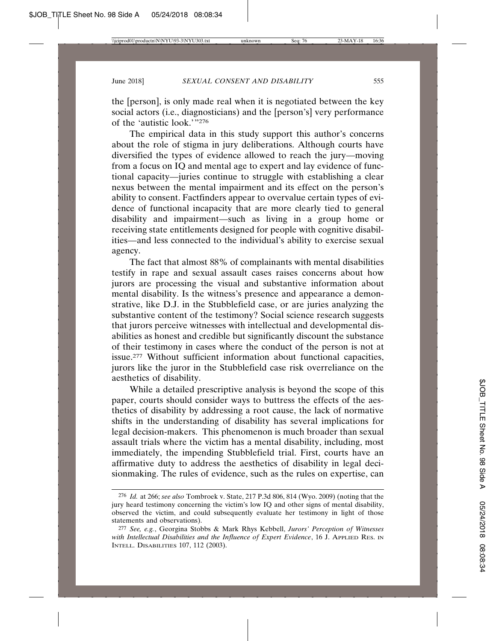the [person], is only made real when it is negotiated between the key social actors (i.e., diagnosticians) and the [person's] very performance of the 'autistic look.'"276

The empirical data in this study support this author's concerns about the role of stigma in jury deliberations. Although courts have diversified the types of evidence allowed to reach the jury—moving from a focus on IQ and mental age to expert and lay evidence of functional capacity—juries continue to struggle with establishing a clear nexus between the mental impairment and its effect on the person's ability to consent. Factfinders appear to overvalue certain types of evidence of functional incapacity that are more clearly tied to general disability and impairment—such as living in a group home or receiving state entitlements designed for people with cognitive disabilities—and less connected to the individual's ability to exercise sexual agency.

The fact that almost 88% of complainants with mental disabilities testify in rape and sexual assault cases raises concerns about how jurors are processing the visual and substantive information about mental disability. Is the witness's presence and appearance a demonstrative, like D.J. in the Stubblefield case, or are juries analyzing the substantive content of the testimony? Social science research suggests that jurors perceive witnesses with intellectual and developmental disabilities as honest and credible but significantly discount the substance of their testimony in cases where the conduct of the person is not at issue.277 Without sufficient information about functional capacities, jurors like the juror in the Stubblefield case risk overreliance on the aesthetics of disability.

While a detailed prescriptive analysis is beyond the scope of this paper, courts should consider ways to buttress the effects of the aesthetics of disability by addressing a root cause, the lack of normative shifts in the understanding of disability has several implications for legal decision-makers. This phenomenon is much broader than sexual assault trials where the victim has a mental disability, including, most immediately, the impending Stubblefield trial. First, courts have an affirmative duty to address the aesthetics of disability in legal decisionmaking. The rules of evidence, such as the rules on expertise, can

<sup>276</sup> *Id.* at 266; *see also* Tombroek v. State, 217 P.3d 806, 814 (Wyo. 2009) (noting that the jury heard testimony concerning the victim's low IQ and other signs of mental disability, observed the victim, and could subsequently evaluate her testimony in light of those statements and observations).

<sup>277</sup> *See, e.g.*, Georgina Stobbs & Mark Rhys Kebbell, *Jurors' Perception of Witnesses with Intellectual Disabilities and the Influence of Expert Evidence*, 16 J. APPLIED RES. IN INTELL. DISABILITIES 107, 112 (2003).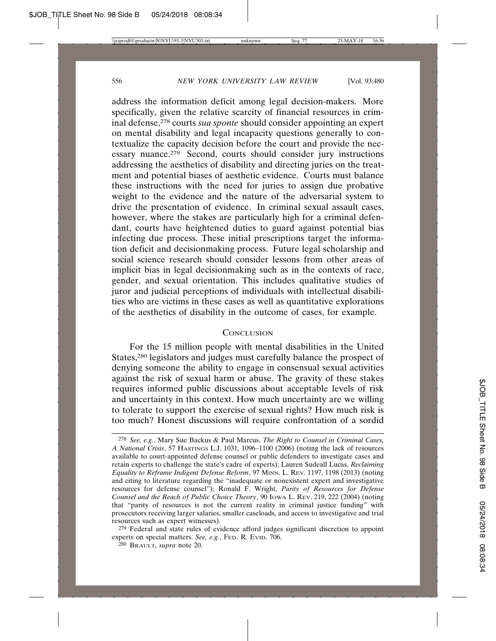address the information deficit among legal decision-makers. More specifically, given the relative scarcity of financial resources in criminal defense,278 courts *sua sponte* should consider appointing an expert on mental disability and legal incapacity questions generally to contextualize the capacity decision before the court and provide the necessary nuance.279 Second, courts should consider jury instructions addressing the aesthetics of disability and directing juries on the treatment and potential biases of aesthetic evidence. Courts must balance these instructions with the need for juries to assign due probative weight to the evidence and the nature of the adversarial system to drive the presentation of evidence. In criminal sexual assault cases, however, where the stakes are particularly high for a criminal defendant, courts have heightened duties to guard against potential bias infecting due process. These initial prescriptions target the information deficit and decisionmaking process. Future legal scholarship and social science research should consider lessons from other areas of implicit bias in legal decisionmaking such as in the contexts of race, gender, and sexual orientation. This includes qualitative studies of juror and judicial perceptions of individuals with intellectual disabilities who are victims in these cases as well as quantitative explorations of the aesthetics of disability in the outcome of cases, for example.

## **CONCLUSION**

For the 15 million people with mental disabilities in the United States,280 legislators and judges must carefully balance the prospect of denying someone the ability to engage in consensual sexual activities against the risk of sexual harm or abuse. The gravity of these stakes requires informed public discussions about acceptable levels of risk and uncertainty in this context. How much uncertainty are we willing to tolerate to support the exercise of sexual rights? How much risk is too much? Honest discussions will require confrontation of a sordid

279 Federal and state rules of evidence afford judges significant discretion to appoint experts on special matters. See, e.g., FED. R. EVID. 706.

<sup>278</sup> *See, e.g.*, Mary Sue Backus & Paul Marcus, *The Right to Counsel in Criminal Cases, A National Crisis*, 57 HASTINGS L.J. 1031, 1096–1100 (2006) (noting the lack of resources available to court-appointed defense counsel or public defenders to investigate cases and retain experts to challenge the state's cadre of experts); Lauren Sudeall Lucas, *Reclaiming Equality to Reframe Indigent Defense Reform*, 97 MINN. L. REV. 1197, 1198 (2013) (noting and citing to literature regarding the "inadequate or nonexistent expert and investigative resources for defense counsel"); Ronald F. Wright, *Parity of Resources for Defense Counsel and the Reach of Public Choice Theory*, 90 IOWA L. REV. 219, 222 (2004) (noting that "parity of resources is not the current reality in criminal justice funding" with prosecutors receiving larger salaries, smaller caseloads, and access to investigative and trial resources such as expert witnesses).

<sup>280</sup> BRAULT, *supra* note 20.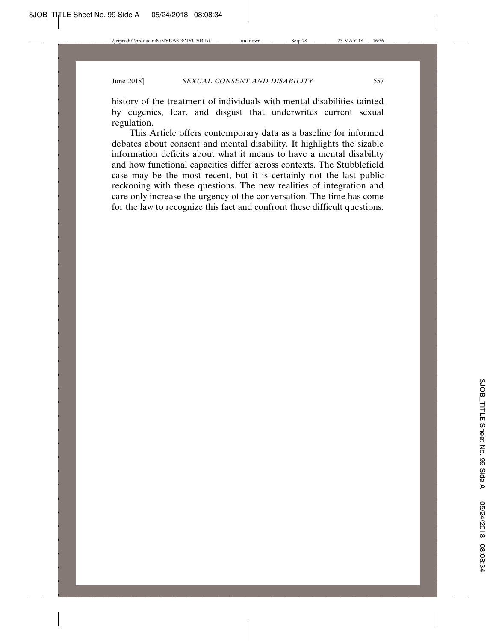history of the treatment of individuals with mental disabilities tainted by eugenics, fear, and disgust that underwrites current sexual regulation.

This Article offers contemporary data as a baseline for informed debates about consent and mental disability. It highlights the sizable information deficits about what it means to have a mental disability and how functional capacities differ across contexts. The Stubblefield case may be the most recent, but it is certainly not the last public reckoning with these questions. The new realities of integration and care only increase the urgency of the conversation. The time has come for the law to recognize this fact and confront these difficult questions.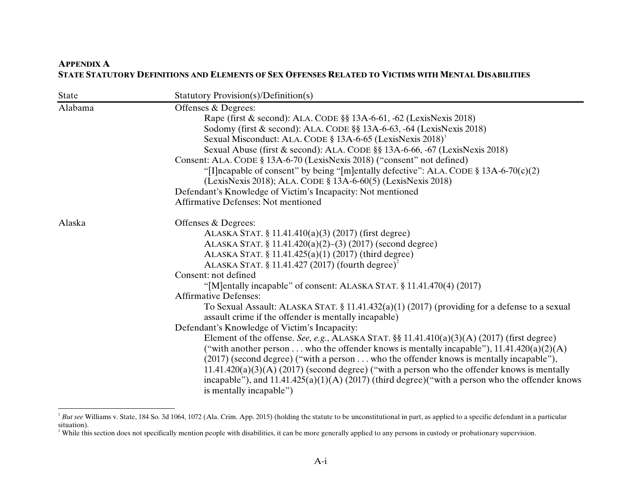## **APPENDIX A STATE STATUTORY DEFINITIONS AND ELEMENTS OF SEX OFFENSES RELATED TO VICTIMS WITH MENTAL DISABILITIES**

| State   | Statutory Provision(s)/Definition(s)                                                                                                                                                                                                                                                                                                                                                                                                                                                                                                                                                                                             |
|---------|----------------------------------------------------------------------------------------------------------------------------------------------------------------------------------------------------------------------------------------------------------------------------------------------------------------------------------------------------------------------------------------------------------------------------------------------------------------------------------------------------------------------------------------------------------------------------------------------------------------------------------|
| Alabama | Offenses & Degrees:<br>Rape (first & second): ALA. CODE §§ 13A-6-61, -62 (LexisNexis 2018)<br>Sodomy (first & second): ALA. CODE §§ 13A-6-63, -64 (LexisNexis 2018)<br>Sexual Misconduct: ALA. CODE § 13A-6-65 (LexisNexis 2018) <sup>1</sup><br>Sexual Abuse (first & second): ALA. CODE §§ 13A-6-66, -67 (LexisNexis 2018)<br>Consent: ALA. CODE § 13A-6-70 (LexisNexis 2018) ("consent" not defined)<br>"[I] ncapable of consent" by being "[m] entally defective": ALA. CODE § 13A-6-70(c)(2)<br>(LexisNexis 2018); ALA. CODE § 13A-6-60(5) (LexisNexis 2018)<br>Defendant's Knowledge of Victim's Incapacity: Not mentioned |
|         | <b>Affirmative Defenses: Not mentioned</b>                                                                                                                                                                                                                                                                                                                                                                                                                                                                                                                                                                                       |
| Alaska  | Offenses & Degrees:<br>ALASKA STAT. § 11.41.410(a)(3) (2017) (first degree)<br>ALASKA STAT. § 11.41.420(a)(2)–(3) (2017) (second degree)<br>ALASKA STAT. § 11.41.425(a)(1) (2017) (third degree)<br>ALASKA STAT. $$11.41.427(2017)$ (fourth degree) <sup>2</sup><br>Consent: not defined<br>"[M]entally incapable" of consent: ALASKA STAT. § 11.41.470(4) (2017)<br><b>Affirmative Defenses:</b><br>To Sexual Assault: ALASKA STAT. § 11.41.432(a)(1) (2017) (providing for a defense to a sexual<br>assault crime if the offender is mentally incapable)                                                                       |
|         | Defendant's Knowledge of Victim's Incapacity:<br>Element of the offense. See, e.g., ALASKA STAT. $\S$ 11.41.410(a)(3)(A) (2017) (first degree)<br>("with another person  who the offender knows is mentally incapable"), $11.41.420(a)(2)(A)$<br>(2017) (second degree) ("with a person who the offender knows is mentally incapable"),<br>$11.41.420(a)(3)(A)$ (2017) (second degree) ("with a person who the offender knows is mentally<br>incapable"), and $11.41.425(a)(1)(A)$ (2017) (third degree)("with a person who the offender knows<br>is mentally incapable")                                                        |

 $\overline{a}$ 

<sup>&</sup>lt;sup>1</sup> But see Williams v. State, 184 So. 3d 1064, 1072 (Ala. Crim. App. 2015) (holding the statute to be unconstitutional in part, as applied to a specific defendant in a particular situation).<br><sup>2</sup> While this section does not specifically mention people with disabilities, it can be more generally applied to any persons in custody or probationary supervision.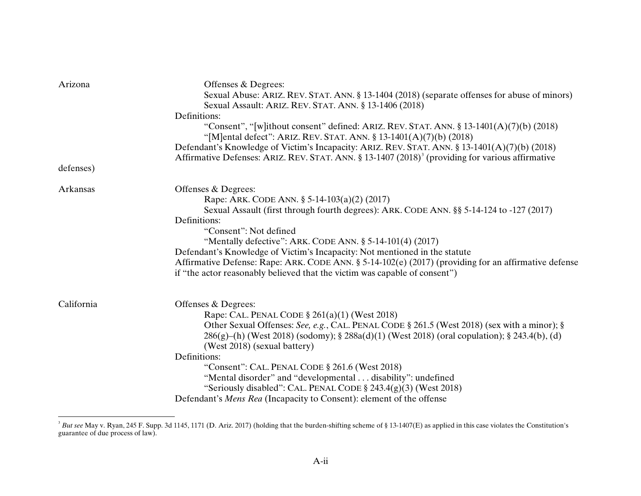| Arizona    | Offenses & Degrees:                                                                                                                                              |
|------------|------------------------------------------------------------------------------------------------------------------------------------------------------------------|
|            | Sexual Abuse: ARIZ. REV. STAT. ANN. § 13-1404 (2018) (separate offenses for abuse of minors)                                                                     |
|            | Sexual Assault: ARIZ. REV. STAT. ANN. § 13-1406 (2018)                                                                                                           |
|            | Definitions:                                                                                                                                                     |
|            | "Consent", "[w]ithout consent" defined: ARIZ. REV. STAT. ANN. $\S$ 13-1401(A)(7)(b) (2018)<br>"[M]ental defect": ARIZ. REV. STAT. ANN. § 13-1401(A)(7)(b) (2018) |
|            | Defendant's Knowledge of Victim's Incapacity: ARIZ. REV. STAT. ANN. § 13-1401(A)(7)(b) (2018)                                                                    |
|            | Affirmative Defenses: ARIZ. REV. STAT. ANN. § 13-1407 (2018) <sup>3</sup> (providing for various affirmative                                                     |
| defenses)  |                                                                                                                                                                  |
| Arkansas   | Offenses & Degrees:                                                                                                                                              |
|            | Rape: ARK. CODE ANN. § 5-14-103(a)(2) (2017)                                                                                                                     |
|            | Sexual Assault (first through fourth degrees): ARK. CODE ANN. §§ 5-14-124 to -127 (2017)                                                                         |
|            | Definitions:                                                                                                                                                     |
|            | "Consent": Not defined                                                                                                                                           |
|            | "Mentally defective": ARK. CODE ANN. § 5-14-101(4) (2017)                                                                                                        |
|            | Defendant's Knowledge of Victim's Incapacity: Not mentioned in the statute                                                                                       |
|            | Affirmative Defense: Rape: ARK. CODE ANN. § 5-14-102(e) (2017) (providing for an affirmative defense                                                             |
|            | if "the actor reasonably believed that the victim was capable of consent")                                                                                       |
| California | Offenses & Degrees:                                                                                                                                              |
|            | Rape: CAL. PENAL CODE § 261(a)(1) (West 2018)                                                                                                                    |
|            | Other Sexual Offenses: See, e.g., CAL. PENAL CODE § 261.5 (West 2018) (sex with a minor); §                                                                      |
|            | $286(g)$ –(h) (West 2018) (sodomy); § $288a(d)(1)$ (West 2018) (oral copulation); § 243.4(b), (d)                                                                |
|            | (West 2018) (sexual battery)                                                                                                                                     |
|            | Definitions:                                                                                                                                                     |
|            | "Consent": CAL. PENAL CODE § 261.6 (West 2018)                                                                                                                   |
|            | "Mental disorder" and "developmental disability": undefined                                                                                                      |
|            | "Seriously disabled": CAL. PENAL CODE $\S$ 243.4(g)(3) (West 2018)                                                                                               |
|            | Defendant's Mens Rea (Incapacity to Consent): element of the offense                                                                                             |
|            |                                                                                                                                                                  |

<sup>&</sup>lt;sup>3</sup> But see May v. Ryan, 245 F. Supp. 3d 1145, 1171 (D. Ariz. 2017) (holding that the burden-shifting scheme of § 13-1407(E) as applied in this case violates the Constitution's guarantee of due process of law).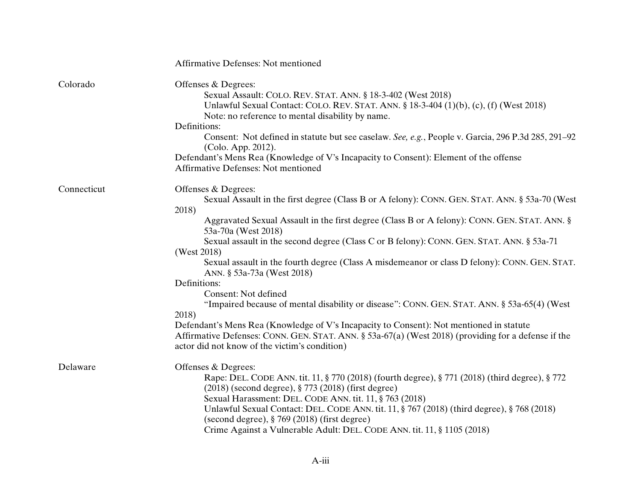|             | Affirmative Defenses: Not mentioned                                                                                                                                                                                                                                                                                                                                                                                                                                                                                                                                                                                                                                                                                                                                                                                                                                                                 |
|-------------|-----------------------------------------------------------------------------------------------------------------------------------------------------------------------------------------------------------------------------------------------------------------------------------------------------------------------------------------------------------------------------------------------------------------------------------------------------------------------------------------------------------------------------------------------------------------------------------------------------------------------------------------------------------------------------------------------------------------------------------------------------------------------------------------------------------------------------------------------------------------------------------------------------|
| Colorado    | Offenses & Degrees:<br>Sexual Assault: COLO. REV. STAT. ANN. § 18-3-402 (West 2018)<br>Unlawful Sexual Contact: COLO. REV. STAT. ANN. $\S 18-3-404$ (1)(b), (c), (f) (West 2018)<br>Note: no reference to mental disability by name.<br>Definitions:<br>Consent: Not defined in statute but see caselaw. See, e.g., People v. Garcia, 296 P.3d 285, 291-92<br>(Colo. App. 2012).<br>Defendant's Mens Rea (Knowledge of V's Incapacity to Consent): Element of the offense<br>Affirmative Defenses: Not mentioned                                                                                                                                                                                                                                                                                                                                                                                    |
| Connecticut | Offenses & Degrees:<br>Sexual Assault in the first degree (Class B or A felony): CONN. GEN. STAT. ANN. § 53a-70 (West<br>2018)<br>Aggravated Sexual Assault in the first degree (Class B or A felony): CONN. GEN. STAT. ANN. §<br>53a-70a (West 2018)<br>Sexual assault in the second degree (Class C or B felony): CONN. GEN. STAT. ANN. § 53a-71<br>(West 2018)<br>Sexual assault in the fourth degree (Class A misdemeanor or class D felony): CONN. GEN. STAT.<br>ANN. § 53a-73a (West 2018)<br>Definitions:<br>Consent: Not defined<br>"Impaired because of mental disability or disease": CONN. GEN. STAT. ANN. § 53a-65(4) (West<br>2018)<br>Defendant's Mens Rea (Knowledge of V's Incapacity to Consent): Not mentioned in statute<br>Affirmative Defenses: CONN. GEN. STAT. ANN. § 53a-67(a) (West 2018) (providing for a defense if the<br>actor did not know of the victim's condition) |
| Delaware    | Offenses & Degrees:<br>Rape: DEL. CODE ANN. tit. 11, § 770 (2018) (fourth degree), § 771 (2018) (third degree), § 772<br>(2018) (second degree), § 773 (2018) (first degree)<br>Sexual Harassment: DEL. CODE ANN. tit. 11, § 763 (2018)<br>Unlawful Sexual Contact: DEL. CODE ANN. tit. $11, \S 767 (2018)$ (third degree), $\S 768 (2018)$<br>(second degree), § 769 (2018) (first degree)<br>Crime Against a Vulnerable Adult: DEL. CODE ANN. tit. 11, § 1105 (2018)                                                                                                                                                                                                                                                                                                                                                                                                                              |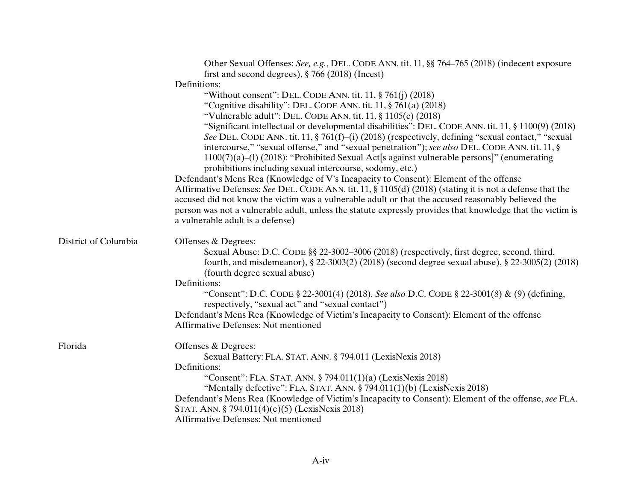|                      | Other Sexual Offenses: See, e.g., DEL. CODE ANN. tit. 11, §§ 764–765 (2018) (indecent exposure                                                 |
|----------------------|------------------------------------------------------------------------------------------------------------------------------------------------|
|                      | first and second degrees), $\S$ 766 (2018) (Incest)<br>Definitions:                                                                            |
|                      | "Without consent": DEL. CODE ANN. tit. $11$ , $\S 761(i)$ (2018)                                                                               |
|                      | "Cognitive disability": DEL. CODE ANN. tit. $11, \frac{8}{9}$ 761(a) (2018)                                                                    |
|                      | "Vulnerable adult": DEL. CODE ANN. tit. $11$ , $\S 1105(c)$ (2018)                                                                             |
|                      | "Significant intellectual or developmental disabilities": DEL. CODE ANN. tit. 11, § 1100(9) (2018)                                             |
|                      | See DEL. CODE ANN. tit. 11, § 761(f)–(i) (2018) (respectively, defining "sexual contact," "sexual                                              |
|                      | intercourse," "sexual offense," and "sexual penetration"); see also DEL. CODE ANN. tit. 11, §                                                  |
|                      | $1100(7)(a)$ –(1) (2018): "Prohibited Sexual Act[s against vulnerable persons]" (enumerating                                                   |
|                      | prohibitions including sexual intercourse, sodomy, etc.)                                                                                       |
|                      | Defendant's Mens Rea (Knowledge of V's Incapacity to Consent): Element of the offense                                                          |
|                      | Affirmative Defenses: See DEL. CODE ANN. tit. 11, § 1105(d) (2018) (stating it is not a defense that the                                       |
|                      | accused did not know the victim was a vulnerable adult or that the accused reasonably believed the                                             |
|                      | person was not a vulnerable adult, unless the statute expressly provides that knowledge that the victim is                                     |
|                      | a vulnerable adult is a defense)                                                                                                               |
| District of Columbia | Offenses & Degrees:                                                                                                                            |
|                      | Sexual Abuse: D.C. CODE §§ 22-3002-3006 (2018) (respectively, first degree, second, third,                                                     |
|                      | fourth, and misdemeanor), § 22-3003(2) (2018) (second degree sexual abuse), § 22-3005(2) (2018)                                                |
|                      | (fourth degree sexual abuse)                                                                                                                   |
|                      | Definitions:                                                                                                                                   |
|                      | "Consent": D.C. CODE § 22-3001(4) (2018). See also D.C. CODE § 22-3001(8) & (9) (defining,<br>respectively, "sexual act" and "sexual contact") |
|                      | Defendant's Mens Rea (Knowledge of Victim's Incapacity to Consent): Element of the offense                                                     |
|                      | <b>Affirmative Defenses: Not mentioned</b>                                                                                                     |
| Florida              | Offenses & Degrees:                                                                                                                            |
|                      | Sexual Battery: FLA. STAT. ANN. § 794.011 (LexisNexis 2018)                                                                                    |
|                      | Definitions:                                                                                                                                   |
|                      | "Consent": FLA. STAT. ANN. § 794.011(1)(a) (LexisNexis 2018)                                                                                   |
|                      | "Mentally defective": FLA. STAT. ANN. § 794.011(1)(b) (LexisNexis 2018)                                                                        |
|                      | Defendant's Mens Rea (Knowledge of Victim's Incapacity to Consent): Element of the offense, see FLA.                                           |
|                      | STAT. ANN. § 794.011(4)(e)(5) (LexisNexis 2018)                                                                                                |
|                      | <b>Affirmative Defenses: Not mentioned</b>                                                                                                     |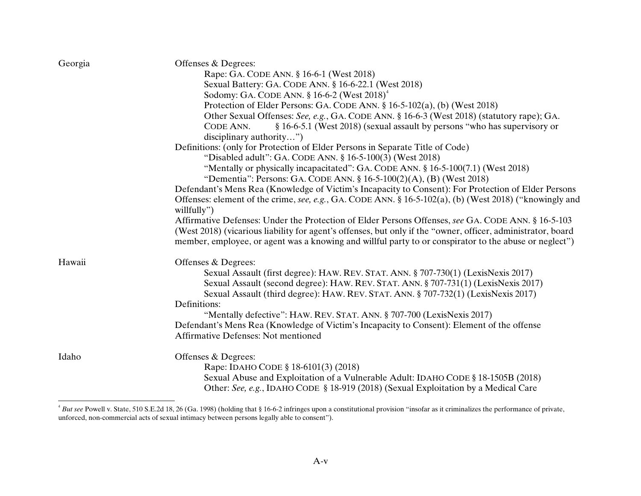| Georgia | Offenses & Degrees:                                                                                          |
|---------|--------------------------------------------------------------------------------------------------------------|
|         | Rape: GA. CODE ANN. § 16-6-1 (West 2018)                                                                     |
|         | Sexual Battery: GA. CODE ANN. § 16-6-22.1 (West 2018)                                                        |
|         | Sodomy: GA. CODE ANN. $\S 16-6-2$ (West $2018$ ) <sup>4</sup>                                                |
|         | Protection of Elder Persons: GA. CODE ANN. § 16-5-102(a), (b) (West 2018)                                    |
|         | Other Sexual Offenses: See, e.g., GA. CODE ANN. § 16-6-3 (West 2018) (statutory rape); GA.                   |
|         | § 16-6-5.1 (West 2018) (sexual assault by persons "who has supervisory or<br>CODE ANN.                       |
|         | disciplinary authority")                                                                                     |
|         | Definitions: (only for Protection of Elder Persons in Separate Title of Code)                                |
|         | "Disabled adult": GA. CODE ANN. § 16-5-100(3) (West 2018)                                                    |
|         | "Mentally or physically incapacitated": GA. CODE ANN. § 16-5-100(7.1) (West 2018)                            |
|         | "Dementia": Persons: GA. CODE ANN. $\S 16-5-100(2)(A)$ , (B) (West 2018)                                     |
|         | Defendant's Mens Rea (Knowledge of Victim's Incapacity to Consent): For Protection of Elder Persons          |
|         | Offenses: element of the crime, see, e.g., GA. CODE ANN. § 16-5-102(a), (b) (West 2018) ("knowingly and      |
|         | willfully")                                                                                                  |
|         | Affirmative Defenses: Under the Protection of Elder Persons Offenses, see GA. CODE ANN. § 16-5-103           |
|         | (West 2018) (vicarious liability for agent's offenses, but only if the "owner, officer, administrator, board |
|         | member, employee, or agent was a knowing and willful party to or conspirator to the abuse or neglect")       |
| Hawaii  | Offenses & Degrees:                                                                                          |
|         | Sexual Assault (first degree): HAW. REV. STAT. ANN. § 707-730(1) (LexisNexis 2017)                           |
|         | Sexual Assault (second degree): HAW. REV. STAT. ANN. § 707-731(1) (LexisNexis 2017)                          |
|         | Sexual Assault (third degree): HAW. REV. STAT. ANN. § 707-732(1) (LexisNexis 2017)                           |
|         | Definitions:                                                                                                 |
|         | "Mentally defective": HAW. REV. STAT. ANN. § 707-700 (LexisNexis 2017)                                       |
|         | Defendant's Mens Rea (Knowledge of Victim's Incapacity to Consent): Element of the offense                   |
|         | <b>Affirmative Defenses: Not mentioned</b>                                                                   |
| Idaho   | Offenses & Degrees:                                                                                          |
|         | Rape: IDAHO CODE § 18-6101(3) (2018)                                                                         |
|         | Sexual Abuse and Exploitation of a Vulnerable Adult: IDAHO CODE § 18-1505B (2018)                            |
|         | Other: See, e.g., IDAHO CODE § 18-919 (2018) (Sexual Exploitation by a Medical Care                          |

<sup>&</sup>lt;sup>4</sup> But see Powell v. State, 510 S.E.2d 18, 26 (Ga. 1998) (holding that § 16-6-2 infringes upon a constitutional provision "insofar as it criminalizes the performance of private, unforced, non-commercial acts of sexual intimacy between persons legally able to consent").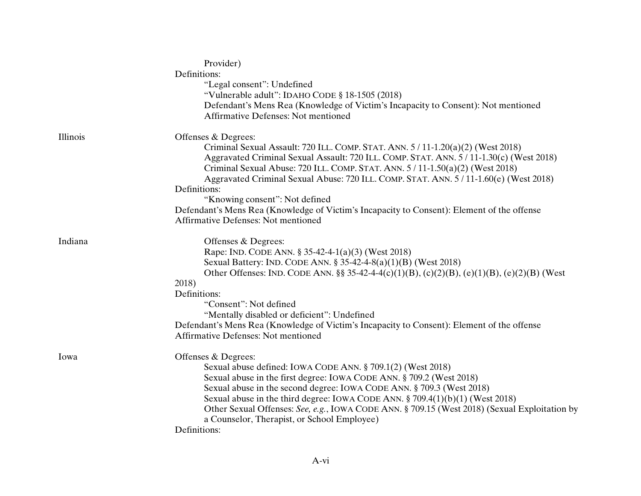|          | Provider)                                                                                                                                |
|----------|------------------------------------------------------------------------------------------------------------------------------------------|
|          | Definitions:                                                                                                                             |
|          | "Legal consent": Undefined                                                                                                               |
|          | "Vulnerable adult": IDAHO CODE § 18-1505 (2018)                                                                                          |
|          | Defendant's Mens Rea (Knowledge of Victim's Incapacity to Consent): Not mentioned                                                        |
|          | Affirmative Defenses: Not mentioned                                                                                                      |
| Illinois | Offenses & Degrees:                                                                                                                      |
|          | Criminal Sexual Assault: 720 ILL. COMP. STAT. ANN. 5 / 11-1.20(a)(2) (West 2018)                                                         |
|          | Aggravated Criminal Sexual Assault: 720 ILL. COMP. STAT. ANN. 5 / 11-1.30(c) (West 2018)                                                 |
|          | Criminal Sexual Abuse: 720 ILL. COMP. STAT. ANN. 5 / 11-1.50(a)(2) (West 2018)                                                           |
|          | Aggravated Criminal Sexual Abuse: 720 ILL. COMP. STAT. ANN. 5 / 11-1.60(e) (West 2018)                                                   |
|          | Definitions:                                                                                                                             |
|          | "Knowing consent": Not defined                                                                                                           |
|          |                                                                                                                                          |
|          | Defendant's Mens Rea (Knowledge of Victim's Incapacity to Consent): Element of the offense<br><b>Affirmative Defenses: Not mentioned</b> |
|          |                                                                                                                                          |
| Indiana  | Offenses & Degrees:                                                                                                                      |
|          | Rape: IND. CODE ANN. § 35-42-4-1(a)(3) (West 2018)                                                                                       |
|          | Sexual Battery: IND. CODE ANN. § 35-42-4-8(a)(1)(B) (West 2018)                                                                          |
|          | Other Offenses: IND. CODE ANN. $\S$ 35-42-4-4(c)(1)(B), (c)(2)(B), (e)(1)(B), (e)(2)(B) (West                                            |
|          | 2018)                                                                                                                                    |
|          | Definitions:                                                                                                                             |
|          | "Consent": Not defined                                                                                                                   |
|          | "Mentally disabled or deficient": Undefined                                                                                              |
|          | Defendant's Mens Rea (Knowledge of Victim's Incapacity to Consent): Element of the offense                                               |
|          | <b>Affirmative Defenses: Not mentioned</b>                                                                                               |
| Iowa     | Offenses & Degrees:                                                                                                                      |
|          | Sexual abuse defined: IOWA CODE ANN. § 709.1(2) (West 2018)                                                                              |
|          | Sexual abuse in the first degree: IOWA CODE ANN. § 709.2 (West 2018)                                                                     |
|          | Sexual abuse in the second degree: IOWA CODE ANN. § 709.3 (West 2018)                                                                    |
|          | Sexual abuse in the third degree: IOWA CODE ANN. $\S$ 709.4(1)(b)(1) (West 2018)                                                         |
|          | Other Sexual Offenses: See, e.g., IOWA CODE ANN. § 709.15 (West 2018) (Sexual Exploitation by                                            |
|          | a Counselor, Therapist, or School Employee)                                                                                              |
|          | Definitions:                                                                                                                             |
|          |                                                                                                                                          |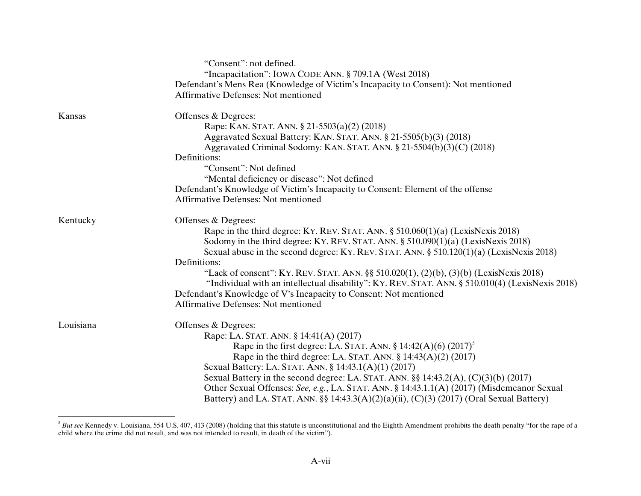|           | "Consent": not defined.<br>"Incapacitation": IOWA CODE ANN. § 709.1A (West 2018)<br>Defendant's Mens Rea (Knowledge of Victim's Incapacity to Consent): Not mentioned<br><b>Affirmative Defenses: Not mentioned</b> |
|-----------|---------------------------------------------------------------------------------------------------------------------------------------------------------------------------------------------------------------------|
| Kansas    | Offenses & Degrees:                                                                                                                                                                                                 |
|           | Rape: KAN. STAT. ANN. § 21-5503(a)(2) (2018)                                                                                                                                                                        |
|           | Aggravated Sexual Battery: KAN. STAT. ANN. § 21-5505(b)(3) (2018)                                                                                                                                                   |
|           | Aggravated Criminal Sodomy: KAN. STAT. ANN. § 21-5504(b)(3)(C) (2018)<br>Definitions:                                                                                                                               |
|           | "Consent": Not defined                                                                                                                                                                                              |
|           | "Mental deficiency or disease": Not defined                                                                                                                                                                         |
|           | Defendant's Knowledge of Victim's Incapacity to Consent: Element of the offense                                                                                                                                     |
|           | <b>Affirmative Defenses: Not mentioned</b>                                                                                                                                                                          |
| Kentucky  | Offenses & Degrees:                                                                                                                                                                                                 |
|           | Rape in the third degree: KY. REV. STAT. ANN. $\S$ 510.060(1)(a) (LexisNexis 2018)                                                                                                                                  |
|           | Sodomy in the third degree: KY. REV. STAT. ANN. § 510.090(1)(a) (LexisNexis 2018)                                                                                                                                   |
|           | Sexual abuse in the second degree: KY. REV. STAT. ANN. $\S$ 510.120(1)(a) (LexisNexis 2018)                                                                                                                         |
|           | Definitions:                                                                                                                                                                                                        |
|           | "Lack of consent": KY. REV. STAT. ANN. §§ 510.020(1), (2)(b), (3)(b) (LexisNexis 2018)                                                                                                                              |
|           | "Individual with an intellectual disability": KY. REV. STAT. ANN. § 510.010(4) (LexisNexis 2018)                                                                                                                    |
|           | Defendant's Knowledge of V's Incapacity to Consent: Not mentioned                                                                                                                                                   |
|           | <b>Affirmative Defenses: Not mentioned</b>                                                                                                                                                                          |
| Louisiana | Offenses & Degrees:                                                                                                                                                                                                 |
|           | Rape: LA. STAT. ANN. § 14:41(A) (2017)                                                                                                                                                                              |
|           | Rape in the first degree: LA. STAT. ANN. $\S 14:42(A)(6) (2017)^5$                                                                                                                                                  |
|           | Rape in the third degree: LA. STAT. ANN. $\S$ 14:43(A)(2) (2017)                                                                                                                                                    |
|           | Sexual Battery: LA. STAT. ANN. § 14:43.1(A)(1) (2017)                                                                                                                                                               |
|           | Sexual Battery in the second degree: LA. STAT. ANN. $\S$ 14:43.2(A), (C)(3)(b) (2017)                                                                                                                               |
|           | Other Sexual Offenses: See, e.g., LA. STAT. ANN. § 14:43.1.1(A) (2017) (Misdemeanor Sexual                                                                                                                          |
|           | Battery) and LA. STAT. ANN. $\S\S 14:43.3(A)(2)(a)(ii)$ , (C)(3) (2017) (Oral Sexual Battery)                                                                                                                       |

 $\beta$  *But see* Kennedy v. Louisiana, 554 U.S. 407, 413 (2008) (holding that this statute is unconstitutional and the Eighth Amendment prohibits the death penalty "for the rape of a child where the crime did not result, and was not intended to result, in death of the victim").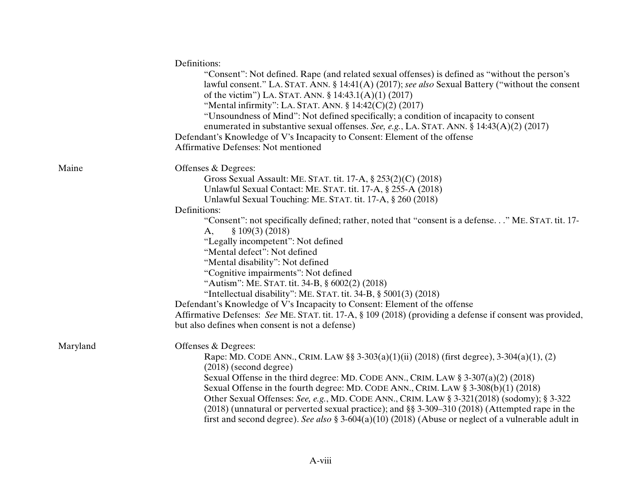|          | Definitions:<br>"Consent": Not defined. Rape (and related sexual offenses) is defined as "without the person's<br>lawful consent." LA. STAT. ANN. § 14:41(A) (2017); see also Sexual Battery ("without the consent<br>of the victim") LA. STAT. ANN. $\S 14:43.1(A)(1)$ (2017)<br>"Mental infirmity": LA. STAT. ANN. $\S 14:42(C)(2) (2017)$<br>"Unsoundness of Mind": Not defined specifically; a condition of incapacity to consent<br>enumerated in substantive sexual offenses. See, e.g., LA. STAT. ANN. § 14:43(A)(2) (2017)<br>Defendant's Knowledge of V's Incapacity to Consent: Element of the offense<br><b>Affirmative Defenses: Not mentioned</b>      |
|----------|---------------------------------------------------------------------------------------------------------------------------------------------------------------------------------------------------------------------------------------------------------------------------------------------------------------------------------------------------------------------------------------------------------------------------------------------------------------------------------------------------------------------------------------------------------------------------------------------------------------------------------------------------------------------|
| Maine    | Offenses & Degrees:<br>Gross Sexual Assault: ME. STAT. tit. 17-A, § 253(2)(C) (2018)<br>Unlawful Sexual Contact: ME. STAT. tit. 17-A, § 255-A (2018)<br>Unlawful Sexual Touching: ME. STAT. tit. 17-A, § 260 (2018)                                                                                                                                                                                                                                                                                                                                                                                                                                                 |
|          | Definitions:<br>"Consent": not specifically defined; rather, noted that "consent is a defense" ME. STAT. tit. 17-<br>\$109(3)(2018)<br>A,<br>"Legally incompetent": Not defined<br>"Mental defect": Not defined<br>"Mental disability": Not defined<br>"Cognitive impairments": Not defined<br>"Autism": ME. STAT. tit. 34-B, § 6002(2) (2018)<br>"Intellectual disability": ME. STAT. tit. 34-B, $\S$ 5001(3) (2018)<br>Defendant's Knowledge of V's Incapacity to Consent: Element of the offense<br>Affirmative Defenses: See ME. STAT. tit. 17-A, § 109 (2018) (providing a defense if consent was provided,<br>but also defines when consent is not a defense) |
| Maryland | Offenses & Degrees:<br>Rape: MD. CODE ANN., CRIM. LAW §§ 3-303(a)(1)(ii) (2018) (first degree), 3-304(a)(1), (2)<br>$(2018)$ (second degree)<br>Sexual Offense in the third degree: MD. CODE ANN., CRIM. LAW $\S 3-307(a)(2)(2018)$<br>Sexual Offense in the fourth degree: MD. CODE ANN., CRIM. LAW § 3-308(b)(1) (2018)<br>Other Sexual Offenses: See, e.g., MD. CODE ANN., CRIM. LAW § 3-321(2018) (sodomy); § 3-322<br>(2018) (unnatural or perverted sexual practice); and §§ 3-309-310 (2018) (Attempted rape in the<br>first and second degree). See also § 3-604(a)(10) (2018) (Abuse or neglect of a vulnerable adult in                                   |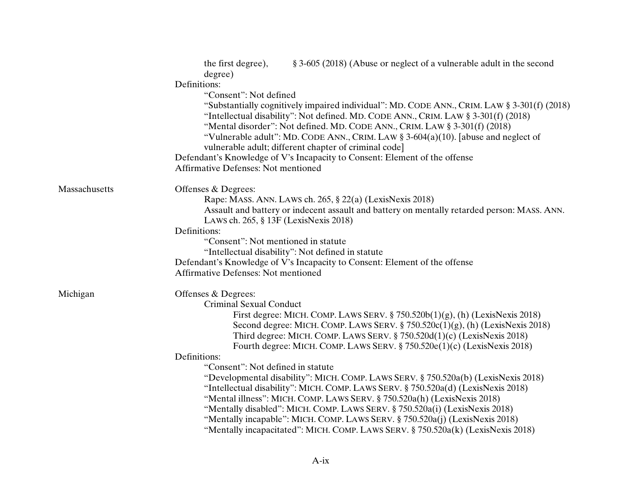|               | the first degree),<br>§ 3-605 (2018) (Abuse or neglect of a vulnerable adult in the second<br>degree) |
|---------------|-------------------------------------------------------------------------------------------------------|
|               | Definitions:                                                                                          |
|               | "Consent": Not defined                                                                                |
|               | "Substantially cognitively impaired individual": MD. CODE ANN., CRIM. LAW § 3-301(f) (2018)           |
|               | "Intellectual disability": Not defined. MD. CODE ANN., CRIM. LAW § 3-301(f) (2018)                    |
|               | "Mental disorder": Not defined. MD. CODE ANN., CRIM. LAW § 3-301(f) (2018)                            |
|               | "Vulnerable adult": MD. CODE ANN., CRIM. LAW § 3-604(a)(10). [abuse and neglect of                    |
|               | vulnerable adult; different chapter of criminal code]                                                 |
|               | Defendant's Knowledge of V's Incapacity to Consent: Element of the offense                            |
|               | Affirmative Defenses: Not mentioned                                                                   |
| Massachusetts | Offenses & Degrees:                                                                                   |
|               | Rape: MASS. ANN. LAWS ch. 265, § 22(a) (LexisNexis 2018)                                              |
|               | Assault and battery or indecent assault and battery on mentally retarded person: MASS. ANN.           |
|               | LAWS ch. 265, § 13F (LexisNexis 2018)                                                                 |
|               | Definitions:                                                                                          |
|               | "Consent": Not mentioned in statute                                                                   |
|               | "Intellectual disability": Not defined in statute                                                     |
|               | Defendant's Knowledge of V's Incapacity to Consent: Element of the offense                            |
|               | <b>Affirmative Defenses: Not mentioned</b>                                                            |
| Michigan      | Offenses & Degrees:                                                                                   |
|               | <b>Criminal Sexual Conduct</b>                                                                        |
|               | First degree: MICH. COMP. LAWS SERV. $\S 750.520b(1)(g)$ , (h) (LexisNexis 2018)                      |
|               | Second degree: MICH. COMP. LAWS SERV. $\S 750.520c(1)(g)$ , (h) (LexisNexis 2018)                     |
|               | Third degree: MICH. COMP. LAWS SERV. § 750.520d(1)(c) (LexisNexis 2018)                               |
|               | Fourth degree: MICH. COMP. LAWS SERV. § 750.520e(1)(c) (LexisNexis 2018)                              |
|               | Definitions:<br>"Consent": Not defined in statute                                                     |
|               | "Developmental disability": MICH. COMP. LAWS SERV. § 750.520a(b) (LexisNexis 2018)                    |
|               | "Intellectual disability": MICH. COMP. LAWS SERV. § 750.520a(d) (LexisNexis 2018)                     |
|               | "Mental illness": MICH. COMP. LAWS SERV. § 750.520a(h) (LexisNexis 2018)                              |
|               | "Mentally disabled": MICH. COMP. LAWS SERV. § 750.520a(i) (LexisNexis 2018)                           |
|               | "Mentally incapable": MICH. COMP. LAWS SERV. § 750.520a(j) (LexisNexis 2018)                          |
|               | "Mentally incapacitated": MICH. COMP. LAWS SERV. § 750.520a(k) (LexisNexis 2018)                      |
|               |                                                                                                       |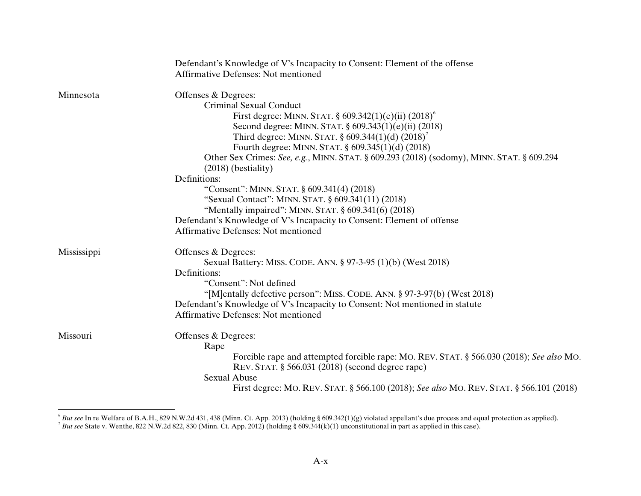|             | Defendant's Knowledge of V's Incapacity to Consent: Element of the offense<br><b>Affirmative Defenses: Not mentioned</b>                     |
|-------------|----------------------------------------------------------------------------------------------------------------------------------------------|
|             |                                                                                                                                              |
| Minnesota   | Offenses & Degrees:                                                                                                                          |
|             | <b>Criminal Sexual Conduct</b>                                                                                                               |
|             | First degree: MINN. STAT. $\frac{609.342(1)(e)(ii)}{2018}$                                                                                   |
|             | Second degree: MINN. STAT. § 609.343(1)(e)(ii) (2018)                                                                                        |
|             | Third degree: MINN. STAT. $\S 609.344(1)(d) (2018)^7$                                                                                        |
|             | Fourth degree: MINN. STAT. § 609.345(1)(d) (2018)                                                                                            |
|             | Other Sex Crimes: See, e.g., MINN. STAT. § 609.293 (2018) (sodomy), MINN. STAT. § 609.294<br>$(2018)$ (bestiality)                           |
|             | Definitions:                                                                                                                                 |
|             | "Consent": MINN. STAT. § 609.341(4) (2018)                                                                                                   |
|             | "Sexual Contact": MINN. STAT. § 609.341(11) (2018)                                                                                           |
|             | "Mentally impaired": MINN. STAT. § 609.341(6) (2018)                                                                                         |
|             | Defendant's Knowledge of V's Incapacity to Consent: Element of offense                                                                       |
|             | <b>Affirmative Defenses: Not mentioned</b>                                                                                                   |
| Mississippi | Offenses & Degrees:                                                                                                                          |
|             | Sexual Battery: MISS. CODE. ANN. § 97-3-95 (1)(b) (West 2018)                                                                                |
|             | Definitions:                                                                                                                                 |
|             | "Consent": Not defined                                                                                                                       |
|             | "[M]entally defective person": MISS. CODE. ANN. § 97-3-97(b) (West 2018)                                                                     |
|             | Defendant's Knowledge of V's Incapacity to Consent: Not mentioned in statute                                                                 |
|             | <b>Affirmative Defenses: Not mentioned</b>                                                                                                   |
| Missouri    | Offenses & Degrees:                                                                                                                          |
|             | Rape                                                                                                                                         |
|             | Forcible rape and attempted forcible rape: MO. REV. STAT. § 566.030 (2018); See also MO.<br>REV. STAT. § 566.031 (2018) (second degree rape) |
|             | <b>Sexual Abuse</b>                                                                                                                          |
|             | First degree: MO. REV. STAT. § 566.100 (2018); See also MO. REV. STAT. § 566.101 (2018)                                                      |

 $\overline{a}$ 

 $^{6}$  *But see* In re Welfare of B.A.H., 829 N.W.2d 431, 438 (Minn. Ct. App. 2013) (holding § 609.342(1)(g) violated appellant's due process and equal protection as applied).<br><sup>7</sup> *But see* State v. Wenthe, 822 N.W.2d 822,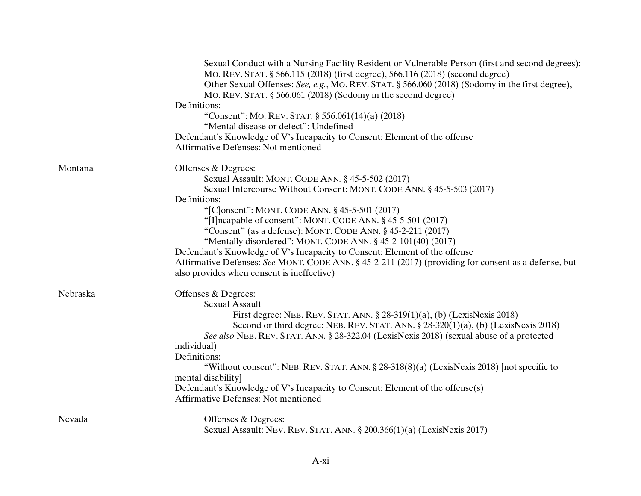| Sexual Conduct with a Nursing Facility Resident or Vulnerable Person (first and second degrees):<br>MO. REV. STAT. § 566.115 (2018) (first degree), 566.116 (2018) (second degree)<br>Other Sexual Offenses: See, e.g., MO. REV. STAT. § 566.060 (2018) (Sodomy in the first degree),<br>MO. REV. STAT. § 566.061 (2018) (Sodomy in the second degree)<br>Definitions:<br>"Consent": MO. REV. STAT. § 556.061(14)(a) (2018)<br>"Mental disease or defect": Undefined<br>Defendant's Knowledge of V's Incapacity to Consent: Element of the offense<br>Affirmative Defenses: Not mentioned |  |
|-------------------------------------------------------------------------------------------------------------------------------------------------------------------------------------------------------------------------------------------------------------------------------------------------------------------------------------------------------------------------------------------------------------------------------------------------------------------------------------------------------------------------------------------------------------------------------------------|--|
| Montana<br>Offenses & Degrees:<br>Sexual Assault: MONT. CODE ANN. § 45-5-502 (2017)<br>Sexual Intercourse Without Consent: MONT. CODE ANN. § 45-5-503 (2017)<br>Definitions:                                                                                                                                                                                                                                                                                                                                                                                                              |  |
| "[C]onsent": MONT. CODE ANN. § 45-5-501 (2017)                                                                                                                                                                                                                                                                                                                                                                                                                                                                                                                                            |  |
| "[I] ncapable of consent": MONT. CODE ANN. § 45-5-501 (2017)                                                                                                                                                                                                                                                                                                                                                                                                                                                                                                                              |  |
| "Consent" (as a defense): MONT. CODE ANN. $§$ 45-2-211 (2017)                                                                                                                                                                                                                                                                                                                                                                                                                                                                                                                             |  |
| "Mentally disordered": MONT. CODE ANN. § 45-2-101(40) (2017)                                                                                                                                                                                                                                                                                                                                                                                                                                                                                                                              |  |
| Defendant's Knowledge of V's Incapacity to Consent: Element of the offense                                                                                                                                                                                                                                                                                                                                                                                                                                                                                                                |  |
| Affirmative Defenses: See MONT. CODE ANN. § 45-2-211 (2017) (providing for consent as a defense, but<br>also provides when consent is ineffective)                                                                                                                                                                                                                                                                                                                                                                                                                                        |  |
|                                                                                                                                                                                                                                                                                                                                                                                                                                                                                                                                                                                           |  |
| Nebraska<br>Offenses & Degrees:                                                                                                                                                                                                                                                                                                                                                                                                                                                                                                                                                           |  |
| <b>Sexual Assault</b>                                                                                                                                                                                                                                                                                                                                                                                                                                                                                                                                                                     |  |
| First degree: NEB. REV. STAT. ANN. $\S 28-319(1)(a)$ , (b) (LexisNexis 2018)                                                                                                                                                                                                                                                                                                                                                                                                                                                                                                              |  |
| Second or third degree: NEB. REV. STAT. ANN. § 28-320(1)(a), (b) (LexisNexis 2018)                                                                                                                                                                                                                                                                                                                                                                                                                                                                                                        |  |
| See also NEB. REV. STAT. ANN. § 28-322.04 (LexisNexis 2018) (sexual abuse of a protected                                                                                                                                                                                                                                                                                                                                                                                                                                                                                                  |  |
| individual)                                                                                                                                                                                                                                                                                                                                                                                                                                                                                                                                                                               |  |
| Definitions:                                                                                                                                                                                                                                                                                                                                                                                                                                                                                                                                                                              |  |
| "Without consent": NEB. REV. STAT. ANN. § 28-318(8)(a) (LexisNexis 2018) [not specific to                                                                                                                                                                                                                                                                                                                                                                                                                                                                                                 |  |
| mental disability]                                                                                                                                                                                                                                                                                                                                                                                                                                                                                                                                                                        |  |
| Defendant's Knowledge of V's Incapacity to Consent: Element of the offense(s)                                                                                                                                                                                                                                                                                                                                                                                                                                                                                                             |  |
| <b>Affirmative Defenses: Not mentioned</b>                                                                                                                                                                                                                                                                                                                                                                                                                                                                                                                                                |  |
| Offenses & Degrees:<br>Nevada                                                                                                                                                                                                                                                                                                                                                                                                                                                                                                                                                             |  |
| Sexual Assault: NEV. REV. STAT. ANN. § 200.366(1)(a) (LexisNexis 2017)                                                                                                                                                                                                                                                                                                                                                                                                                                                                                                                    |  |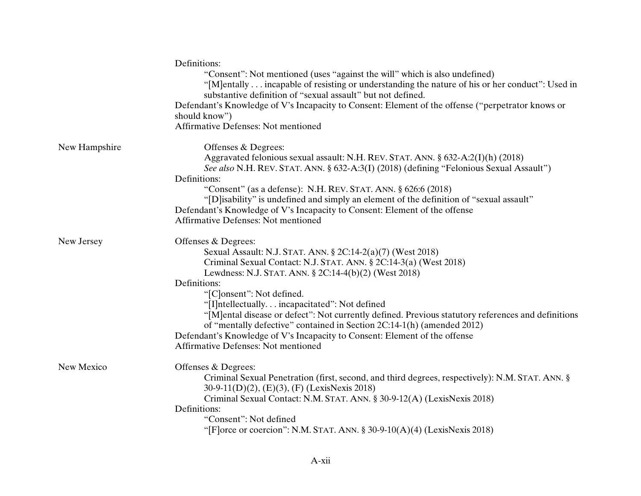|               | Definitions:<br>"Consent": Not mentioned (uses "against the will" which is also undefined)<br>"[M]entally incapable of resisting or understanding the nature of his or her conduct": Used in<br>substantive definition of "sexual assault" but not defined.<br>Defendant's Knowledge of V's Incapacity to Consent: Element of the offense ("perpetrator knows or<br>should know")<br><b>Affirmative Defenses: Not mentioned</b>                                                                                                                                                                                             |
|---------------|-----------------------------------------------------------------------------------------------------------------------------------------------------------------------------------------------------------------------------------------------------------------------------------------------------------------------------------------------------------------------------------------------------------------------------------------------------------------------------------------------------------------------------------------------------------------------------------------------------------------------------|
| New Hampshire | Offenses & Degrees:<br>Aggravated felonious sexual assault: N.H. REV. STAT. ANN. § 632-A:2(I)(h) (2018)<br>See also N.H. REV. STAT. ANN. § 632-A:3(I) (2018) (defining "Felonious Sexual Assault")<br>Definitions:<br>"Consent" (as a defense): N.H. REV. STAT. ANN. § 626:6 (2018)<br>"[D]isability" is undefined and simply an element of the definition of "sexual assault"<br>Defendant's Knowledge of V's Incapacity to Consent: Element of the offense<br><b>Affirmative Defenses: Not mentioned</b>                                                                                                                  |
| New Jersey    | Offenses & Degrees:<br>Sexual Assault: N.J. STAT. ANN. § 2C:14-2(a)(7) (West 2018)<br>Criminal Sexual Contact: N.J. STAT. ANN. § 2C:14-3(a) (West 2018)<br>Lewdness: N.J. STAT. ANN. § 2C:14-4(b)(2) (West 2018)<br>Definitions:<br>"[C]onsent": Not defined.<br>"[I]ntellectually. incapacitated": Not defined<br>"[M]ental disease or defect": Not currently defined. Previous statutory references and definitions<br>of "mentally defective" contained in Section 2C:14-1(h) (amended 2012)<br>Defendant's Knowledge of V's Incapacity to Consent: Element of the offense<br><b>Affirmative Defenses: Not mentioned</b> |
| New Mexico    | Offenses & Degrees:<br>Criminal Sexual Penetration (first, second, and third degrees, respectively): N.M. STAT. ANN. §<br>30-9-11(D)(2), (E)(3), (F) (LexisNexis 2018)<br>Criminal Sexual Contact: N.M. STAT. ANN. § 30-9-12(A) (LexisNexis 2018)<br>Definitions:<br>"Consent": Not defined<br>"[F] orce or coercion": N.M. STAT. ANN. $\S 30-9-10(A)(4)$ (LexisNexis 2018)                                                                                                                                                                                                                                                 |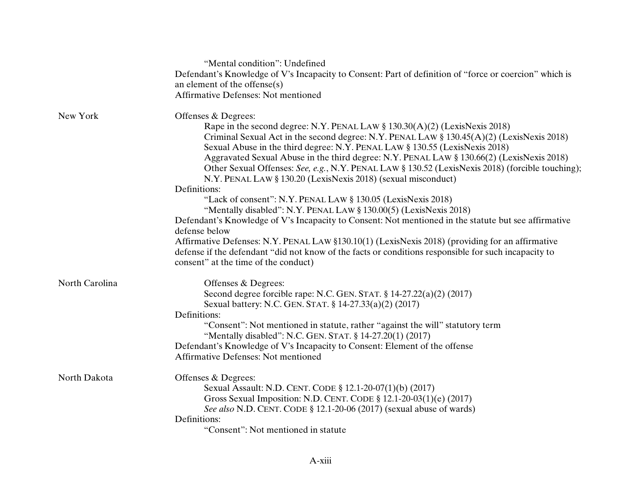|                | "Mental condition": Undefined                                                                                                                                                                                                                                                                                                                                                                                                                                                                                            |
|----------------|--------------------------------------------------------------------------------------------------------------------------------------------------------------------------------------------------------------------------------------------------------------------------------------------------------------------------------------------------------------------------------------------------------------------------------------------------------------------------------------------------------------------------|
|                | Defendant's Knowledge of V's Incapacity to Consent: Part of definition of "force or coercion" which is                                                                                                                                                                                                                                                                                                                                                                                                                   |
|                | an element of the offense $(s)$                                                                                                                                                                                                                                                                                                                                                                                                                                                                                          |
|                | <b>Affirmative Defenses: Not mentioned</b>                                                                                                                                                                                                                                                                                                                                                                                                                                                                               |
| New York       | Offenses & Degrees:                                                                                                                                                                                                                                                                                                                                                                                                                                                                                                      |
|                | Rape in the second degree: N.Y. PENAL LAW § 130.30(A)(2) (LexisNexis 2018)<br>Criminal Sexual Act in the second degree: N.Y. PENAL LAW § 130.45(A)(2) (LexisNexis 2018)<br>Sexual Abuse in the third degree: N.Y. PENAL LAW § 130.55 (LexisNexis 2018)<br>Aggravated Sexual Abuse in the third degree: N.Y. PENAL LAW § 130.66(2) (LexisNexis 2018)<br>Other Sexual Offenses: See, e.g., N.Y. PENAL LAW § 130.52 (LexisNexis 2018) (forcible touching);<br>N.Y. PENAL LAW § 130.20 (LexisNexis 2018) (sexual misconduct) |
|                | Definitions:                                                                                                                                                                                                                                                                                                                                                                                                                                                                                                             |
|                | "Lack of consent": N.Y. PENAL LAW § 130.05 (LexisNexis 2018)<br>"Mentally disabled": N.Y. PENAL LAW § 130.00(5) (LexisNexis 2018)                                                                                                                                                                                                                                                                                                                                                                                        |
|                | Defendant's Knowledge of V's Incapacity to Consent: Not mentioned in the statute but see affirmative                                                                                                                                                                                                                                                                                                                                                                                                                     |
|                | defense below                                                                                                                                                                                                                                                                                                                                                                                                                                                                                                            |
|                | Affirmative Defenses: N.Y. PENAL LAW §130.10(1) (LexisNexis 2018) (providing for an affirmative<br>defense if the defendant "did not know of the facts or conditions responsible for such incapacity to<br>consent" at the time of the conduct)                                                                                                                                                                                                                                                                          |
| North Carolina | Offenses & Degrees:                                                                                                                                                                                                                                                                                                                                                                                                                                                                                                      |
|                | Second degree forcible rape: N.C. GEN. STAT. $\S$ 14-27.22(a)(2) (2017)<br>Sexual battery: N.C. GEN. STAT. § 14-27.33(a)(2) (2017)                                                                                                                                                                                                                                                                                                                                                                                       |
|                | Definitions:                                                                                                                                                                                                                                                                                                                                                                                                                                                                                                             |
|                | "Consent": Not mentioned in statute, rather "against the will" statutory term<br>"Mentally disabled": N.C. GEN. STAT. § 14-27.20(1) (2017)                                                                                                                                                                                                                                                                                                                                                                               |
|                | Defendant's Knowledge of V's Incapacity to Consent: Element of the offense<br><b>Affirmative Defenses: Not mentioned</b>                                                                                                                                                                                                                                                                                                                                                                                                 |
| North Dakota   | Offenses & Degrees:                                                                                                                                                                                                                                                                                                                                                                                                                                                                                                      |
|                | Sexual Assault: N.D. CENT. CODE § 12.1-20-07(1)(b) (2017)<br>Gross Sexual Imposition: N.D. CENT. CODE $\S 12.1-20-03(1)(e)$ (2017)<br>See also N.D. CENT. CODE § 12.1-20-06 (2017) (sexual abuse of wards)                                                                                                                                                                                                                                                                                                               |
|                | Definitions:                                                                                                                                                                                                                                                                                                                                                                                                                                                                                                             |
|                | "Consent": Not mentioned in statute                                                                                                                                                                                                                                                                                                                                                                                                                                                                                      |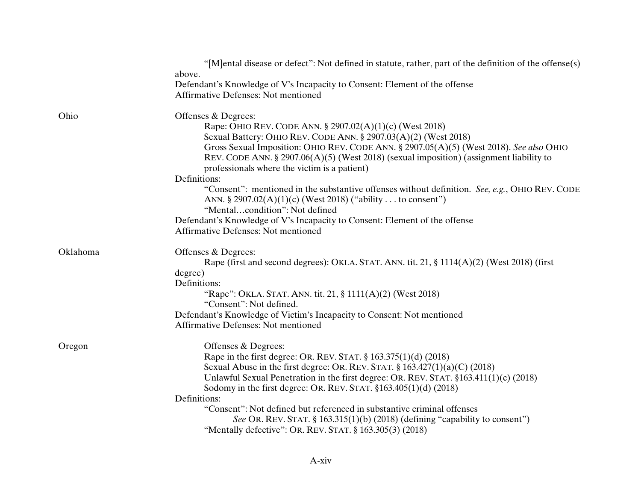|          | "[M] ental disease or defect": Not defined in statute, rather, part of the definition of the offense(s)                                                      |
|----------|--------------------------------------------------------------------------------------------------------------------------------------------------------------|
|          | above.                                                                                                                                                       |
|          | Defendant's Knowledge of V's Incapacity to Consent: Element of the offense                                                                                   |
|          | <b>Affirmative Defenses: Not mentioned</b>                                                                                                                   |
| Ohio     | Offenses & Degrees:                                                                                                                                          |
|          | Rape: OHIO REV. CODE ANN. § 2907.02(A)(1)(c) (West 2018)                                                                                                     |
|          | Sexual Battery: OHIO REV. CODE ANN. § 2907.03(A)(2) (West 2018)                                                                                              |
|          | Gross Sexual Imposition: OHIO REV. CODE ANN. § 2907.05(A)(5) (West 2018). See also OHIO                                                                      |
|          | REV. CODE ANN. $\S 2907.06(A)(5)$ (West 2018) (sexual imposition) (assignment liability to                                                                   |
|          | professionals where the victim is a patient)                                                                                                                 |
|          | Definitions:                                                                                                                                                 |
|          | "Consent": mentioned in the substantive offenses without definition. See, e.g., OHIO REV. CODE<br>ANN. § 2907.02(A)(1)(c) (West 2018) ("ability to consent") |
|          | "Mentalcondition": Not defined                                                                                                                               |
|          | Defendant's Knowledge of V's Incapacity to Consent: Element of the offense                                                                                   |
|          | <b>Affirmative Defenses: Not mentioned</b>                                                                                                                   |
| Oklahoma | Offenses & Degrees:                                                                                                                                          |
|          | Rape (first and second degrees): OKLA. STAT. ANN. tit. 21, $\S 1114(A)(2)$ (West 2018) (first                                                                |
|          | degree)                                                                                                                                                      |
|          | Definitions:                                                                                                                                                 |
|          | "Rape": OKLA. STAT. ANN. tit. 21, § 1111(A)(2) (West 2018)                                                                                                   |
|          | "Consent": Not defined.                                                                                                                                      |
|          | Defendant's Knowledge of Victim's Incapacity to Consent: Not mentioned                                                                                       |
|          | <b>Affirmative Defenses: Not mentioned</b>                                                                                                                   |
| Oregon   | Offenses & Degrees:                                                                                                                                          |
|          | Rape in the first degree: OR. REV. STAT. $\S 163.375(1)(d)$ (2018)                                                                                           |
|          | Sexual Abuse in the first degree: OR. REV. STAT. $\S 163.427(1)(a)(C)$ (2018)                                                                                |
|          | Unlawful Sexual Penetration in the first degree: OR. REV. STAT. §163.411(1)(c) (2018)                                                                        |
|          | Sodomy in the first degree: OR. REV. STAT. $$163.405(1)(d)$ (2018)                                                                                           |
|          | Definitions:                                                                                                                                                 |
|          | "Consent": Not defined but referenced in substantive criminal offenses                                                                                       |
|          | See OR. REV. STAT. § 163.315(1)(b) (2018) (defining "capability to consent")                                                                                 |
|          | "Mentally defective": OR. REV. STAT. § 163.305(3) (2018)                                                                                                     |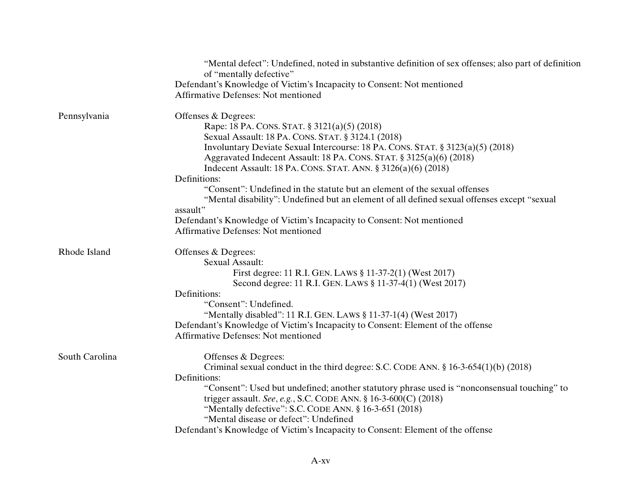|                | "Mental defect": Undefined, noted in substantive definition of sex offenses; also part of definition<br>of "mentally defective" |
|----------------|---------------------------------------------------------------------------------------------------------------------------------|
|                | Defendant's Knowledge of Victim's Incapacity to Consent: Not mentioned                                                          |
|                | Affirmative Defenses: Not mentioned                                                                                             |
| Pennsylvania   | Offenses & Degrees:                                                                                                             |
|                | Rape: 18 PA. CONS. STAT. § 3121(a)(5) (2018)                                                                                    |
|                | Sexual Assault: 18 PA. CONS. STAT. § 3124.1 (2018)                                                                              |
|                | Involuntary Deviate Sexual Intercourse: 18 PA. CONS. STAT. § 3123(a)(5) (2018)                                                  |
|                | Aggravated Indecent Assault: 18 PA. CONS. STAT. § 3125(a)(6) (2018)                                                             |
|                | Indecent Assault: 18 PA. CONS. STAT. ANN. § 3126(a)(6) (2018)                                                                   |
|                | Definitions:                                                                                                                    |
|                | "Consent": Undefined in the statute but an element of the sexual offenses                                                       |
|                | "Mental disability": Undefined but an element of all defined sexual offenses except "sexual                                     |
|                | assault"                                                                                                                        |
|                | Defendant's Knowledge of Victim's Incapacity to Consent: Not mentioned                                                          |
|                | <b>Affirmative Defenses: Not mentioned</b>                                                                                      |
| Rhode Island   | Offenses & Degrees:                                                                                                             |
|                | <b>Sexual Assault:</b>                                                                                                          |
|                | First degree: 11 R.I. GEN. LAWS § 11-37-2(1) (West 2017)                                                                        |
|                | Second degree: 11 R.I. GEN. LAWS § 11-37-4(1) (West 2017)                                                                       |
|                | Definitions:                                                                                                                    |
|                | "Consent": Undefined.                                                                                                           |
|                | "Mentally disabled": 11 R.I. GEN. LAWS § 11-37-1(4) (West 2017)                                                                 |
|                | Defendant's Knowledge of Victim's Incapacity to Consent: Element of the offense                                                 |
|                | <b>Affirmative Defenses: Not mentioned</b>                                                                                      |
| South Carolina | Offenses & Degrees:                                                                                                             |
|                | Criminal sexual conduct in the third degree: S.C. CODE ANN. $\S 16-3-654(1)(b)$ (2018)                                          |
|                | Definitions:                                                                                                                    |
|                | "Consent": Used but undefined; another statutory phrase used is "nonconsensual touching" to                                     |
|                | trigger assault. See, e.g., S.C. CODE ANN. § 16-3-600(C) (2018)                                                                 |
|                | "Mentally defective": S.C. CODE ANN. § 16-3-651 (2018)                                                                          |
|                | "Mental disease or defect": Undefined                                                                                           |
|                | Defendant's Knowledge of Victim's Incapacity to Consent: Element of the offense                                                 |
|                |                                                                                                                                 |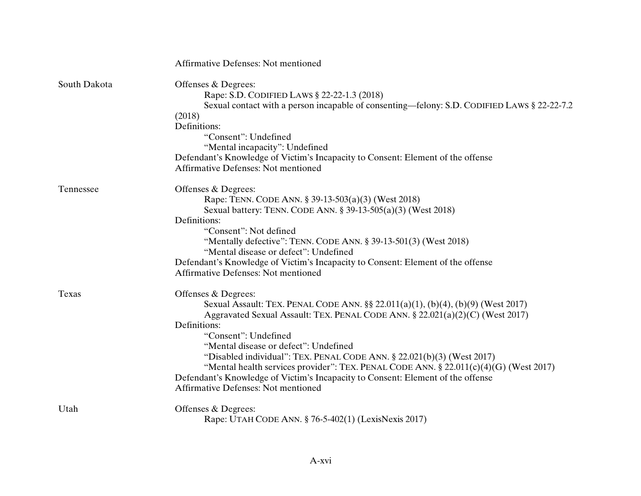|              | <b>Affirmative Defenses: Not mentioned</b>                                                                                                                                                                                                                                                                                                                                                                                                                                                                                                                                    |
|--------------|-------------------------------------------------------------------------------------------------------------------------------------------------------------------------------------------------------------------------------------------------------------------------------------------------------------------------------------------------------------------------------------------------------------------------------------------------------------------------------------------------------------------------------------------------------------------------------|
| South Dakota | Offenses & Degrees:<br>Rape: S.D. CODIFIED LAWS § 22-22-1.3 (2018)<br>Sexual contact with a person incapable of consenting—felony: S.D. CODIFIED LAWS § 22-22-7.2<br>(2018)<br>Definitions:<br>"Consent": Undefined<br>"Mental incapacity": Undefined<br>Defendant's Knowledge of Victim's Incapacity to Consent: Element of the offense<br><b>Affirmative Defenses: Not mentioned</b>                                                                                                                                                                                        |
| Tennessee    | Offenses & Degrees:<br>Rape: TENN. CODE ANN. § 39-13-503(a)(3) (West 2018)<br>Sexual battery: TENN. CODE ANN. § 39-13-505(a)(3) (West 2018)<br>Definitions:<br>"Consent": Not defined<br>"Mentally defective": TENN. CODE ANN. $\S 39-13-501(3)$ (West 2018)<br>"Mental disease or defect": Undefined<br>Defendant's Knowledge of Victim's Incapacity to Consent: Element of the offense<br><b>Affirmative Defenses: Not mentioned</b>                                                                                                                                        |
| Texas        | Offenses & Degrees:<br>Sexual Assault: TEX. PENAL CODE ANN. §§ 22.011(a)(1), (b)(4), (b)(9) (West 2017)<br>Aggravated Sexual Assault: TEX. PENAL CODE ANN. § 22.021(a)(2)(C) (West 2017)<br>Definitions:<br>"Consent": Undefined<br>"Mental disease or defect": Undefined<br>"Disabled individual": TEX. PENAL CODE ANN. § 22.021(b)(3) (West 2017)<br>"Mental health services provider": TEX. PENAL CODE ANN. § 22.011(c)(4)(G) (West 2017)<br>Defendant's Knowledge of Victim's Incapacity to Consent: Element of the offense<br><b>Affirmative Defenses: Not mentioned</b> |
| Utah         | Offenses & Degrees:<br>Rape: UTAH CODE ANN. § 76-5-402(1) (LexisNexis 2017)                                                                                                                                                                                                                                                                                                                                                                                                                                                                                                   |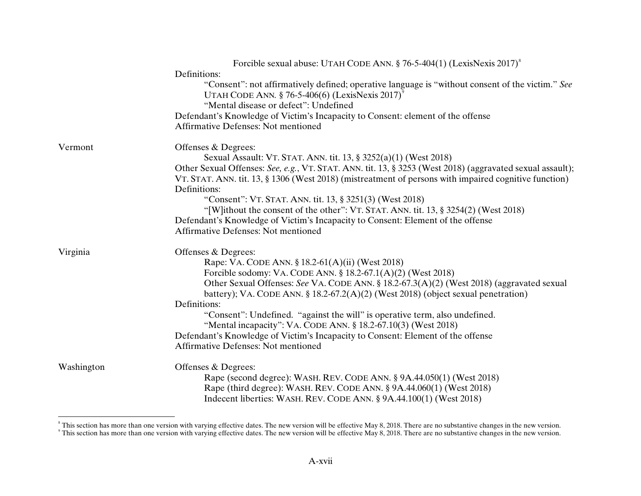|            | Forcible sexual abuse: UTAH CODE ANN. $\S$ 76-5-404(1) (LexisNexis 2017) <sup>8</sup>                     |
|------------|-----------------------------------------------------------------------------------------------------------|
|            | Definitions:                                                                                              |
|            | "Consent": not affirmatively defined; operative language is "without consent of the victim." See          |
|            | UTAH CODE ANN. $\S$ 76-5-406(6) (LexisNexis 2017) <sup>9</sup>                                            |
|            | "Mental disease or defect": Undefined                                                                     |
|            | Defendant's Knowledge of Victim's Incapacity to Consent: element of the offense                           |
|            | Affirmative Defenses: Not mentioned                                                                       |
| Vermont    | Offenses & Degrees:                                                                                       |
|            | Sexual Assault: VT. STAT. ANN. tit. 13, § 3252(a)(1) (West 2018)                                          |
|            | Other Sexual Offenses: See, e.g., VT. STAT. ANN. tit. 13, § 3253 (West 2018) (aggravated sexual assault); |
|            | VT. STAT. ANN. tit. 13, § 1306 (West 2018) (mistreatment of persons with impaired cognitive function)     |
|            | Definitions:                                                                                              |
|            | "Consent": VT. STAT. ANN. tit. 13, § 3251(3) (West 2018)                                                  |
|            | "[W]ithout the consent of the other": VT. STAT. ANN. tit. 13, § 3254(2) (West 2018)                       |
|            | Defendant's Knowledge of Victim's Incapacity to Consent: Element of the offense                           |
|            | <b>Affirmative Defenses: Not mentioned</b>                                                                |
| Virginia   | Offenses & Degrees:                                                                                       |
|            | Rape: VA. CODE ANN. § 18.2-61(A)(ii) (West 2018)                                                          |
|            | Forcible sodomy: VA. CODE ANN. $\S$ 18.2-67.1(A)(2) (West 2018)                                           |
|            | Other Sexual Offenses: See VA. CODE ANN. § 18.2-67.3(A)(2) (West 2018) (aggravated sexual                 |
|            | battery); VA. CODE ANN. § 18.2-67.2(A)(2) (West 2018) (object sexual penetration)                         |
|            | Definitions:                                                                                              |
|            | "Consent": Undefined. "against the will" is operative term, also undefined.                               |
|            | "Mental incapacity": VA. CODE ANN. § 18.2-67.10(3) (West 2018)                                            |
|            | Defendant's Knowledge of Victim's Incapacity to Consent: Element of the offense                           |
|            | <b>Affirmative Defenses: Not mentioned</b>                                                                |
| Washington | Offenses & Degrees:                                                                                       |
|            | Rape (second degree): WASH. REV. CODE ANN. § 9A.44.050(1) (West 2018)                                     |
|            | Rape (third degree): WASH. REV. CODE ANN. § 9A.44.060(1) (West 2018)                                      |
|            | Indecent liberties: WASH. REV. CODE ANN. § 9A.44.100(1) (West 2018)                                       |

This section has more than one version with varying effective dates. The new version will be effective May 8, 2018. There are no substantive changes in the new version.<br>This section has more than one version with varying e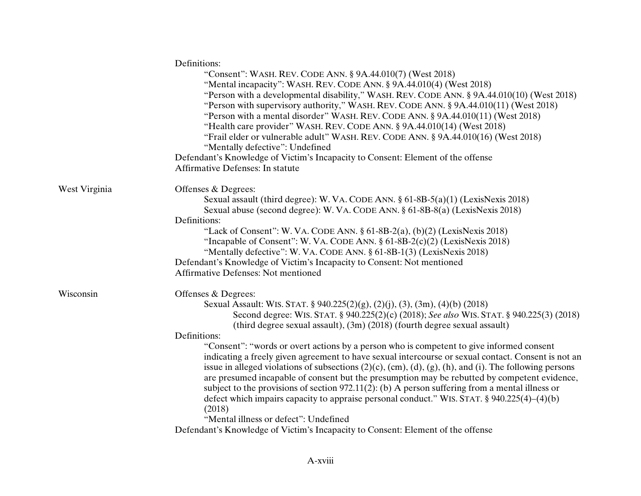|               | Definitions:                                                                                                             |
|---------------|--------------------------------------------------------------------------------------------------------------------------|
|               | "Consent": WASH. REV. CODE ANN. § 9A.44.010(7) (West 2018)                                                               |
|               | "Mental incapacity": WASH. REV. CODE ANN. § 9A.44.010(4) (West 2018)                                                     |
|               | "Person with a developmental disability," WASH. REV. CODE ANN. § 9A.44.010(10) (West 2018)                               |
|               | "Person with supervisory authority," WASH. REV. CODE ANN. § 9A.44.010(11) (West 2018)                                    |
|               | "Person with a mental disorder" WASH. REV. CODE ANN. § 9A.44.010(11) (West 2018)                                         |
|               | "Health care provider" WASH. REV. CODE ANN. § 9A.44.010(14) (West 2018)                                                  |
|               | "Frail elder or vulnerable adult" WASH. REV. CODE ANN. § 9A.44.010(16) (West 2018)                                       |
|               | "Mentally defective": Undefined                                                                                          |
|               | Defendant's Knowledge of Victim's Incapacity to Consent: Element of the offense                                          |
|               | Affirmative Defenses: In statute                                                                                         |
| West Virginia | Offenses & Degrees:                                                                                                      |
|               | Sexual assault (third degree): W. VA. CODE ANN. $\S 61-8B-5(a)(1)$ (LexisNexis 2018)                                     |
|               | Sexual abuse (second degree): W. VA. CODE ANN. § 61-8B-8(a) (LexisNexis 2018)                                            |
|               | Definitions:                                                                                                             |
|               | "Lack of Consent": W. VA. CODE ANN. $\S 61-8B-2(a)$ , (b)(2) (LexisNexis 2018)                                           |
|               | "Incapable of Consent": W. VA. CODE ANN. $\S 61-8B-2(c)(2)$ (LexisNexis 2018)                                            |
|               | "Mentally defective": W. VA. CODE ANN. § 61-8B-1(3) (LexisNexis 2018)                                                    |
|               | Defendant's Knowledge of Victim's Incapacity to Consent: Not mentioned                                                   |
|               | <b>Affirmative Defenses: Not mentioned</b>                                                                               |
| Wisconsin     | Offenses & Degrees:                                                                                                      |
|               | Sexual Assault: WIS. STAT. § 940.225(2)(g), (2)(j), (3), (3m), (4)(b) (2018)                                             |
|               | Second degree: WIS. STAT. § 940.225(2)(c) (2018); See also WIS. STAT. § 940.225(3) (2018)                                |
|               | (third degree sexual assault), $(3m)$ $(2018)$ (fourth degree sexual assault)                                            |
|               | Definitions:                                                                                                             |
|               | "Consent": "words or overt actions by a person who is competent to give informed consent                                 |
|               | indicating a freely given agreement to have sexual intercourse or sexual contact. Consent is not an                      |
|               | issue in alleged violations of subsections $(2)(c)$ , $(cm)$ , $(d)$ , $(g)$ , $(h)$ , and $(i)$ . The following persons |
|               | are presumed incapable of consent but the presumption may be rebutted by competent evidence,                             |
|               | subject to the provisions of section 972.11(2): (b) A person suffering from a mental illness or                          |
|               | defect which impairs capacity to appraise personal conduct." WIS. STAT. $\S 940.225(4) - (4)(b)$                         |
|               | (2018)                                                                                                                   |
|               | "Mental illness or defect": Undefined                                                                                    |
|               | Defendant's Knowledge of Victim's Incapacity to Consent: Element of the offense                                          |